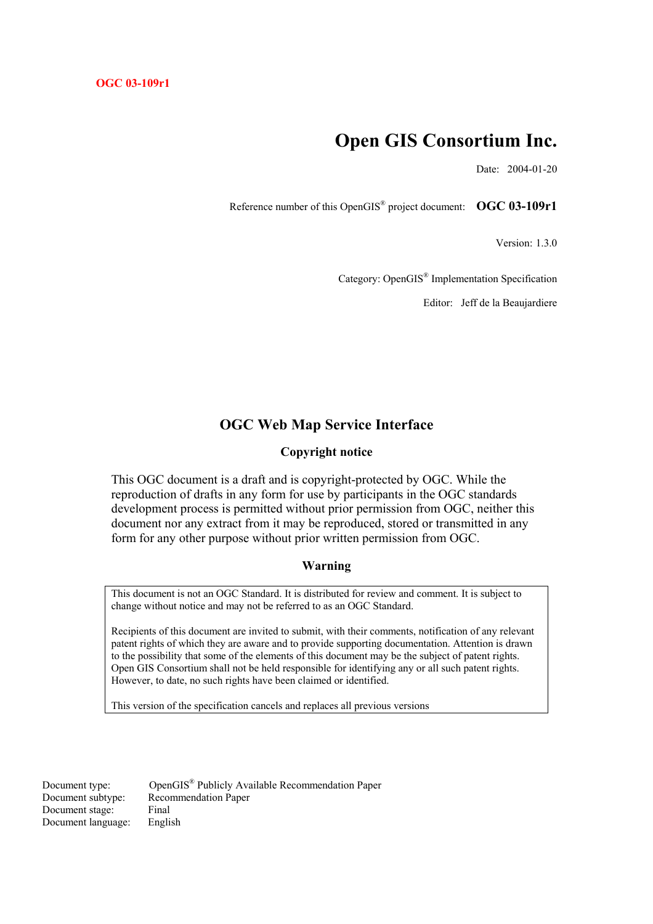# **Open GIS Consortium Inc.**

Date: 2004-01-20

Reference number of this OpenGIS® project document: **OGC 03-109r1** 

Version: 1.3.0

Category: OpenGIS® Implementation Specification

Editor: Jeff de la Beaujardiere

# **OGC Web Map Service Interface**

# **Copyright notice**

This OGC document is a draft and is copyright-protected by OGC. While the reproduction of drafts in any form for use by participants in the OGC standards development process is permitted without prior permission from OGC, neither this document nor any extract from it may be reproduced, stored or transmitted in any form for any other purpose without prior written permission from OGC.

#### **Warning**

This document is not an OGC Standard. It is distributed for review and comment. It is subject to change without notice and may not be referred to as an OGC Standard.

Recipients of this document are invited to submit, with their comments, notification of any relevant patent rights of which they are aware and to provide supporting documentation. Attention is drawn to the possibility that some of the elements of this document may be the subject of patent rights. Open GIS Consortium shall not be held responsible for identifying any or all such patent rights. However, to date, no such rights have been claimed or identified.

This version of the specification cancels and replaces all previous versions

Document stage: Final Document language: English

Document type: OpenGIS® Publicly Available Recommendation Paper Document subtype: Recommendation Paper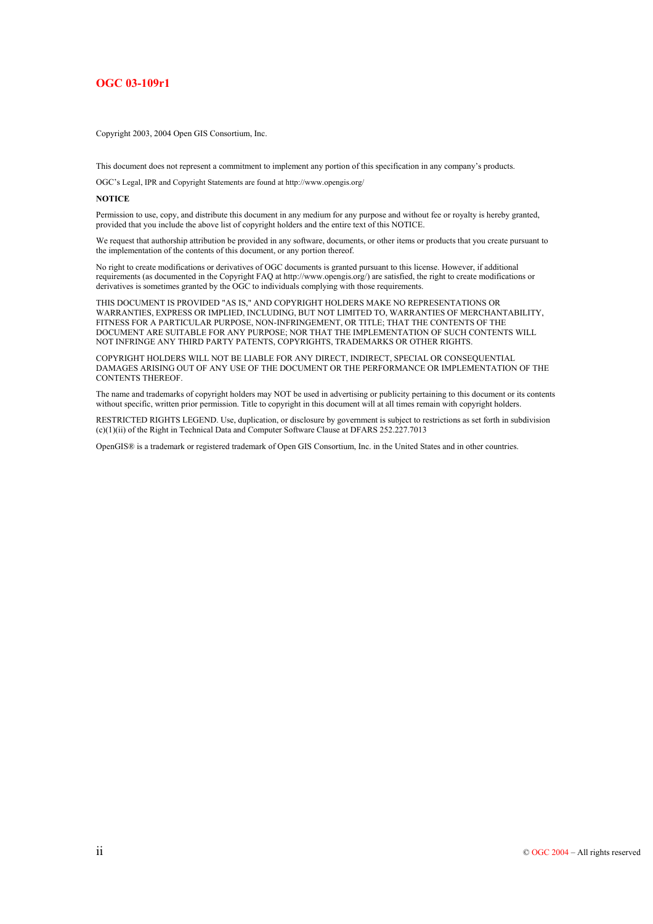#### **OGC 03-109r1**

Copyright 2003, 2004 Open GIS Consortium, Inc.

This document does not represent a commitment to implement any portion of this specification in any company's products.

OGC's Legal, IPR and Copyright Statements are found at http://www.opengis.org/

#### **NOTICE**

Permission to use, copy, and distribute this document in any medium for any purpose and without fee or royalty is hereby granted, provided that you include the above list of copyright holders and the entire text of this NOTICE.

We request that authorship attribution be provided in any software, documents, or other items or products that you create pursuant to the implementation of the contents of this document, or any portion thereof.

No right to create modifications or derivatives of OGC documents is granted pursuant to this license. However, if additional requirements (as documented in the Copyright FAQ at http://www.opengis.org/) are satisfied, the right to create modifications or derivatives is sometimes granted by the OGC to individuals complying with those requirements.

THIS DOCUMENT IS PROVIDED "AS IS," AND COPYRIGHT HOLDERS MAKE NO REPRESENTATIONS OR WARRANTIES, EXPRESS OR IMPLIED, INCLUDING, BUT NOT LIMITED TO, WARRANTIES OF MERCHANTABILITY, FITNESS FOR A PARTICULAR PURPOSE, NON-INFRINGEMENT, OR TITLE; THAT THE CONTENTS OF THE DOCUMENT ARE SUITABLE FOR ANY PURPOSE; NOR THAT THE IMPLEMENTATION OF SUCH CONTENTS WILL NOT INFRINGE ANY THIRD PARTY PATENTS, COPYRIGHTS, TRADEMARKS OR OTHER RIGHTS.

COPYRIGHT HOLDERS WILL NOT BE LIABLE FOR ANY DIRECT, INDIRECT, SPECIAL OR CONSEQUENTIAL DAMAGES ARISING OUT OF ANY USE OF THE DOCUMENT OR THE PERFORMANCE OR IMPLEMENTATION OF THE CONTENTS THEREOF.

The name and trademarks of copyright holders may NOT be used in advertising or publicity pertaining to this document or its contents without specific, written prior permission. Title to copyright in this document will at all times remain with copyright holders.

RESTRICTED RIGHTS LEGEND. Use, duplication, or disclosure by government is subject to restrictions as set forth in subdivision (c)(1)(ii) of the Right in Technical Data and Computer Software Clause at DFARS 252.227.7013

OpenGIS® is a trademark or registered trademark of Open GIS Consortium, Inc. in the United States and in other countries.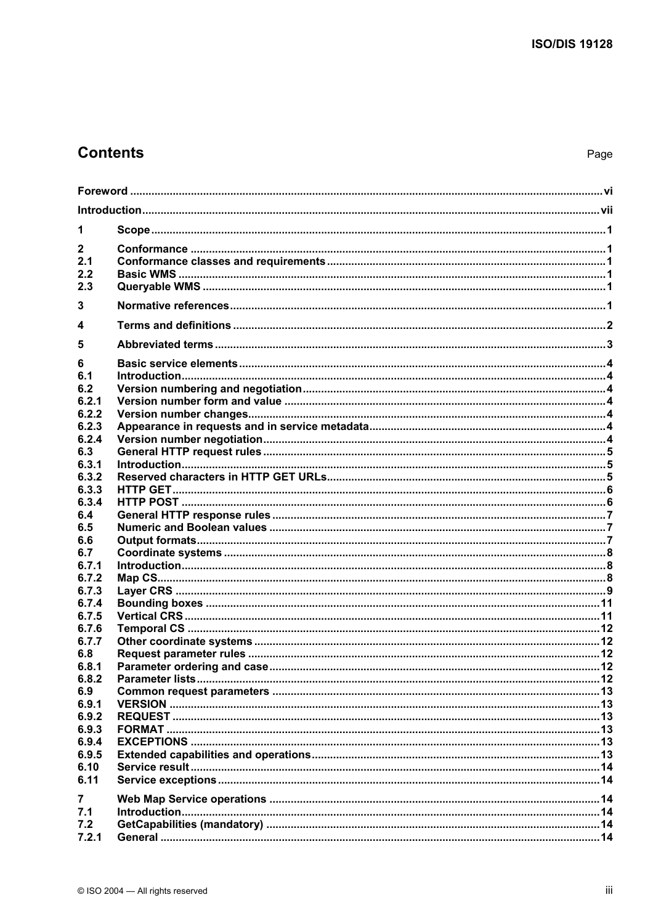# **Contents**

Page

| 1                                     |  |  |  |  |
|---------------------------------------|--|--|--|--|
| $\mathbf{2}$<br>2.1<br>2.2<br>2.3     |  |  |  |  |
| 3                                     |  |  |  |  |
| 4                                     |  |  |  |  |
| 5                                     |  |  |  |  |
| 6<br>6.1<br>6.2<br>6.2.1<br>6.2.2     |  |  |  |  |
| 6.2.3<br>6.2.4<br>6.3                 |  |  |  |  |
| 6.3.1<br>6.3.2<br>6.3.3               |  |  |  |  |
| 6.3.4<br>6.4<br>6.5<br>6.6            |  |  |  |  |
| 6.7<br>6.7.1<br>6.7.2                 |  |  |  |  |
| 6.7.3<br>6.7.4<br>6.7.5<br>6.7.6      |  |  |  |  |
| 6.7.7<br>6.8<br>6.8.1                 |  |  |  |  |
| 6.8.2<br>6.9<br>6.9.1                 |  |  |  |  |
| 6.9.2<br>6.9.3<br>6.9.4               |  |  |  |  |
| 6.9.5<br>6.10<br>6.11                 |  |  |  |  |
| $\overline{7}$<br>7.1<br>7.2<br>7.2.1 |  |  |  |  |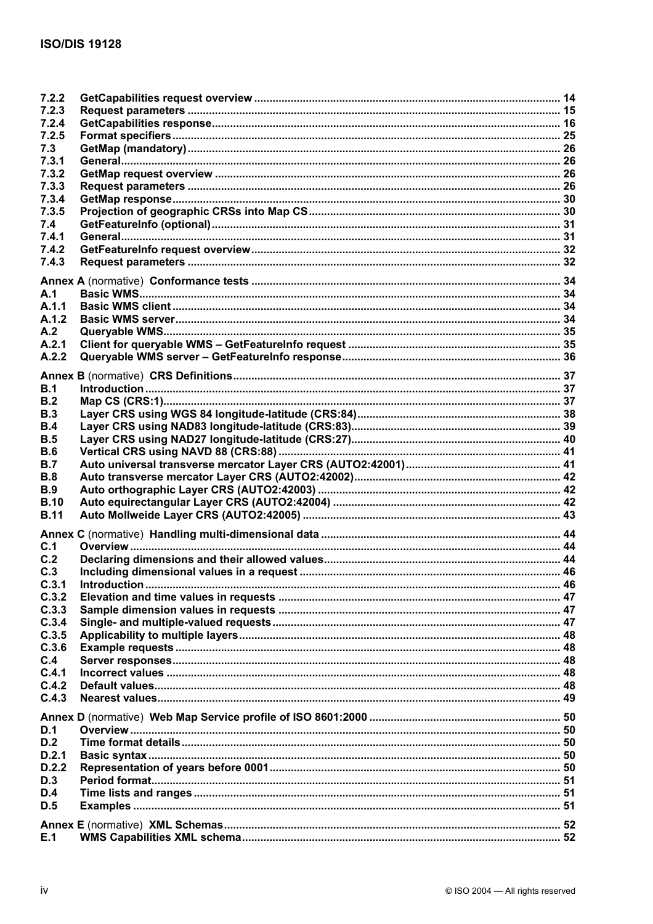| 7.2.2       |  |
|-------------|--|
| 7.2.3       |  |
| 7.2.4       |  |
| 7.2.5       |  |
| 7.3         |  |
| 7.3.1       |  |
| 7.3.2       |  |
| 7.3.3       |  |
| 7.3.4       |  |
| 7.3.5       |  |
| 7.4         |  |
| 7.4.1       |  |
| 7.4.2       |  |
| 7.4.3       |  |
|             |  |
|             |  |
| A.1         |  |
| A.1.1       |  |
| A.1.2       |  |
| A.2         |  |
| A.2.1       |  |
| A.2.2       |  |
|             |  |
|             |  |
| B.1         |  |
| B.2         |  |
| B.3         |  |
| B.4         |  |
| B.5         |  |
| B.6         |  |
| B.7         |  |
| B.8         |  |
| B.9         |  |
| <b>B.10</b> |  |
| <b>B.11</b> |  |
|             |  |
| C.1         |  |
|             |  |
| C.2         |  |
| C.3         |  |
| C.3.1       |  |
| C.3.2       |  |
| C.3.3       |  |
| C.3.4       |  |
| C.3.5       |  |
| C.3.6       |  |
| C.4         |  |
| C.4.1       |  |
| C.4.2       |  |
| C.4.3       |  |
|             |  |
| D.1         |  |
| D.2         |  |
| D.2.1       |  |
| D.2.2       |  |
| D.3         |  |
|             |  |
| D.4         |  |
| D.5         |  |
|             |  |
| E.1         |  |
|             |  |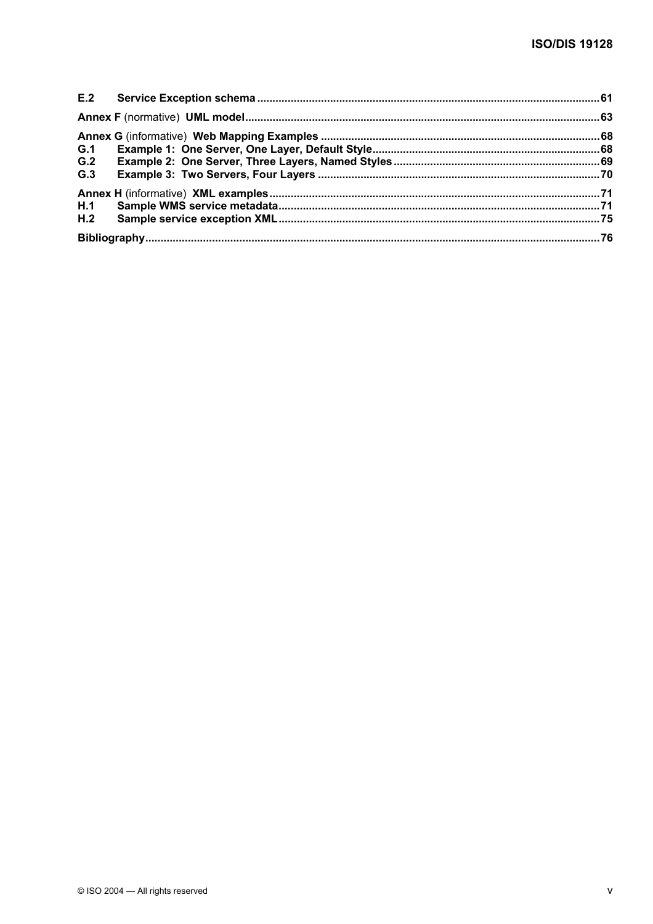| G.1 |  |
|-----|--|
| G.2 |  |
| G.3 |  |
|     |  |
|     |  |
|     |  |
|     |  |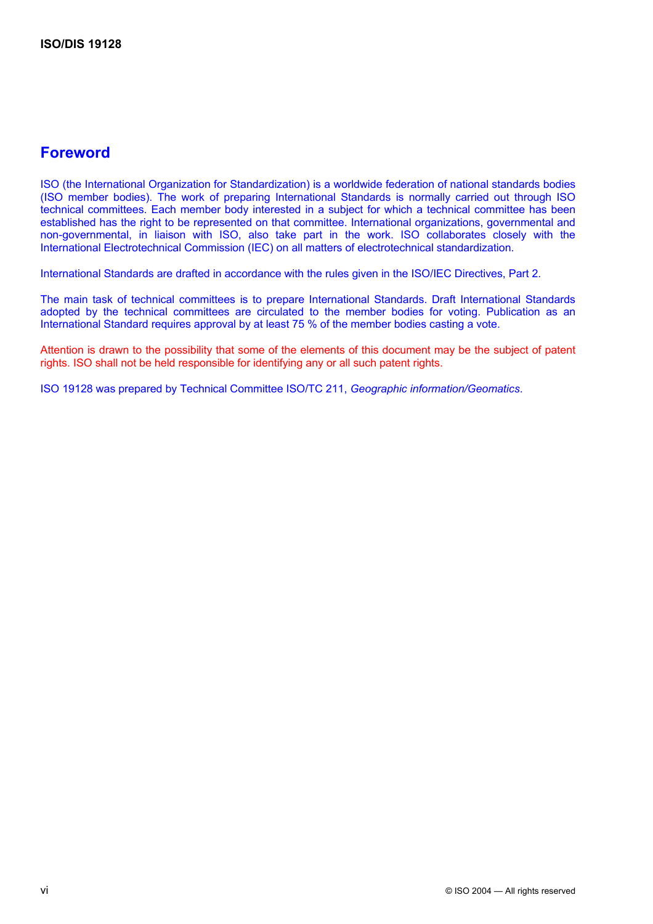# **Foreword**

ISO (the International Organization for Standardization) is a worldwide federation of national standards bodies (ISO member bodies). The work of preparing International Standards is normally carried out through ISO technical committees. Each member body interested in a subject for which a technical committee has been established has the right to be represented on that committee. International organizations, governmental and non-governmental, in liaison with ISO, also take part in the work. ISO collaborates closely with the International Electrotechnical Commission (IEC) on all matters of electrotechnical standardization.

International Standards are drafted in accordance with the rules given in the ISO/IEC Directives, Part 2.

The main task of technical committees is to prepare International Standards. Draft International Standards adopted by the technical committees are circulated to the member bodies for voting. Publication as an International Standard requires approval by at least 75 % of the member bodies casting a vote.

Attention is drawn to the possibility that some of the elements of this document may be the subject of patent rights. ISO shall not be held responsible for identifying any or all such patent rights.

ISO 19128 was prepared by Technical Committee ISO/TC 211, *Geographic information/Geomatics*.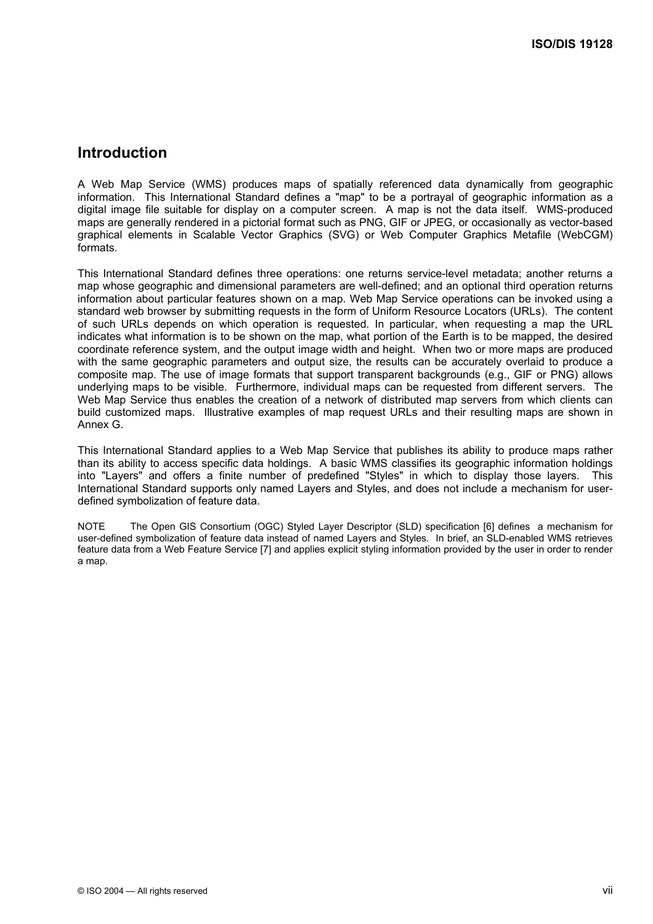# **Introduction**

A Web Map Service (WMS) produces maps of spatially referenced data dynamically from geographic information. This International Standard defines a "map" to be a portrayal of geographic information as a digital image file suitable for display on a computer screen. A map is not the data itself. WMS-produced maps are generally rendered in a pictorial format such as PNG, GIF or JPEG, or occasionally as vector-based graphical elements in Scalable Vector Graphics (SVG) or Web Computer Graphics Metafile (WebCGM) formats.

This International Standard defines three operations: one returns service-level metadata; another returns a map whose geographic and dimensional parameters are well-defined; and an optional third operation returns information about particular features shown on a map. Web Map Service operations can be invoked using a standard web browser by submitting requests in the form of Uniform Resource Locators (URLs). The content of such URLs depends on which operation is requested. In particular, when requesting a map the URL indicates what information is to be shown on the map, what portion of the Earth is to be mapped, the desired coordinate reference system, and the output image width and height. When two or more maps are produced with the same geographic parameters and output size, the results can be accurately overlaid to produce a composite map. The use of image formats that support transparent backgrounds (e.g., GIF or PNG) allows underlying maps to be visible. Furthermore, individual maps can be requested from different servers. The Web Map Service thus enables the creation of a network of distributed map servers from which clients can build customized maps. Illustrative examples of map request URLs and their resulting maps are shown in Annex G.

This International Standard applies to a Web Map Service that publishes its ability to produce maps rather than its ability to access specific data holdings. A basic WMS classifies its geographic information holdings into "Layers" and offers a finite number of predefined "Styles" in which to display those layers. This International Standard supports only named Layers and Styles, and does not include a mechanism for userdefined symbolization of feature data.

NOTE The Open GIS Consortium (OGC) Styled Layer Descriptor (SLD) specification [6] defines a mechanism for user-defined symbolization of feature data instead of named Layers and Styles. In brief, an SLD-enabled WMS retrieves feature data from a Web Feature Service [7] and applies explicit styling information provided by the user in order to render a map.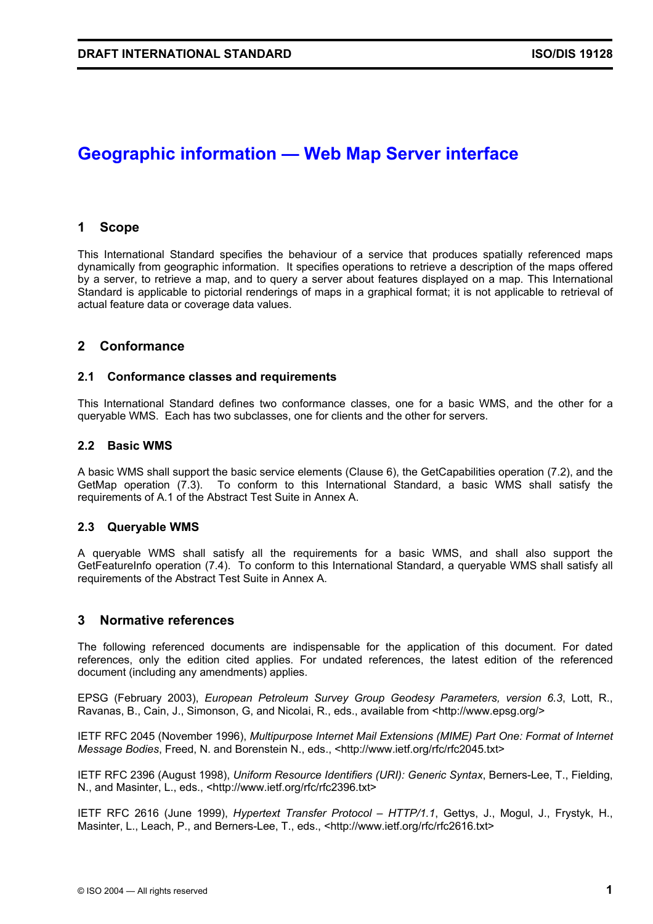# **Geographic information — Web Map Server interface**

# **1 Scope**

This International Standard specifies the behaviour of a service that produces spatially referenced maps dynamically from geographic information. It specifies operations to retrieve a description of the maps offered by a server, to retrieve a map, and to query a server about features displayed on a map. This International Standard is applicable to pictorial renderings of maps in a graphical format; it is not applicable to retrieval of actual feature data or coverage data values.

# **2 Conformance**

### **2.1 Conformance classes and requirements**

This International Standard defines two conformance classes, one for a basic WMS, and the other for a queryable WMS. Each has two subclasses, one for clients and the other for servers.

### **2.2 Basic WMS**

A basic WMS shall support the basic service elements (Clause 6), the GetCapabilities operation (7.2), and the GetMap operation (7.3). To conform to this International Standard, a basic WMS shall satisfy the requirements of A.1 of the Abstract Test Suite in Annex A.

# **2.3 Queryable WMS**

A queryable WMS shall satisfy all the requirements for a basic WMS, and shall also support the GetFeatureInfo operation (7.4). To conform to this International Standard, a queryable WMS shall satisfy all requirements of the Abstract Test Suite in Annex A.

# **3 Normative references**

The following referenced documents are indispensable for the application of this document. For dated references, only the edition cited applies. For undated references, the latest edition of the referenced document (including any amendments) applies.

EPSG (February 2003), *European Petroleum Survey Group Geodesy Parameters, version 6.3*, Lott, R., Ravanas, B., Cain, J., Simonson, G, and Nicolai, R., eds., available from <http://www.epsg.org/>

IETF RFC 2045 (November 1996), *Multipurpose Internet Mail Extensions (MIME) Part One: Format of Internet Message Bodies*, Freed, N. and Borenstein N., eds., <http://www.ietf.org/rfc/rfc2045.txt>

IETF RFC 2396 (August 1998), *Uniform Resource Identifiers (URI): Generic Syntax*, Berners-Lee, T., Fielding, N., and Masinter, L., eds., <http://www.ietf.org/rfc/rfc2396.txt>

IETF RFC 2616 (June 1999), *Hypertext Transfer Protocol – HTTP/1.1*, Gettys, J., Mogul, J., Frystyk, H., Masinter, L., Leach, P., and Berners-Lee, T., eds., <http://www.ietf.org/rfc/rfc2616.txt>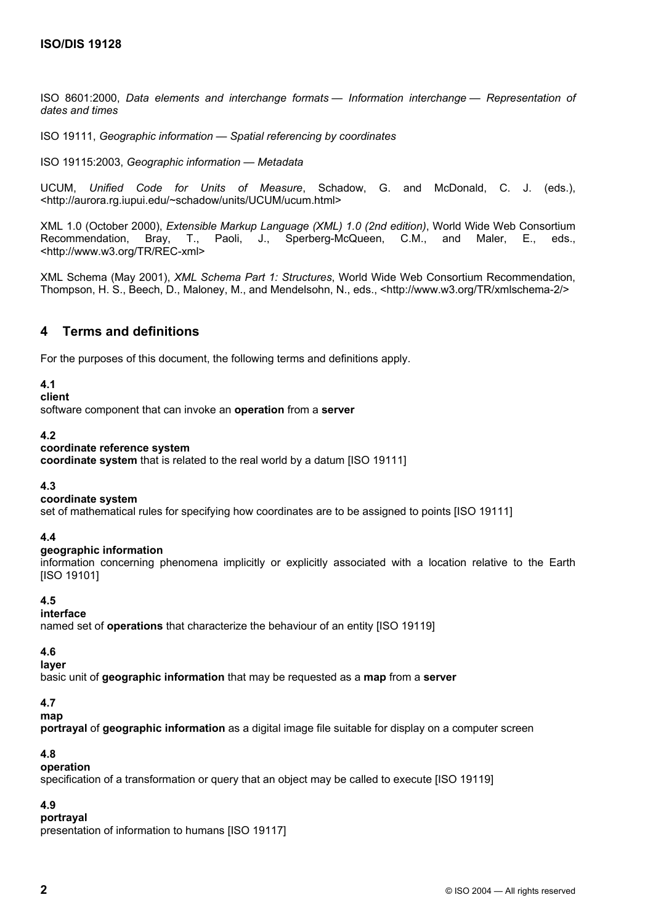ISO 8601:2000, *Data elements and interchange formats — Information interchange — Representation of dates and times* 

ISO 19111, *Geographic information — Spatial referencing by coordinates*

ISO 19115:2003, *Geographic information — Metadata*

UCUM, *Unified Code for Units of Measure*, Schadow, G. and McDonald, C. J. (eds.), <http://aurora.rg.iupui.edu/~schadow/units/UCUM/ucum.html>

XML 1.0 (October 2000), *Extensible Markup Language (XML) 1.0 (2nd edition)*, World Wide Web Consortium Recommendation, Bray, T., Paoli, J., Sperberg-McQueen, C.M., and Maler, E., eds., <http://www.w3.org/TR/REC-xml>

XML Schema (May 2001), *XML Schema Part 1: Structures*, World Wide Web Consortium Recommendation, Thompson, H. S., Beech, D., Maloney, M., and Mendelsohn, N., eds., <http://www.w3.org/TR/xmlschema-2/>

# **4 Terms and definitions**

For the purposes of this document, the following terms and definitions apply.

#### **4.1**

#### **client**

software component that can invoke an **operation** from a **server**

#### **4.2**

#### **coordinate reference system**

**coordinate system** that is related to the real world by a datum [ISO 19111]

#### **4.3**

#### **coordinate system**

set of mathematical rules for specifying how coordinates are to be assigned to points [ISO 19111]

#### **4.4**

#### **geographic information**

information concerning phenomena implicitly or explicitly associated with a location relative to the Earth [ISO 19101]

#### **4.5**

# **interface**

named set of **operations** that characterize the behaviour of an entity [ISO 19119]

#### **4.6**

#### **layer**

basic unit of **geographic information** that may be requested as a **map** from a **server**

#### **4.7**

# **map**

**portrayal** of **geographic information** as a digital image file suitable for display on a computer screen

#### **4.8**

#### **operation**

specification of a transformation or query that an object may be called to execute [ISO 19119]

# **4.9**

# **portrayal**

presentation of information to humans [ISO 19117]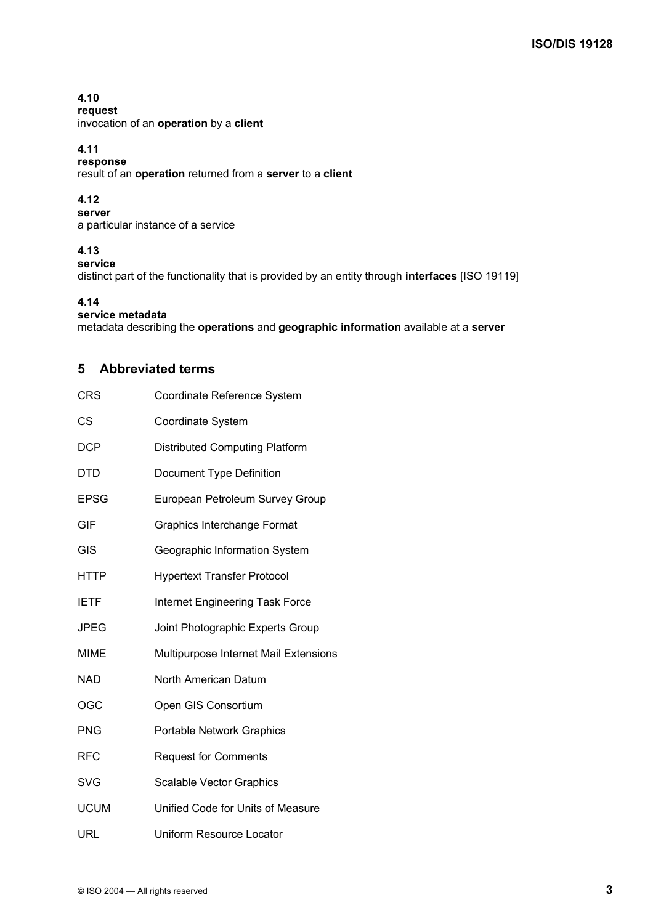# **4.10**

**request**  invocation of an **operation** by a **client**

# **4.11**

**response**  result of an **operation** returned from a **server** to a **client**

# **4.12**

**server**  a particular instance of a service

# **4.13**

**service** 

distinct part of the functionality that is provided by an entity through **interfaces** [ISO 19119]

# **4.14**

# **service metadata**

metadata describing the **operations** and **geographic information** available at a **server**

# **5 Abbreviated terms**

| <b>CRS</b>  | Coordinate Reference System            |  |  |
|-------------|----------------------------------------|--|--|
| CS          | Coordinate System                      |  |  |
| <b>DCP</b>  | <b>Distributed Computing Platform</b>  |  |  |
| DTD         | Document Type Definition               |  |  |
| <b>EPSG</b> | European Petroleum Survey Group        |  |  |
| <b>GIF</b>  | <b>Graphics Interchange Format</b>     |  |  |
| GIS         | Geographic Information System          |  |  |
| <b>HTTP</b> | <b>Hypertext Transfer Protocol</b>     |  |  |
| <b>IETF</b> | <b>Internet Engineering Task Force</b> |  |  |
| JPEG        | Joint Photographic Experts Group       |  |  |
| <b>MIME</b> | Multipurpose Internet Mail Extensions  |  |  |
| <b>NAD</b>  | North American Datum                   |  |  |
| OGC         | Open GIS Consortium                    |  |  |
| <b>PNG</b>  | <b>Portable Network Graphics</b>       |  |  |
| <b>RFC</b>  | <b>Request for Comments</b>            |  |  |
| SVG         | <b>Scalable Vector Graphics</b>        |  |  |
| <b>UCUM</b> | Unified Code for Units of Measure      |  |  |
| URL         | Uniform Resource Locator               |  |  |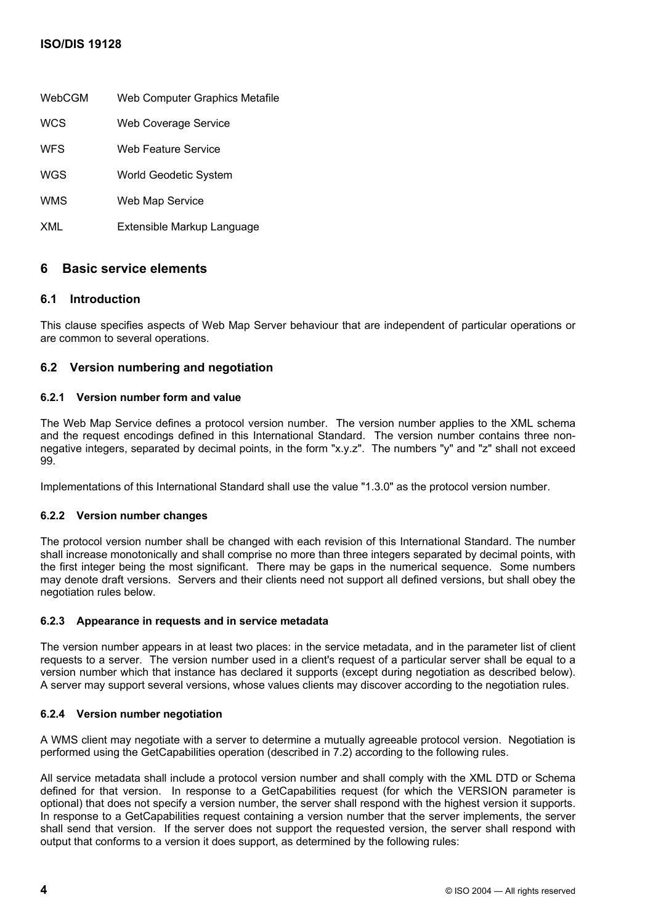# **ISO/DIS 19128**

| WebCGM     | Web Computer Graphics Metafile |
|------------|--------------------------------|
| <b>WCS</b> | <b>Web Coverage Service</b>    |
| <b>WFS</b> | Web Feature Service            |
| WGS        | World Geodetic System          |
| <b>WMS</b> | Web Map Service                |
| XML        | Extensible Markup Language     |
|            |                                |

# **6 Basic service elements**

# **6.1 Introduction**

This clause specifies aspects of Web Map Server behaviour that are independent of particular operations or are common to several operations.

# **6.2 Version numbering and negotiation**

# **6.2.1 Version number form and value**

The Web Map Service defines a protocol version number. The version number applies to the XML schema and the request encodings defined in this International Standard. The version number contains three nonnegative integers, separated by decimal points, in the form "x.y.z". The numbers "y" and "z" shall not exceed 99.

Implementations of this International Standard shall use the value "1.3.0" as the protocol version number.

# **6.2.2 Version number changes**

The protocol version number shall be changed with each revision of this International Standard. The number shall increase monotonically and shall comprise no more than three integers separated by decimal points, with the first integer being the most significant. There may be gaps in the numerical sequence. Some numbers may denote draft versions. Servers and their clients need not support all defined versions, but shall obey the negotiation rules below.

# **6.2.3 Appearance in requests and in service metadata**

The version number appears in at least two places: in the service metadata, and in the parameter list of client requests to a server. The version number used in a client's request of a particular server shall be equal to a version number which that instance has declared it supports (except during negotiation as described below). A server may support several versions, whose values clients may discover according to the negotiation rules.

# **6.2.4 Version number negotiation**

A WMS client may negotiate with a server to determine a mutually agreeable protocol version. Negotiation is performed using the GetCapabilities operation (described in 7.2) according to the following rules.

All service metadata shall include a protocol version number and shall comply with the XML DTD or Schema defined for that version. In response to a GetCapabilities request (for which the VERSION parameter is optional) that does not specify a version number, the server shall respond with the highest version it supports. In response to a GetCapabilities request containing a version number that the server implements, the server shall send that version. If the server does not support the requested version, the server shall respond with output that conforms to a version it does support, as determined by the following rules: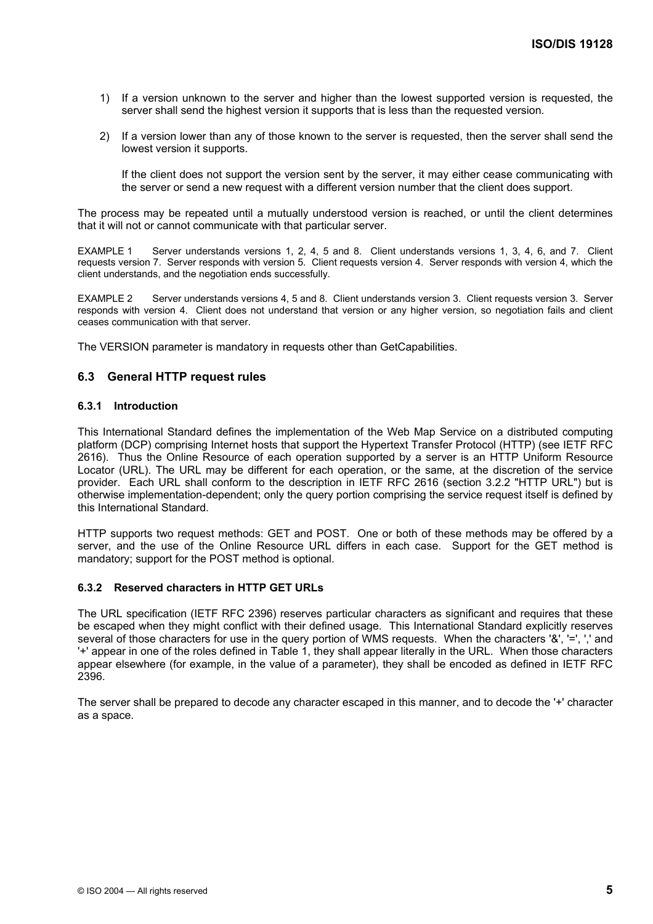- 1) If a version unknown to the server and higher than the lowest supported version is requested, the server shall send the highest version it supports that is less than the requested version.
- 2) If a version lower than any of those known to the server is requested, then the server shall send the lowest version it supports.

If the client does not support the version sent by the server, it may either cease communicating with the server or send a new request with a different version number that the client does support.

The process may be repeated until a mutually understood version is reached, or until the client determines that it will not or cannot communicate with that particular server.

EXAMPLE 1 Server understands versions 1, 2, 4, 5 and 8. Client understands versions 1, 3, 4, 6, and 7. Client requests version 7. Server responds with version 5. Client requests version 4. Server responds with version 4, which the client understands, and the negotiation ends successfully.

EXAMPLE 2 Server understands versions 4, 5 and 8. Client understands version 3. Client requests version 3. Server responds with version 4. Client does not understand that version or any higher version, so negotiation fails and client ceases communication with that server.

The VERSION parameter is mandatory in requests other than GetCapabilities.

# **6.3 General HTTP request rules**

#### **6.3.1 Introduction**

This International Standard defines the implementation of the Web Map Service on a distributed computing platform (DCP) comprising Internet hosts that support the Hypertext Transfer Protocol (HTTP) (see IETF RFC 2616). Thus the Online Resource of each operation supported by a server is an HTTP Uniform Resource Locator (URL). The URL may be different for each operation, or the same, at the discretion of the service provider. Each URL shall conform to the description in IETF RFC 2616 (section 3.2.2 "HTTP URL") but is otherwise implementation-dependent; only the query portion comprising the service request itself is defined by this International Standard.

HTTP supports two request methods: GET and POST. One or both of these methods may be offered by a server, and the use of the Online Resource URL differs in each case. Support for the GET method is mandatory; support for the POST method is optional.

#### **6.3.2 Reserved characters in HTTP GET URLs**

The URL specification (IETF RFC 2396) reserves particular characters as significant and requires that these be escaped when they might conflict with their defined usage. This International Standard explicitly reserves several of those characters for use in the query portion of WMS requests. When the characters '&', '=', ',' and '+' appear in one of the roles defined in Table 1, they shall appear literally in the URL. When those characters appear elsewhere (for example, in the value of a parameter), they shall be encoded as defined in IETF RFC 2396.

The server shall be prepared to decode any character escaped in this manner, and to decode the '+' character as a space.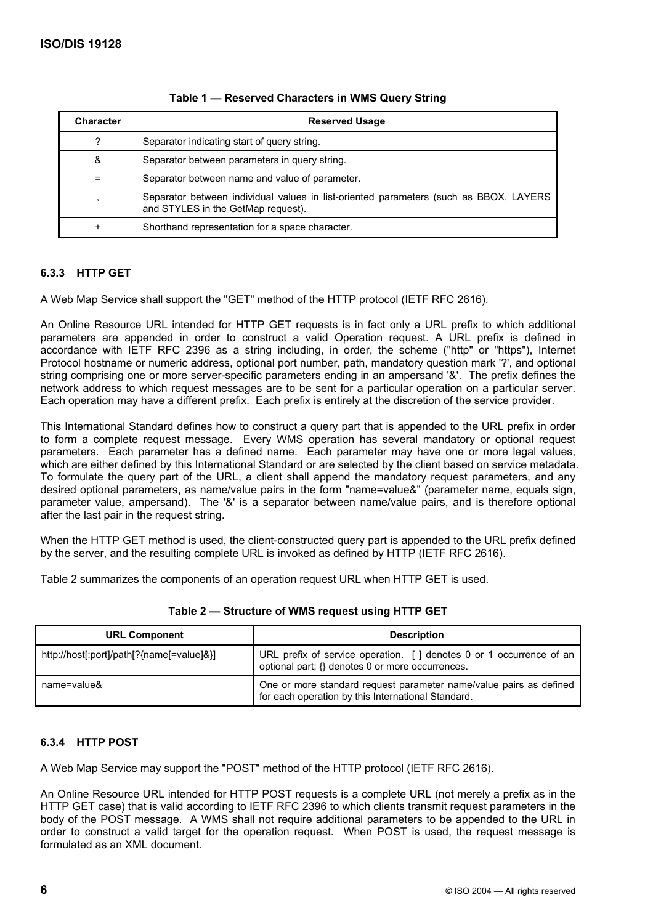| <b>Character</b> | <b>Reserved Usage</b>                                                                                                       |  |
|------------------|-----------------------------------------------------------------------------------------------------------------------------|--|
| 2                | Separator indicating start of query string.                                                                                 |  |
| &                | Separator between parameters in query string.                                                                               |  |
|                  | Separator between name and value of parameter.                                                                              |  |
|                  | Separator between individual values in list-oriented parameters (such as BBOX, LAYERS<br>and STYLES in the GetMap request). |  |
|                  | Shorthand representation for a space character.                                                                             |  |

# **Table 1 — Reserved Characters in WMS Query String**

# **6.3.3 HTTP GET**

A Web Map Service shall support the "GET" method of the HTTP protocol (IETF RFC 2616).

An Online Resource URL intended for HTTP GET requests is in fact only a URL prefix to which additional parameters are appended in order to construct a valid Operation request. A URL prefix is defined in accordance with IETF RFC 2396 as a string including, in order, the scheme ("http" or "https"), Internet Protocol hostname or numeric address, optional port number, path, mandatory question mark '?', and optional string comprising one or more server-specific parameters ending in an ampersand '&'. The prefix defines the network address to which request messages are to be sent for a particular operation on a particular server. Each operation may have a different prefix. Each prefix is entirely at the discretion of the service provider.

This International Standard defines how to construct a query part that is appended to the URL prefix in order to form a complete request message. Every WMS operation has several mandatory or optional request parameters. Each parameter has a defined name. Each parameter may have one or more legal values, which are either defined by this International Standard or are selected by the client based on service metadata. To formulate the query part of the URL, a client shall append the mandatory request parameters, and any desired optional parameters, as name/value pairs in the form "name=value&" (parameter name, equals sign, parameter value, ampersand). The '&' is a separator between name/value pairs, and is therefore optional after the last pair in the request string.

When the HTTP GET method is used, the client-constructed query part is appended to the URL prefix defined by the server, and the resulting complete URL is invoked as defined by HTTP (IETF RFC 2616).

Table 2 summarizes the components of an operation request URL when HTTP GET is used.

| <b>URL Component</b>                      | <b>Description</b>                                                                                                       |
|-------------------------------------------|--------------------------------------------------------------------------------------------------------------------------|
| http://host[:port]/path[?{name[=value]&}] | URL prefix of service operation. [ ] denotes 0 or 1 occurrence of an<br>optional part; {} denotes 0 or more occurrences. |
| name=value&                               | One or more standard request parameter name/value pairs as defined<br>for each operation by this International Standard. |

**Table 2 — Structure of WMS request using HTTP GET** 

# **6.3.4 HTTP POST**

A Web Map Service may support the "POST" method of the HTTP protocol (IETF RFC 2616).

An Online Resource URL intended for HTTP POST requests is a complete URL (not merely a prefix as in the HTTP GET case) that is valid according to IETF RFC 2396 to which clients transmit request parameters in the body of the POST message. A WMS shall not require additional parameters to be appended to the URL in order to construct a valid target for the operation request. When POST is used, the request message is formulated as an XML document.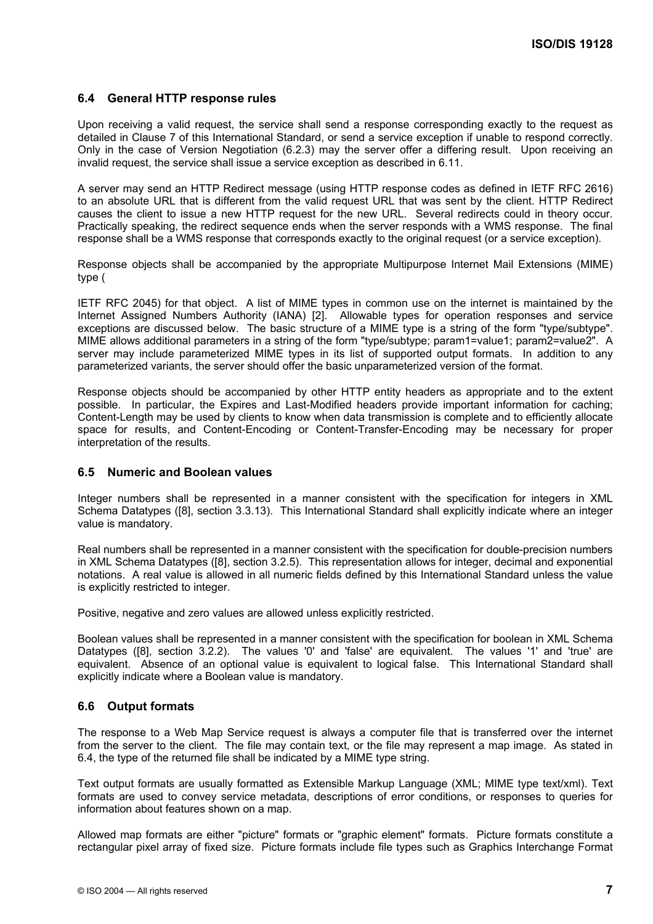# **6.4 General HTTP response rules**

Upon receiving a valid request, the service shall send a response corresponding exactly to the request as detailed in Clause 7 of this International Standard, or send a service exception if unable to respond correctly. Only in the case of Version Negotiation (6.2.3) may the server offer a differing result. Upon receiving an invalid request, the service shall issue a service exception as described in 6.11.

A server may send an HTTP Redirect message (using HTTP response codes as defined in IETF RFC 2616) to an absolute URL that is different from the valid request URL that was sent by the client. HTTP Redirect causes the client to issue a new HTTP request for the new URL. Several redirects could in theory occur. Practically speaking, the redirect sequence ends when the server responds with a WMS response. The final response shall be a WMS response that corresponds exactly to the original request (or a service exception).

Response objects shall be accompanied by the appropriate Multipurpose Internet Mail Extensions (MIME) type (

IETF RFC 2045) for that object. A list of MIME types in common use on the internet is maintained by the Internet Assigned Numbers Authority (IANA) [2]. Allowable types for operation responses and service exceptions are discussed below. The basic structure of a MIME type is a string of the form "type/subtype". MIME allows additional parameters in a string of the form "type/subtype; param1=value1; param2=value2". A server may include parameterized MIME types in its list of supported output formats. In addition to any parameterized variants, the server should offer the basic unparameterized version of the format.

Response objects should be accompanied by other HTTP entity headers as appropriate and to the extent possible. In particular, the Expires and Last-Modified headers provide important information for caching; Content-Length may be used by clients to know when data transmission is complete and to efficiently allocate space for results, and Content-Encoding or Content-Transfer-Encoding may be necessary for proper interpretation of the results.

# **6.5 Numeric and Boolean values**

Integer numbers shall be represented in a manner consistent with the specification for integers in XML Schema Datatypes ([8], section 3.3.13). This International Standard shall explicitly indicate where an integer value is mandatory.

Real numbers shall be represented in a manner consistent with the specification for double-precision numbers in XML Schema Datatypes ([8], section 3.2.5). This representation allows for integer, decimal and exponential notations. A real value is allowed in all numeric fields defined by this International Standard unless the value is explicitly restricted to integer.

Positive, negative and zero values are allowed unless explicitly restricted.

Boolean values shall be represented in a manner consistent with the specification for boolean in XML Schema Datatypes ([8], section 3.2.2). The values '0' and 'false' are equivalent. The values '1' and 'true' are equivalent. Absence of an optional value is equivalent to logical false. This International Standard shall explicitly indicate where a Boolean value is mandatory.

# **6.6 Output formats**

The response to a Web Map Service request is always a computer file that is transferred over the internet from the server to the client. The file may contain text, or the file may represent a map image. As stated in 6.4, the type of the returned file shall be indicated by a MIME type string.

Text output formats are usually formatted as Extensible Markup Language (XML; MIME type text/xml). Text formats are used to convey service metadata, descriptions of error conditions, or responses to queries for information about features shown on a map.

Allowed map formats are either "picture" formats or "graphic element" formats. Picture formats constitute a rectangular pixel array of fixed size. Picture formats include file types such as Graphics Interchange Format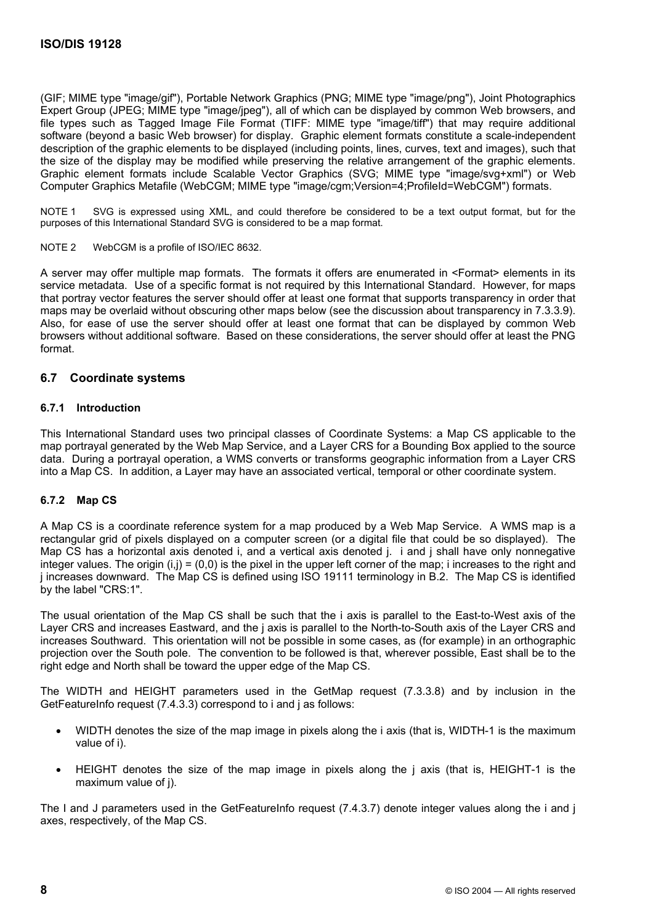(GIF; MIME type "image/gif"), Portable Network Graphics (PNG; MIME type "image/png"), Joint Photographics Expert Group (JPEG; MIME type "image/jpeg"), all of which can be displayed by common Web browsers, and file types such as Tagged Image File Format (TIFF: MIME type "image/tiff") that may require additional software (beyond a basic Web browser) for display. Graphic element formats constitute a scale-independent description of the graphic elements to be displayed (including points, lines, curves, text and images), such that the size of the display may be modified while preserving the relative arrangement of the graphic elements. Graphic element formats include Scalable Vector Graphics (SVG; MIME type "image/svg+xml") or Web Computer Graphics Metafile (WebCGM; MIME type "image/cgm;Version=4;ProfileId=WebCGM") formats.

NOTE 1 SVG is expressed using XML, and could therefore be considered to be a text output format, but for the purposes of this International Standard SVG is considered to be a map format.

NOTE 2 WebCGM is a profile of ISO/IEC 8632.

A server may offer multiple map formats. The formats it offers are enumerated in <Format> elements in its service metadata. Use of a specific format is not required by this International Standard. However, for maps that portray vector features the server should offer at least one format that supports transparency in order that maps may be overlaid without obscuring other maps below (see the discussion about transparency in 7.3.3.9). Also, for ease of use the server should offer at least one format that can be displayed by common Web browsers without additional software. Based on these considerations, the server should offer at least the PNG format.

### **6.7 Coordinate systems**

#### **6.7.1 Introduction**

This International Standard uses two principal classes of Coordinate Systems: a Map CS applicable to the map portrayal generated by the Web Map Service, and a Layer CRS for a Bounding Box applied to the source data. During a portrayal operation, a WMS converts or transforms geographic information from a Layer CRS into a Map CS. In addition, a Layer may have an associated vertical, temporal or other coordinate system.

# **6.7.2 Map CS**

A Map CS is a coordinate reference system for a map produced by a Web Map Service. A WMS map is a rectangular grid of pixels displayed on a computer screen (or a digital file that could be so displayed). The Map CS has a horizontal axis denoted i, and a vertical axis denoted j. i and j shall have only nonnegative integer values. The origin  $(i,j) = (0,0)$  is the pixel in the upper left corner of the map; i increases to the right and j increases downward. The Map CS is defined using ISO 19111 terminology in B.2. The Map CS is identified by the label "CRS:1".

The usual orientation of the Map CS shall be such that the i axis is parallel to the East-to-West axis of the Layer CRS and increases Eastward, and the j axis is parallel to the North-to-South axis of the Layer CRS and increases Southward. This orientation will not be possible in some cases, as (for example) in an orthographic projection over the South pole. The convention to be followed is that, wherever possible, East shall be to the right edge and North shall be toward the upper edge of the Map CS.

The WIDTH and HEIGHT parameters used in the GetMap request (7.3.3.8) and by inclusion in the GetFeatureInfo request (7.4.3.3) correspond to i and i as follows:

- WIDTH denotes the size of the map image in pixels along the i axis (that is, WIDTH-1 is the maximum value of i).
- HEIGHT denotes the size of the map image in pixels along the j axis (that is, HEIGHT-1 is the maximum value of j).

The I and J parameters used in the GetFeatureInfo request (7.4.3.7) denote integer values along the i and j axes, respectively, of the Map CS.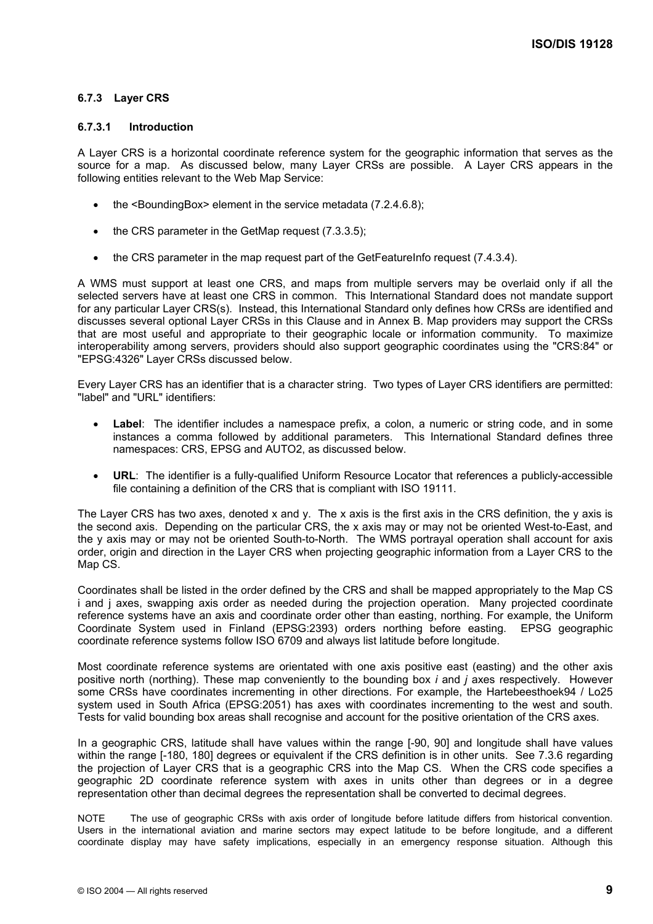# **6.7.3 Layer CRS**

### **6.7.3.1 Introduction**

A Layer CRS is a horizontal coordinate reference system for the geographic information that serves as the source for a map. As discussed below, many Layer CRSs are possible. A Layer CRS appears in the following entities relevant to the Web Map Service:

- the <BoundingBox> element in the service metadata (7.2.4.6.8);
- the CRS parameter in the GetMap request (7.3.3.5);
- the CRS parameter in the map request part of the GetFeatureInfo request (7.4.3.4).

A WMS must support at least one CRS, and maps from multiple servers may be overlaid only if all the selected servers have at least one CRS in common. This International Standard does not mandate support for any particular Layer CRS(s). Instead, this International Standard only defines how CRSs are identified and discusses several optional Layer CRSs in this Clause and in Annex B. Map providers may support the CRSs that are most useful and appropriate to their geographic locale or information community. To maximize interoperability among servers, providers should also support geographic coordinates using the "CRS:84" or "EPSG:4326" Layer CRSs discussed below.

Every Layer CRS has an identifier that is a character string. Two types of Layer CRS identifiers are permitted: "label" and "URL" identifiers:

- Label: The identifier includes a namespace prefix, a colon, a numeric or string code, and in some instances a comma followed by additional parameters. This International Standard defines three namespaces: CRS, EPSG and AUTO2, as discussed below.
- **URL**: The identifier is a fully-qualified Uniform Resource Locator that references a publicly-accessible file containing a definition of the CRS that is compliant with ISO 19111.

The Layer CRS has two axes, denoted x and y. The x axis is the first axis in the CRS definition, the y axis is the second axis. Depending on the particular CRS, the x axis may or may not be oriented West-to-East, and the y axis may or may not be oriented South-to-North. The WMS portrayal operation shall account for axis order, origin and direction in the Layer CRS when projecting geographic information from a Layer CRS to the Map CS.

Coordinates shall be listed in the order defined by the CRS and shall be mapped appropriately to the Map CS i and j axes, swapping axis order as needed during the projection operation. Many projected coordinate reference systems have an axis and coordinate order other than easting, northing. For example, the Uniform Coordinate System used in Finland (EPSG:2393) orders northing before easting. EPSG geographic coordinate reference systems follow ISO 6709 and always list latitude before longitude.

Most coordinate reference systems are orientated with one axis positive east (easting) and the other axis positive north (northing). These map conveniently to the bounding box *i* and *j* axes respectively. However some CRSs have coordinates incrementing in other directions. For example, the Hartebeesthoek94 / Lo25 system used in South Africa (EPSG:2051) has axes with coordinates incrementing to the west and south. Tests for valid bounding box areas shall recognise and account for the positive orientation of the CRS axes.

In a geographic CRS, latitude shall have values within the range [-90, 90] and longitude shall have values within the range [-180, 180] degrees or equivalent if the CRS definition is in other units. See 7.3.6 regarding the projection of Layer CRS that is a geographic CRS into the Map CS. When the CRS code specifies a geographic 2D coordinate reference system with axes in units other than degrees or in a degree representation other than decimal degrees the representation shall be converted to decimal degrees.

NOTE The use of geographic CRSs with axis order of longitude before latitude differs from historical convention. Users in the international aviation and marine sectors may expect latitude to be before longitude, and a different coordinate display may have safety implications, especially in an emergency response situation. Although this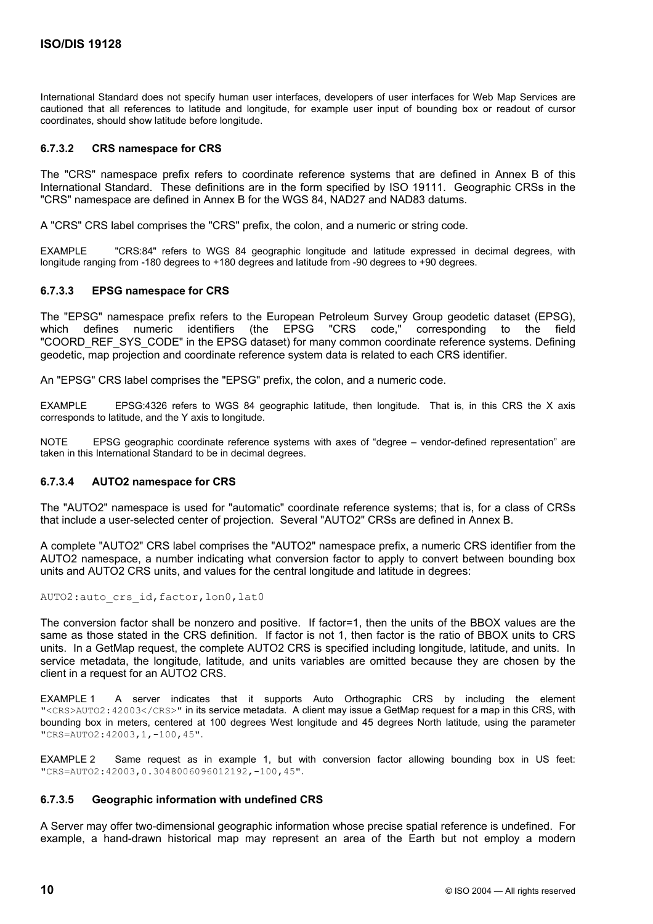International Standard does not specify human user interfaces, developers of user interfaces for Web Map Services are cautioned that all references to latitude and longitude, for example user input of bounding box or readout of cursor coordinates, should show latitude before longitude.

### **6.7.3.2 CRS namespace for CRS**

The "CRS" namespace prefix refers to coordinate reference systems that are defined in Annex B of this International Standard. These definitions are in the form specified by ISO 19111. Geographic CRSs in the "CRS" namespace are defined in Annex B for the WGS 84, NAD27 and NAD83 datums.

A "CRS" CRS label comprises the "CRS" prefix, the colon, and a numeric or string code.

EXAMPLE "CRS:84" refers to WGS 84 geographic longitude and latitude expressed in decimal degrees, with longitude ranging from -180 degrees to +180 degrees and latitude from -90 degrees to +90 degrees.

#### **6.7.3.3 EPSG namespace for CRS**

The "EPSG" namespace prefix refers to the European Petroleum Survey Group geodetic dataset (EPSG), which defines numeric identifiers (the EPSG "CRS code," corresponding to the field "COORD\_REF\_SYS\_CODE" in the EPSG dataset) for many common coordinate reference systems. Defining geodetic, map projection and coordinate reference system data is related to each CRS identifier.

An "EPSG" CRS label comprises the "EPSG" prefix, the colon, and a numeric code.

EXAMPLE EPSG:4326 refers to WGS 84 geographic latitude, then longitude. That is, in this CRS the X axis corresponds to latitude, and the Y axis to longitude.

NOTE EPSG geographic coordinate reference systems with axes of "degree – vendor-defined representation" are taken in this International Standard to be in decimal degrees.

#### **6.7.3.4 AUTO2 namespace for CRS**

The "AUTO2" namespace is used for "automatic" coordinate reference systems; that is, for a class of CRSs that include a user-selected center of projection. Several "AUTO2" CRSs are defined in Annex B.

A complete "AUTO2" CRS label comprises the "AUTO2" namespace prefix, a numeric CRS identifier from the AUTO2 namespace, a number indicating what conversion factor to apply to convert between bounding box units and AUTO2 CRS units, and values for the central longitude and latitude in degrees:

#### AUTO2: auto crs id, factor, lon0, lat0

The conversion factor shall be nonzero and positive. If factor=1, then the units of the BBOX values are the same as those stated in the CRS definition. If factor is not 1, then factor is the ratio of BBOX units to CRS units. In a GetMap request, the complete AUTO2 CRS is specified including longitude, latitude, and units. In service metadata, the longitude, latitude, and units variables are omitted because they are chosen by the client in a request for an AUTO2 CRS.

EXAMPLE 1 A server indicates that it supports Auto Orthographic CRS by including the element "<CRS>AUTO2:42003</CRS>" in its service metadata. A client may issue a GetMap request for a map in this CRS, with bounding box in meters, centered at 100 degrees West longitude and 45 degrees North latitude, using the parameter "CRS=AUTO2:42003,1,-100,45".

EXAMPLE 2 Same request as in example 1, but with conversion factor allowing bounding box in US feet: "CRS=AUTO2:42003,0.3048006096012192,-100,45".

#### **6.7.3.5 Geographic information with undefined CRS**

A Server may offer two-dimensional geographic information whose precise spatial reference is undefined. For example, a hand-drawn historical map may represent an area of the Earth but not employ a modern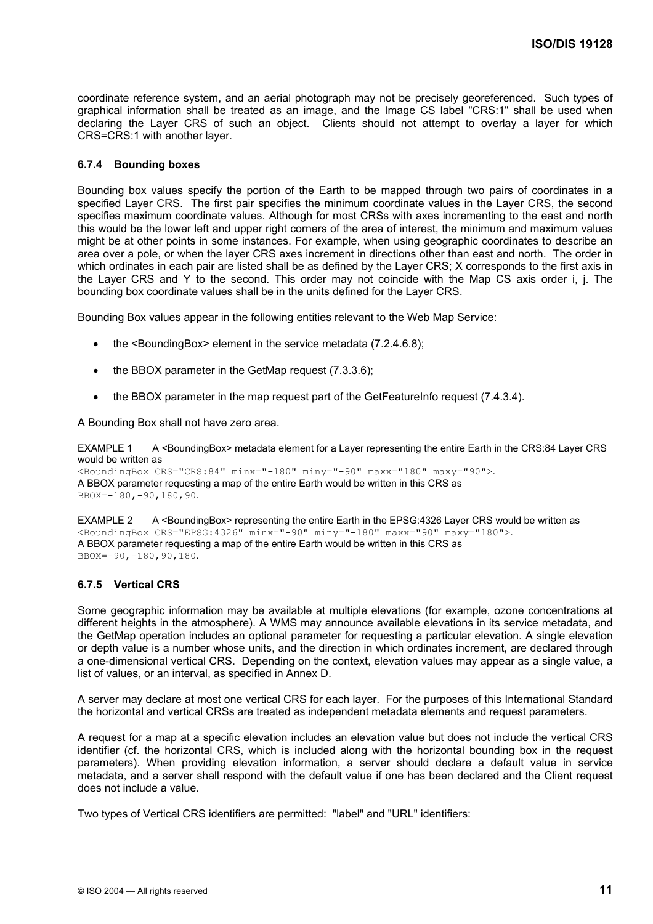coordinate reference system, and an aerial photograph may not be precisely georeferenced. Such types of graphical information shall be treated as an image, and the Image CS label "CRS:1" shall be used when declaring the Layer CRS of such an object. Clients should not attempt to overlay a layer for which CRS=CRS:1 with another layer.

#### **6.7.4 Bounding boxes**

Bounding box values specify the portion of the Earth to be mapped through two pairs of coordinates in a specified Layer CRS. The first pair specifies the minimum coordinate values in the Layer CRS, the second specifies maximum coordinate values. Although for most CRSs with axes incrementing to the east and north this would be the lower left and upper right corners of the area of interest, the minimum and maximum values might be at other points in some instances. For example, when using geographic coordinates to describe an area over a pole, or when the layer CRS axes increment in directions other than east and north. The order in which ordinates in each pair are listed shall be as defined by the Layer CRS; X corresponds to the first axis in the Layer CRS and Y to the second. This order may not coincide with the Map CS axis order i, j. The bounding box coordinate values shall be in the units defined for the Layer CRS.

Bounding Box values appear in the following entities relevant to the Web Map Service:

- the <BoundingBox> element in the service metadata (7.2.4.6.8);
- the BBOX parameter in the GetMap request (7.3.3.6);
- the BBOX parameter in the map request part of the GetFeatureInfo request (7.4.3.4).

A Bounding Box shall not have zero area.

EXAMPLE 1 A <BoundingBox> metadata element for a Layer representing the entire Earth in the CRS:84 Layer CRS would be written as

```
<BoundingBox CRS="CRS:84" minx="-180" miny="-90" maxx="180" maxy="90">. 
A BBOX parameter requesting a map of the entire Earth would be written in this CRS as 
BBOX=-180,-90,180,90.
```
EXAMPLE 2 A <BoundingBox> representing the entire Earth in the EPSG:4326 Layer CRS would be written as <BoundingBox CRS="EPSG:4326" minx="-90" miny="-180" maxx="90" maxy="180">. A BBOX parameter requesting a map of the entire Earth would be written in this CRS as BBOX=-90,-180,90,180.

#### **6.7.5 Vertical CRS**

Some geographic information may be available at multiple elevations (for example, ozone concentrations at different heights in the atmosphere). A WMS may announce available elevations in its service metadata, and the GetMap operation includes an optional parameter for requesting a particular elevation. A single elevation or depth value is a number whose units, and the direction in which ordinates increment, are declared through a one-dimensional vertical CRS. Depending on the context, elevation values may appear as a single value, a list of values, or an interval, as specified in Annex D.

A server may declare at most one vertical CRS for each layer. For the purposes of this International Standard the horizontal and vertical CRSs are treated as independent metadata elements and request parameters.

A request for a map at a specific elevation includes an elevation value but does not include the vertical CRS identifier (cf. the horizontal CRS, which is included along with the horizontal bounding box in the request parameters). When providing elevation information, a server should declare a default value in service metadata, and a server shall respond with the default value if one has been declared and the Client request does not include a value.

Two types of Vertical CRS identifiers are permitted: "label" and "URL" identifiers: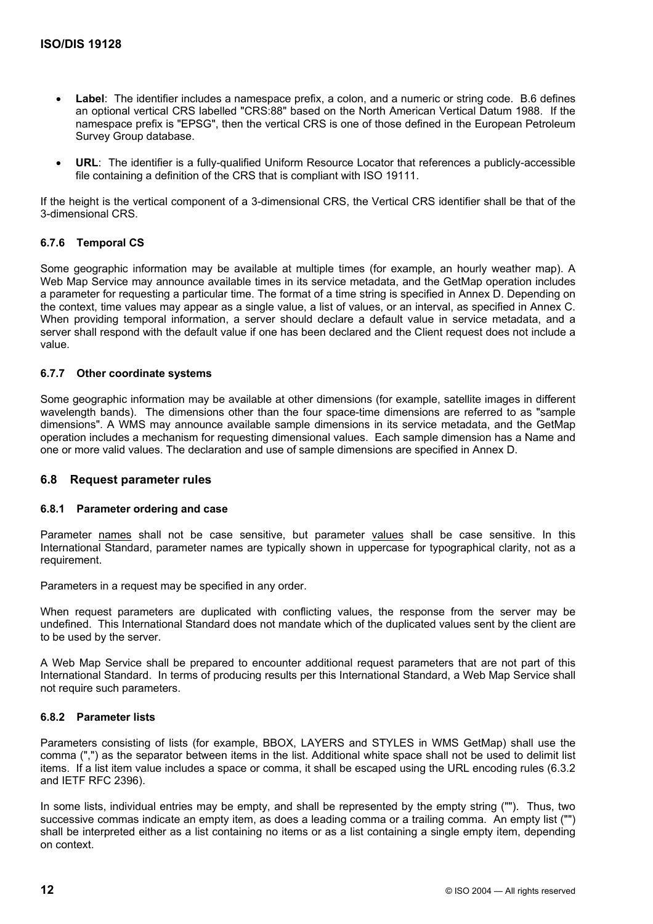- **Label:** The identifier includes a namespace prefix, a colon, and a numeric or string code. B.6 defines an optional vertical CRS labelled "CRS:88" based on the North American Vertical Datum 1988. If the namespace prefix is "EPSG", then the vertical CRS is one of those defined in the European Petroleum Survey Group database.
- **URL**: The identifier is a fully-qualified Uniform Resource Locator that references a publicly-accessible file containing a definition of the CRS that is compliant with ISO 19111.

If the height is the vertical component of a 3-dimensional CRS, the Vertical CRS identifier shall be that of the 3-dimensional CRS.

# **6.7.6 Temporal CS**

Some geographic information may be available at multiple times (for example, an hourly weather map). A Web Map Service may announce available times in its service metadata, and the GetMap operation includes a parameter for requesting a particular time. The format of a time string is specified in Annex D. Depending on the context, time values may appear as a single value, a list of values, or an interval, as specified in Annex C. When providing temporal information, a server should declare a default value in service metadata, and a server shall respond with the default value if one has been declared and the Client request does not include a value.

# **6.7.7 Other coordinate systems**

Some geographic information may be available at other dimensions (for example, satellite images in different wavelength bands). The dimensions other than the four space-time dimensions are referred to as "sample dimensions". A WMS may announce available sample dimensions in its service metadata, and the GetMap operation includes a mechanism for requesting dimensional values. Each sample dimension has a Name and one or more valid values. The declaration and use of sample dimensions are specified in Annex D.

# **6.8 Request parameter rules**

#### **6.8.1 Parameter ordering and case**

Parameter names shall not be case sensitive, but parameter values shall be case sensitive. In this International Standard, parameter names are typically shown in uppercase for typographical clarity, not as a requirement.

Parameters in a request may be specified in any order.

When request parameters are duplicated with conflicting values, the response from the server may be undefined. This International Standard does not mandate which of the duplicated values sent by the client are to be used by the server.

A Web Map Service shall be prepared to encounter additional request parameters that are not part of this International Standard. In terms of producing results per this International Standard, a Web Map Service shall not require such parameters.

# **6.8.2 Parameter lists**

Parameters consisting of lists (for example, BBOX, LAYERS and STYLES in WMS GetMap) shall use the comma (",") as the separator between items in the list. Additional white space shall not be used to delimit list items. If a list item value includes a space or comma, it shall be escaped using the URL encoding rules (6.3.2 and IETF RFC 2396).

In some lists, individual entries may be empty, and shall be represented by the empty string (""). Thus, two successive commas indicate an empty item, as does a leading comma or a trailing comma. An empty list ("") shall be interpreted either as a list containing no items or as a list containing a single empty item, depending on context.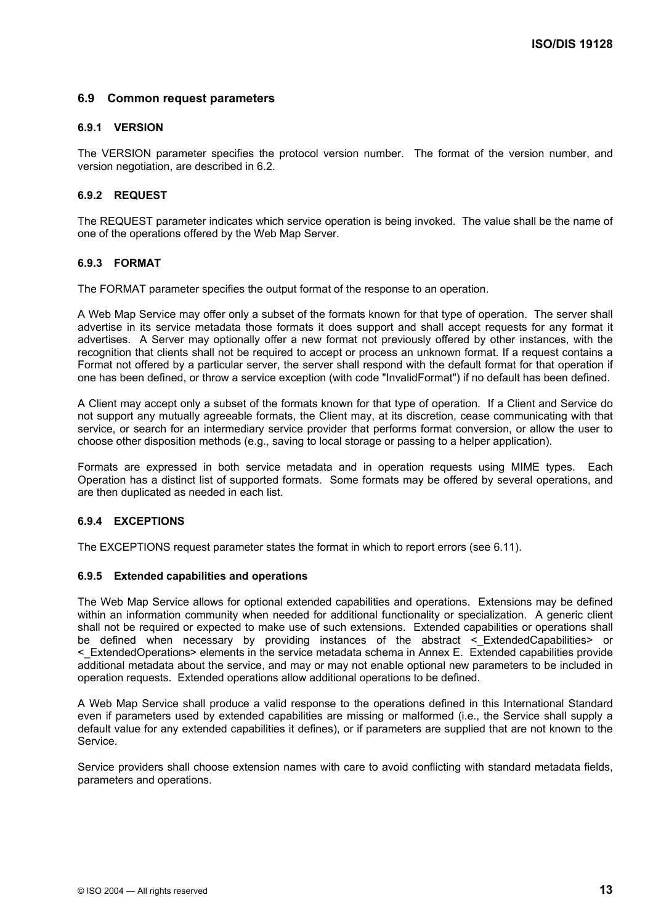# **6.9 Common request parameters**

### **6.9.1 VERSION**

The VERSION parameter specifies the protocol version number. The format of the version number, and version negotiation, are described in 6.2.

# **6.9.2 REQUEST**

The REQUEST parameter indicates which service operation is being invoked. The value shall be the name of one of the operations offered by the Web Map Server.

### **6.9.3 FORMAT**

The FORMAT parameter specifies the output format of the response to an operation.

A Web Map Service may offer only a subset of the formats known for that type of operation. The server shall advertise in its service metadata those formats it does support and shall accept requests for any format it advertises. A Server may optionally offer a new format not previously offered by other instances, with the recognition that clients shall not be required to accept or process an unknown format. If a request contains a Format not offered by a particular server, the server shall respond with the default format for that operation if one has been defined, or throw a service exception (with code "InvalidFormat") if no default has been defined.

A Client may accept only a subset of the formats known for that type of operation. If a Client and Service do not support any mutually agreeable formats, the Client may, at its discretion, cease communicating with that service, or search for an intermediary service provider that performs format conversion, or allow the user to choose other disposition methods (e.g., saving to local storage or passing to a helper application).

Formats are expressed in both service metadata and in operation requests using MIME types. Each Operation has a distinct list of supported formats. Some formats may be offered by several operations, and are then duplicated as needed in each list.

#### **6.9.4 EXCEPTIONS**

The EXCEPTIONS request parameter states the format in which to report errors (see 6.11).

#### **6.9.5 Extended capabilities and operations**

The Web Map Service allows for optional extended capabilities and operations. Extensions may be defined within an information community when needed for additional functionality or specialization. A generic client shall not be required or expected to make use of such extensions. Extended capabilities or operations shall be defined when necessary by providing instances of the abstract < ExtendedCapabilities> or <\_ExtendedOperations> elements in the service metadata schema in Annex E. Extended capabilities provide additional metadata about the service, and may or may not enable optional new parameters to be included in operation requests. Extended operations allow additional operations to be defined.

A Web Map Service shall produce a valid response to the operations defined in this International Standard even if parameters used by extended capabilities are missing or malformed (i.e., the Service shall supply a default value for any extended capabilities it defines), or if parameters are supplied that are not known to the Service.

Service providers shall choose extension names with care to avoid conflicting with standard metadata fields, parameters and operations.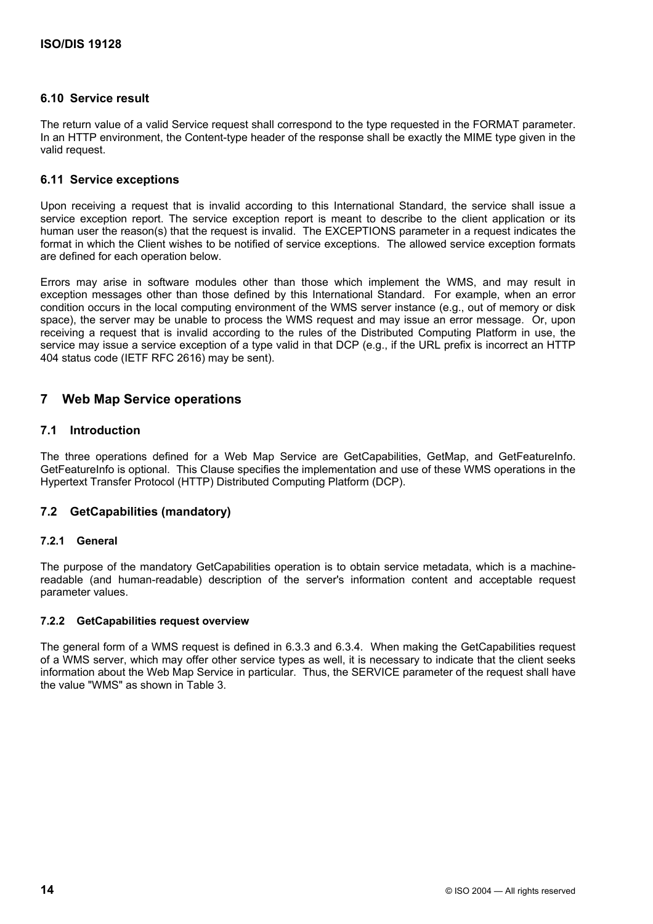# **6.10 Service result**

The return value of a valid Service request shall correspond to the type requested in the FORMAT parameter. In an HTTP environment, the Content-type header of the response shall be exactly the MIME type given in the valid request.

# **6.11 Service exceptions**

Upon receiving a request that is invalid according to this International Standard, the service shall issue a service exception report. The service exception report is meant to describe to the client application or its human user the reason(s) that the request is invalid. The EXCEPTIONS parameter in a request indicates the format in which the Client wishes to be notified of service exceptions. The allowed service exception formats are defined for each operation below.

Errors may arise in software modules other than those which implement the WMS, and may result in exception messages other than those defined by this International Standard. For example, when an error condition occurs in the local computing environment of the WMS server instance (e.g., out of memory or disk space), the server may be unable to process the WMS request and may issue an error message. Or, upon receiving a request that is invalid according to the rules of the Distributed Computing Platform in use, the service may issue a service exception of a type valid in that DCP (e.g., if the URL prefix is incorrect an HTTP 404 status code (IETF RFC 2616) may be sent).

# **7 Web Map Service operations**

# **7.1 Introduction**

The three operations defined for a Web Map Service are GetCapabilities, GetMap, and GetFeatureInfo. GetFeatureInfo is optional. This Clause specifies the implementation and use of these WMS operations in the Hypertext Transfer Protocol (HTTP) Distributed Computing Platform (DCP).

# **7.2 GetCapabilities (mandatory)**

# **7.2.1 General**

The purpose of the mandatory GetCapabilities operation is to obtain service metadata, which is a machinereadable (and human-readable) description of the server's information content and acceptable request parameter values.

# **7.2.2 GetCapabilities request overview**

The general form of a WMS request is defined in 6.3.3 and 6.3.4. When making the GetCapabilities request of a WMS server, which may offer other service types as well, it is necessary to indicate that the client seeks information about the Web Map Service in particular. Thus, the SERVICE parameter of the request shall have the value "WMS" as shown in Table 3.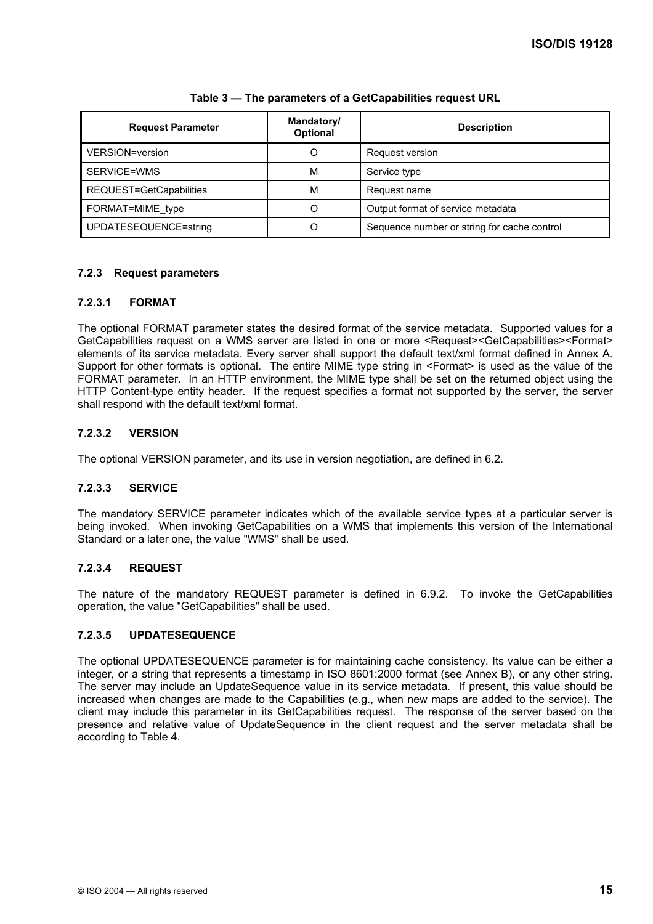| <b>Request Parameter</b> | Mandatory/<br><b>Optional</b> | <b>Description</b>                          |
|--------------------------|-------------------------------|---------------------------------------------|
| VERSION=version          | O                             | Request version                             |
| SERVICE=WMS              | M                             | Service type                                |
| REQUEST=GetCapabilities  | М                             | Request name                                |
| FORMAT=MIME_type         |                               | Output format of service metadata           |
| UPDATESEQUENCE=string    |                               | Sequence number or string for cache control |

### **Table 3 — The parameters of a GetCapabilities request URL**

# **7.2.3 Request parameters**

# **7.2.3.1 FORMAT**

The optional FORMAT parameter states the desired format of the service metadata. Supported values for a GetCapabilities request on a WMS server are listed in one or more <Request><GetCapabilities><Format> elements of its service metadata. Every server shall support the default text/xml format defined in Annex A. Support for other formats is optional. The entire MIME type string in <Format> is used as the value of the FORMAT parameter. In an HTTP environment, the MIME type shall be set on the returned object using the HTTP Content-type entity header. If the request specifies a format not supported by the server, the server shall respond with the default text/xml format.

# **7.2.3.2 VERSION**

The optional VERSION parameter, and its use in version negotiation, are defined in 6.2.

# **7.2.3.3 SERVICE**

The mandatory SERVICE parameter indicates which of the available service types at a particular server is being invoked. When invoking GetCapabilities on a WMS that implements this version of the International Standard or a later one, the value "WMS" shall be used.

# **7.2.3.4 REQUEST**

The nature of the mandatory REQUEST parameter is defined in 6.9.2. To invoke the GetCapabilities operation, the value "GetCapabilities" shall be used.

# **7.2.3.5 UPDATESEQUENCE**

The optional UPDATESEQUENCE parameter is for maintaining cache consistency. Its value can be either a integer, or a string that represents a timestamp in ISO 8601:2000 format (see Annex B), or any other string. The server may include an UpdateSequence value in its service metadata. If present, this value should be increased when changes are made to the Capabilities (e.g., when new maps are added to the service). The client may include this parameter in its GetCapabilities request. The response of the server based on the presence and relative value of UpdateSequence in the client request and the server metadata shall be according to Table 4.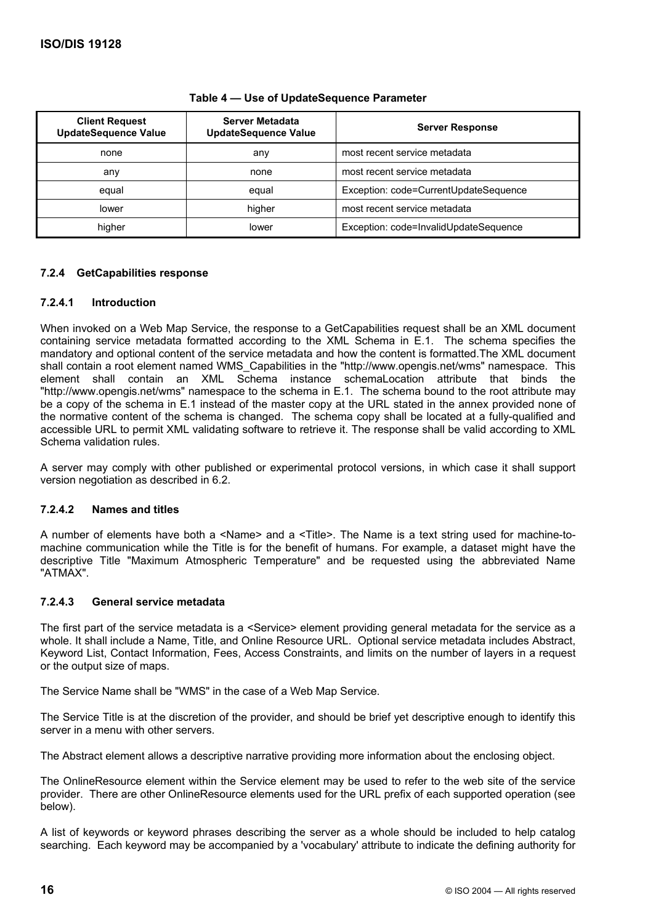| <b>Client Request</b><br><b>UpdateSequence Value</b> | Server Metadata<br><b>UpdateSequence Value</b> | <b>Server Response</b>                |
|------------------------------------------------------|------------------------------------------------|---------------------------------------|
| none                                                 | any                                            | most recent service metadata          |
| any                                                  | none                                           | most recent service metadata          |
| equal                                                | equal                                          | Exception: code=CurrentUpdateSequence |
| lower                                                | higher                                         | most recent service metadata          |
| higher                                               | lower                                          | Exception: code=InvalidUpdateSequence |

### **Table 4 — Use of UpdateSequence Parameter**

# **7.2.4 GetCapabilities response**

# **7.2.4.1 Introduction**

When invoked on a Web Map Service, the response to a GetCapabilities request shall be an XML document containing service metadata formatted according to the XML Schema in E.1. The schema specifies the mandatory and optional content of the service metadata and how the content is formatted.The XML document shall contain a root element named WMS\_Capabilities in the "http://www.opengis.net/wms" namespace. This element shall contain an XML Schema instance schemaLocation attribute that binds the "http://www.opengis.net/wms" namespace to the schema in E.1. The schema bound to the root attribute may be a copy of the schema in E.1 instead of the master copy at the URL stated in the annex provided none of the normative content of the schema is changed. The schema copy shall be located at a fully-qualified and accessible URL to permit XML validating software to retrieve it. The response shall be valid according to XML Schema validation rules.

A server may comply with other published or experimental protocol versions, in which case it shall support version negotiation as described in 6.2.

# **7.2.4.2 Names and titles**

A number of elements have both a <Name> and a <Title>. The Name is a text string used for machine-tomachine communication while the Title is for the benefit of humans. For example, a dataset might have the descriptive Title "Maximum Atmospheric Temperature" and be requested using the abbreviated Name "ATMAX".

# **7.2.4.3 General service metadata**

The first part of the service metadata is a <Service> element providing general metadata for the service as a whole. It shall include a Name, Title, and Online Resource URL. Optional service metadata includes Abstract, Keyword List, Contact Information, Fees, Access Constraints, and limits on the number of layers in a request or the output size of maps.

The Service Name shall be "WMS" in the case of a Web Map Service.

The Service Title is at the discretion of the provider, and should be brief yet descriptive enough to identify this server in a menu with other servers.

The Abstract element allows a descriptive narrative providing more information about the enclosing object.

The OnlineResource element within the Service element may be used to refer to the web site of the service provider. There are other OnlineResource elements used for the URL prefix of each supported operation (see below).

A list of keywords or keyword phrases describing the server as a whole should be included to help catalog searching. Each keyword may be accompanied by a 'vocabulary' attribute to indicate the defining authority for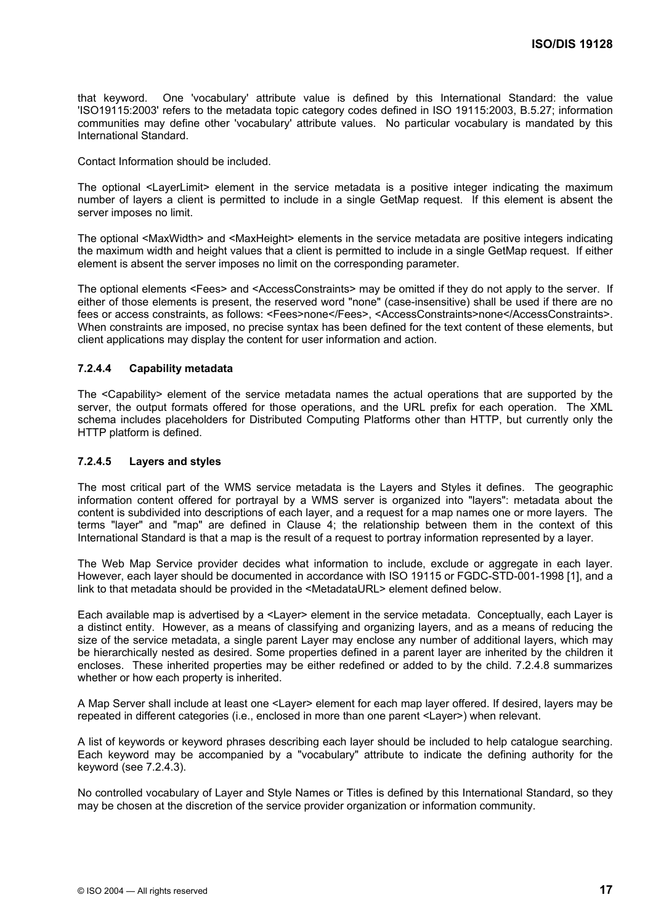that keyword. One 'vocabulary' attribute value is defined by this International Standard: the value 'ISO19115:2003' refers to the metadata topic category codes defined in ISO 19115:2003, B.5.27; information communities may define other 'vocabulary' attribute values. No particular vocabulary is mandated by this International Standard.

Contact Information should be included.

The optional <LayerLimit> element in the service metadata is a positive integer indicating the maximum number of layers a client is permitted to include in a single GetMap request. If this element is absent the server imposes no limit.

The optional <MaxWidth> and <MaxHeight> elements in the service metadata are positive integers indicating the maximum width and height values that a client is permitted to include in a single GetMap request. If either element is absent the server imposes no limit on the corresponding parameter.

The optional elements <Fees> and <AccessConstraints> may be omitted if they do not apply to the server. If either of those elements is present, the reserved word "none" (case-insensitive) shall be used if there are no fees or access constraints, as follows: <Fees>none</Fees>, <AccessConstraints>none</AccessConstraints>. When constraints are imposed, no precise syntax has been defined for the text content of these elements, but client applications may display the content for user information and action.

#### **7.2.4.4 Capability metadata**

The <Capability> element of the service metadata names the actual operations that are supported by the server, the output formats offered for those operations, and the URL prefix for each operation. The XML schema includes placeholders for Distributed Computing Platforms other than HTTP, but currently only the HTTP platform is defined.

#### **7.2.4.5 Layers and styles**

The most critical part of the WMS service metadata is the Layers and Styles it defines. The geographic information content offered for portrayal by a WMS server is organized into "layers": metadata about the content is subdivided into descriptions of each layer, and a request for a map names one or more layers. The terms "layer" and "map" are defined in Clause 4; the relationship between them in the context of this International Standard is that a map is the result of a request to portray information represented by a layer.

The Web Map Service provider decides what information to include, exclude or aggregate in each layer. However, each layer should be documented in accordance with ISO 19115 or FGDC-STD-001-1998 [1], and a link to that metadata should be provided in the <MetadataURL> element defined below.

Each available map is advertised by a <Layer> element in the service metadata. Conceptually, each Layer is a distinct entity. However, as a means of classifying and organizing layers, and as a means of reducing the size of the service metadata, a single parent Layer may enclose any number of additional layers, which may be hierarchically nested as desired. Some properties defined in a parent layer are inherited by the children it encloses. These inherited properties may be either redefined or added to by the child. 7.2.4.8 summarizes whether or how each property is inherited.

A Map Server shall include at least one <Layer> element for each map layer offered. If desired, layers may be repeated in different categories (i.e., enclosed in more than one parent <Layer>) when relevant.

A list of keywords or keyword phrases describing each layer should be included to help catalogue searching. Each keyword may be accompanied by a "vocabulary" attribute to indicate the defining authority for the keyword (see 7.2.4.3).

No controlled vocabulary of Layer and Style Names or Titles is defined by this International Standard, so they may be chosen at the discretion of the service provider organization or information community.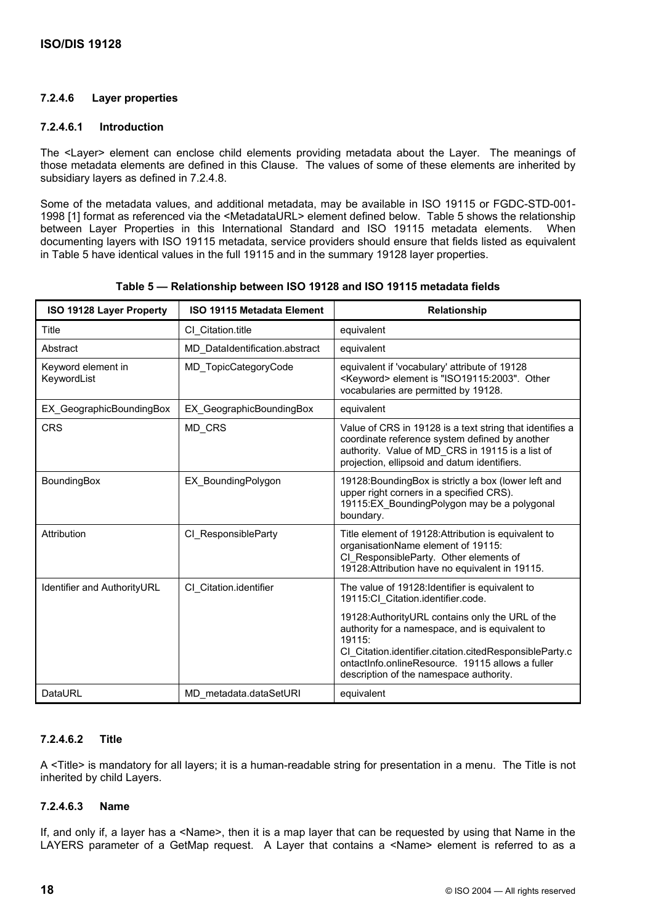# **7.2.4.6 Layer properties**

### **7.2.4.6.1 Introduction**

The <Layer> element can enclose child elements providing metadata about the Layer. The meanings of those metadata elements are defined in this Clause. The values of some of these elements are inherited by subsidiary layers as defined in 7.2.4.8.

Some of the metadata values, and additional metadata, may be available in ISO 19115 or FGDC-STD-001- 1998 [1] format as referenced via the <MetadataURL> element defined below. Table 5 shows the relationship between Layer Properties in this International Standard and ISO 19115 metadata elements. When documenting layers with ISO 19115 metadata, service providers should ensure that fields listed as equivalent in Table 5 have identical values in the full 19115 and in the summary 19128 layer properties.

| ISO 19128 Layer Property                                  | ISO 19115 Metadata Element     | Relationship                                                                                                                                                                                                                                                             |
|-----------------------------------------------------------|--------------------------------|--------------------------------------------------------------------------------------------------------------------------------------------------------------------------------------------------------------------------------------------------------------------------|
| Title<br>CI Citation.title                                |                                | equivalent                                                                                                                                                                                                                                                               |
| Abstract                                                  | MD DataIdentification.abstract | equivalent                                                                                                                                                                                                                                                               |
| MD TopicCategoryCode<br>Keyword element in<br>KeywordList |                                | equivalent if 'vocabulary' attribute of 19128<br><keyword> element is "ISO19115:2003". Other<br/>vocabularies are permitted by 19128.</keyword>                                                                                                                          |
| EX GeographicBoundingBox                                  | EX GeographicBoundingBox       | equivalent                                                                                                                                                                                                                                                               |
| <b>CRS</b>                                                | MD CRS                         | Value of CRS in 19128 is a text string that identifies a<br>coordinate reference system defined by another<br>authority. Value of MD CRS in 19115 is a list of<br>projection, ellipsoid and datum identifiers.                                                           |
| BoundingBox                                               | EX BoundingPolygon             | 19128: Bounding Box is strictly a box (lower left and<br>upper right corners in a specified CRS).<br>19115:EX BoundingPolygon may be a polygonal<br>boundary.                                                                                                            |
| Attribution                                               | CI ResponsibleParty            | Title element of 19128: Attribution is equivalent to<br>organisationName element of 19115:<br>CI ResponsibleParty. Other elements of<br>19128: Attribution have no equivalent in 19115.                                                                                  |
| Identifier and AuthorityURL                               | CI Citation.identifier         | The value of 19128: Identifier is equivalent to<br>19115:Cl Citation.identifier.code.                                                                                                                                                                                    |
|                                                           |                                | 19128: Authority URL contains only the URL of the<br>authority for a namespace, and is equivalent to<br>19115:<br>CI Citation.identifier.citation.citedResponsibleParty.c<br>ontactInfo.onlineResource. 19115 allows a fuller<br>description of the namespace authority. |
| DataURL<br>MD_metadata.dataSetURI                         |                                | equivalent                                                                                                                                                                                                                                                               |

|  |  |  | Table 5 — Relationship between ISO 19128 and ISO 19115 metadata fields |
|--|--|--|------------------------------------------------------------------------|
|--|--|--|------------------------------------------------------------------------|

# **7.2.4.6.2 Title**

A <Title> is mandatory for all layers; it is a human-readable string for presentation in a menu. The Title is not inherited by child Layers.

# **7.2.4.6.3 Name**

If, and only if, a layer has a <Name>, then it is a map layer that can be requested by using that Name in the LAYERS parameter of a GetMap request. A Layer that contains a <Name> element is referred to as a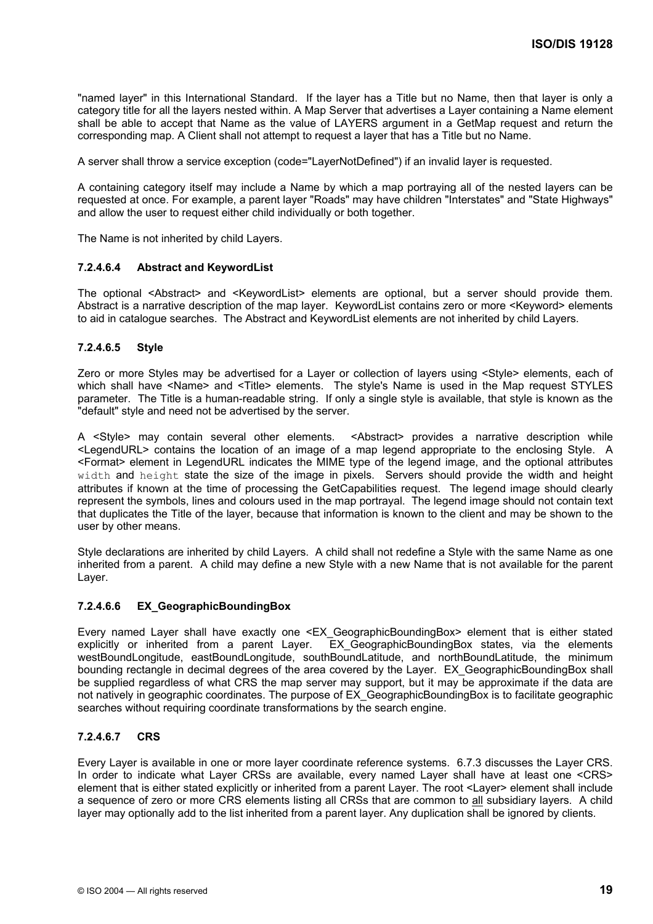"named layer" in this International Standard. If the layer has a Title but no Name, then that layer is only a category title for all the layers nested within. A Map Server that advertises a Layer containing a Name element shall be able to accept that Name as the value of LAYERS argument in a GetMap request and return the corresponding map. A Client shall not attempt to request a layer that has a Title but no Name.

A server shall throw a service exception (code="LayerNotDefined") if an invalid layer is requested.

A containing category itself may include a Name by which a map portraying all of the nested layers can be requested at once. For example, a parent layer "Roads" may have children "Interstates" and "State Highways" and allow the user to request either child individually or both together.

The Name is not inherited by child Layers.

### **7.2.4.6.4 Abstract and KeywordList**

The optional <Abstract> and <KeywordList> elements are optional, but a server should provide them. Abstract is a narrative description of the map layer. KeywordList contains zero or more <Keyword> elements to aid in catalogue searches. The Abstract and KeywordList elements are not inherited by child Layers.

### **7.2.4.6.5 Style**

Zero or more Styles may be advertised for a Layer or collection of layers using <Style> elements, each of which shall have <Name> and <Title> elements. The style's Name is used in the Map request STYLES parameter. The Title is a human-readable string. If only a single style is available, that style is known as the "default" style and need not be advertised by the server.

A <Style> may contain several other elements. <Abstract> provides a narrative description while <LegendURL> contains the location of an image of a map legend appropriate to the enclosing Style. A <Format> element in LegendURL indicates the MIME type of the legend image, and the optional attributes width and height state the size of the image in pixels. Servers should provide the width and height attributes if known at the time of processing the GetCapabilities request. The legend image should clearly represent the symbols, lines and colours used in the map portrayal. The legend image should not contain text that duplicates the Title of the layer, because that information is known to the client and may be shown to the user by other means.

Style declarations are inherited by child Layers. A child shall not redefine a Style with the same Name as one inherited from a parent. A child may define a new Style with a new Name that is not available for the parent Layer.

# **7.2.4.6.6 EX\_GeographicBoundingBox**

Every named Layer shall have exactly one <EX\_GeographicBoundingBox> element that is either stated explicitly or inherited from a parent Layer. EX GeographicBoundingBox states, via the elements westBoundLongitude, eastBoundLongitude, southBoundLatitude, and northBoundLatitude, the minimum bounding rectangle in decimal degrees of the area covered by the Layer. EX\_GeographicBoundingBox shall be supplied regardless of what CRS the map server may support, but it may be approximate if the data are not natively in geographic coordinates. The purpose of EX\_GeographicBoundingBox is to facilitate geographic searches without requiring coordinate transformations by the search engine.

# **7.2.4.6.7 CRS**

Every Layer is available in one or more layer coordinate reference systems. 6.7.3 discusses the Layer CRS. In order to indicate what Layer CRSs are available, every named Layer shall have at least one <CRS> element that is either stated explicitly or inherited from a parent Layer. The root <Layer> element shall include a sequence of zero or more CRS elements listing all CRSs that are common to all subsidiary layers. A child layer may optionally add to the list inherited from a parent layer. Any duplication shall be ignored by clients.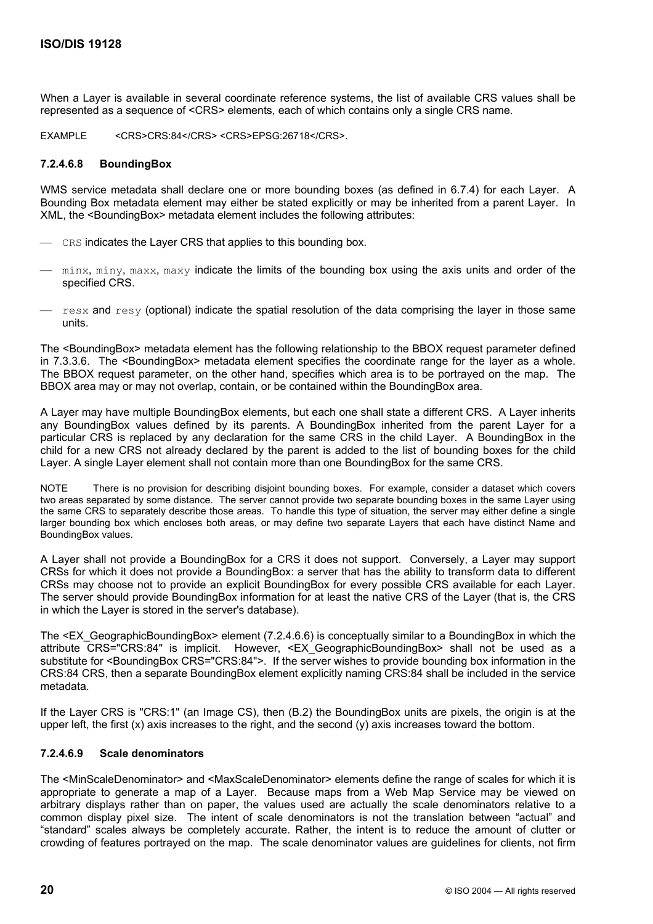When a Layer is available in several coordinate reference systems, the list of available CRS values shall be represented as a sequence of <CRS> elements, each of which contains only a single CRS name.

EXAMPLE <CRS>CRS:84</CRS> <CRS>EPSG:26718</CRS>.

#### **7.2.4.6.8 BoundingBox**

WMS service metadata shall declare one or more bounding boxes (as defined in 6.7.4) for each Layer. A Bounding Box metadata element may either be stated explicitly or may be inherited from a parent Layer. In XML, the <BoundingBox> metadata element includes the following attributes:

- CRS indicates the Layer CRS that applies to this bounding box.
- minx, miny, maxx, maxy indicate the limits of the bounding box using the axis units and order of the specified CRS.
- $-$  resx and resy (optional) indicate the spatial resolution of the data comprising the layer in those same units.

The <BoundingBox> metadata element has the following relationship to the BBOX request parameter defined in 7.3.3.6. The <BoundingBox> metadata element specifies the coordinate range for the layer as a whole. The BBOX request parameter, on the other hand, specifies which area is to be portrayed on the map. The BBOX area may or may not overlap, contain, or be contained within the BoundingBox area.

A Layer may have multiple BoundingBox elements, but each one shall state a different CRS. A Layer inherits any BoundingBox values defined by its parents. A BoundingBox inherited from the parent Layer for a particular CRS is replaced by any declaration for the same CRS in the child Layer. A BoundingBox in the child for a new CRS not already declared by the parent is added to the list of bounding boxes for the child Layer. A single Layer element shall not contain more than one BoundingBox for the same CRS.

NOTE There is no provision for describing disjoint bounding boxes. For example, consider a dataset which covers two areas separated by some distance. The server cannot provide two separate bounding boxes in the same Layer using the same CRS to separately describe those areas. To handle this type of situation, the server may either define a single larger bounding box which encloses both areas, or may define two separate Layers that each have distinct Name and BoundingBox values.

A Layer shall not provide a BoundingBox for a CRS it does not support. Conversely, a Layer may support CRSs for which it does not provide a BoundingBox: a server that has the ability to transform data to different CRSs may choose not to provide an explicit BoundingBox for every possible CRS available for each Layer. The server should provide BoundingBox information for at least the native CRS of the Layer (that is, the CRS in which the Layer is stored in the server's database).

The <EX\_GeographicBoundingBox> element (7.2.4.6.6) is conceptually similar to a BoundingBox in which the attribute CRS="CRS:84" is implicit. However, <EX\_GeographicBoundingBox> shall not be used as a substitute for <BoundingBox CRS="CRS:84">. If the server wishes to provide bounding box information in the CRS:84 CRS, then a separate BoundingBox element explicitly naming CRS:84 shall be included in the service metadata.

If the Layer CRS is "CRS:1" (an Image CS), then (B.2) the BoundingBox units are pixels, the origin is at the upper left, the first  $(x)$  axis increases to the right, and the second  $(y)$  axis increases toward the bottom.

# **7.2.4.6.9 Scale denominators**

The <MinScaleDenominator> and <MaxScaleDenominator> elements define the range of scales for which it is appropriate to generate a map of a Layer. Because maps from a Web Map Service may be viewed on arbitrary displays rather than on paper, the values used are actually the scale denominators relative to a common display pixel size. The intent of scale denominators is not the translation between "actual" and "standard" scales always be completely accurate. Rather, the intent is to reduce the amount of clutter or crowding of features portrayed on the map. The scale denominator values are guidelines for clients, not firm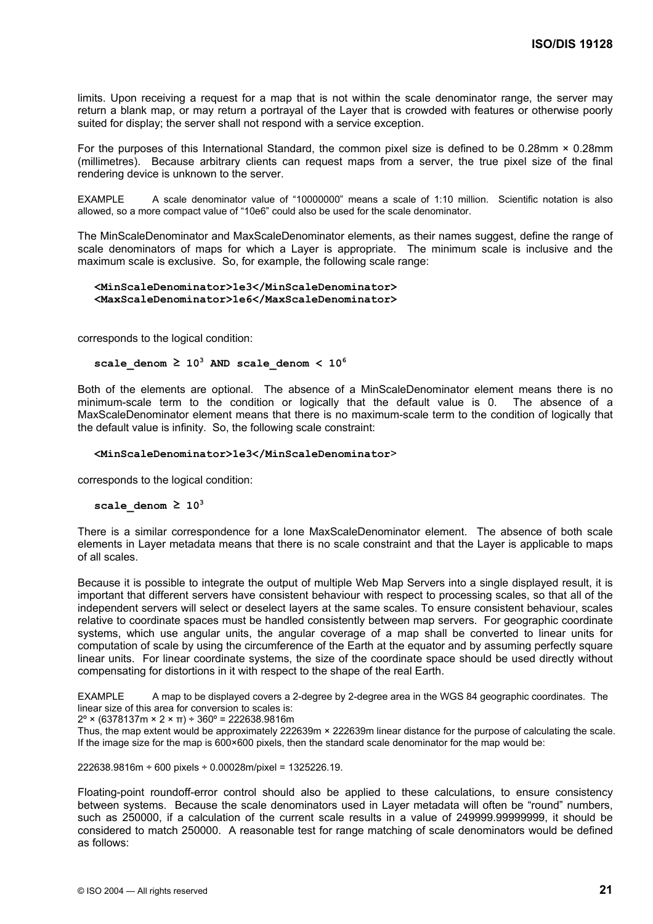limits. Upon receiving a request for a map that is not within the scale denominator range, the server may return a blank map, or may return a portrayal of the Layer that is crowded with features or otherwise poorly suited for display; the server shall not respond with a service exception.

For the purposes of this International Standard, the common pixel size is defined to be 0.28mm × 0.28mm (millimetres). Because arbitrary clients can request maps from a server, the true pixel size of the final rendering device is unknown to the server.

EXAMPLE A scale denominator value of "10000000" means a scale of 1:10 million. Scientific notation is also allowed, so a more compact value of "10e6" could also be used for the scale denominator.

The MinScaleDenominator and MaxScaleDenominator elements, as their names suggest, define the range of scale denominators of maps for which a Layer is appropriate. The minimum scale is inclusive and the maximum scale is exclusive. So, for example, the following scale range:

#### **<MinScaleDenominator>1e3</MinScaleDenominator> <MaxScaleDenominator>1e6</MaxScaleDenominator>**

corresponds to the logical condition:

#### **scale\_denom ≥ 103 AND scale\_denom < 10<sup>6</sup>**

Both of the elements are optional. The absence of a MinScaleDenominator element means there is no minimum-scale term to the condition or logically that the default value is 0. The absence of a MaxScaleDenominator element means that there is no maximum-scale term to the condition of logically that the default value is infinity. So, the following scale constraint:

#### **<MinScaleDenominator>1e3</MinScaleDenominator**>

corresponds to the logical condition:

#### $scale$  denom  $\geq 10^3$

There is a similar correspondence for a lone MaxScaleDenominator element. The absence of both scale elements in Layer metadata means that there is no scale constraint and that the Layer is applicable to maps of all scales.

Because it is possible to integrate the output of multiple Web Map Servers into a single displayed result, it is important that different servers have consistent behaviour with respect to processing scales, so that all of the independent servers will select or deselect layers at the same scales. To ensure consistent behaviour, scales relative to coordinate spaces must be handled consistently between map servers. For geographic coordinate systems, which use angular units, the angular coverage of a map shall be converted to linear units for computation of scale by using the circumference of the Earth at the equator and by assuming perfectly square linear units. For linear coordinate systems, the size of the coordinate space should be used directly without compensating for distortions in it with respect to the shape of the real Earth.

EXAMPLE A map to be displayed covers a 2-degree by 2-degree area in the WGS 84 geographic coordinates. The linear size of this area for conversion to scales is:

2º × (6378137m × 2 × π) ÷ 360º = 222638.9816m

Thus, the map extent would be approximately 222639m × 222639m linear distance for the purpose of calculating the scale. If the image size for the map is 600×600 pixels, then the standard scale denominator for the map would be:

 $222638.9816m \div 600$  pixels  $\div 0.00028m/p$ ixel = 1325226.19.

Floating-point roundoff-error control should also be applied to these calculations, to ensure consistency between systems. Because the scale denominators used in Layer metadata will often be "round" numbers, such as 250000, if a calculation of the current scale results in a value of 249999.99999999, it should be considered to match 250000. A reasonable test for range matching of scale denominators would be defined as follows: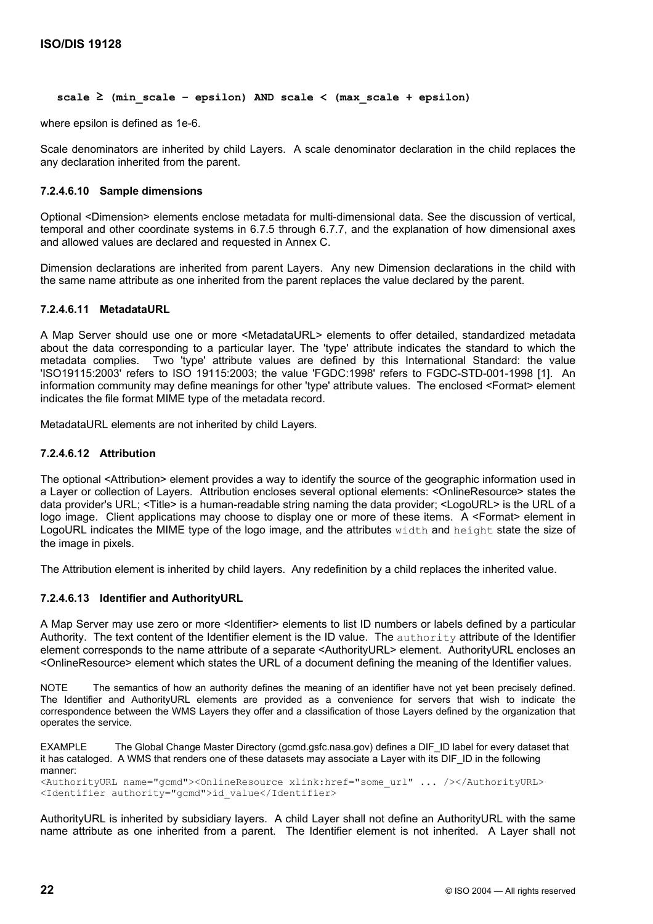```
scale ≥ (min_scale – epsilon) AND scale < (max_scale + epsilon)
```
where epsilon is defined as 1e-6.

Scale denominators are inherited by child Layers. A scale denominator declaration in the child replaces the any declaration inherited from the parent.

#### **7.2.4.6.10 Sample dimensions**

Optional <Dimension> elements enclose metadata for multi-dimensional data. See the discussion of vertical, temporal and other coordinate systems in 6.7.5 through 6.7.7, and the explanation of how dimensional axes and allowed values are declared and requested in Annex C.

Dimension declarations are inherited from parent Layers. Any new Dimension declarations in the child with the same name attribute as one inherited from the parent replaces the value declared by the parent.

### **7.2.4.6.11 MetadataURL**

A Map Server should use one or more <MetadataURL> elements to offer detailed, standardized metadata about the data corresponding to a particular layer. The 'type' attribute indicates the standard to which the metadata complies. Two 'type' attribute values are defined by this International Standard: the value 'ISO19115:2003' refers to ISO 19115:2003; the value 'FGDC:1998' refers to FGDC-STD-001-1998 [1]. An information community may define meanings for other 'type' attribute values. The enclosed <Format> element indicates the file format MIME type of the metadata record.

MetadataURL elements are not inherited by child Layers.

#### **7.2.4.6.12 Attribution**

The optional <Attribution> element provides a way to identify the source of the geographic information used in a Layer or collection of Layers. Attribution encloses several optional elements: <OnlineResource> states the data provider's URL; <Title> is a human-readable string naming the data provider; <LogoURL> is the URL of a logo image. Client applications may choose to display one or more of these items. A <Format> element in LogoURL indicates the MIME type of the logo image, and the attributes width and height state the size of the image in pixels.

The Attribution element is inherited by child layers. Any redefinition by a child replaces the inherited value.

#### **7.2.4.6.13 Identifier and AuthorityURL**

A Map Server may use zero or more <Identifier> elements to list ID numbers or labels defined by a particular Authority. The text content of the Identifier element is the ID value. The authority attribute of the Identifier element corresponds to the name attribute of a separate <AuthorityURL> element. AuthorityURL encloses an <OnlineResource> element which states the URL of a document defining the meaning of the Identifier values.

NOTE The semantics of how an authority defines the meaning of an identifier have not yet been precisely defined. The Identifier and AuthorityURL elements are provided as a convenience for servers that wish to indicate the correspondence between the WMS Layers they offer and a classification of those Layers defined by the organization that operates the service.

EXAMPLE The Global Change Master Directory (gcmd.gsfc.nasa.gov) defines a DIF\_ID label for every dataset that it has cataloged. A WMS that renders one of these datasets may associate a Layer with its DIF\_ID in the following manner:

```
<AuthorityURL name="gcmd"><OnlineResource xlink:href="some_url" ... /></AuthorityURL> 
<Identifier authority="gcmd">id_value</Identifier>
```
AuthorityURL is inherited by subsidiary layers. A child Layer shall not define an AuthorityURL with the same name attribute as one inherited from a parent. The Identifier element is not inherited. A Layer shall not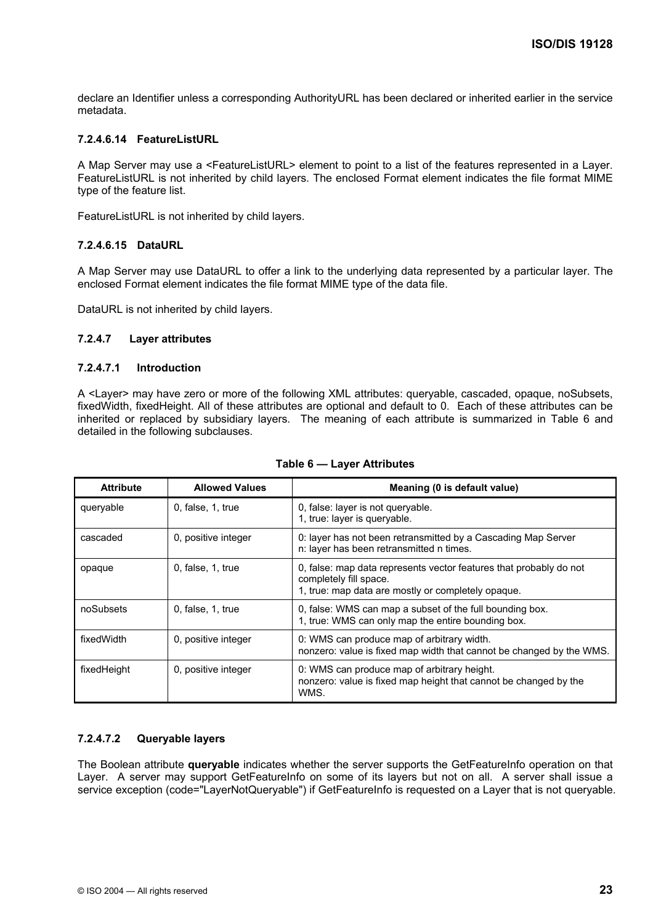declare an Identifier unless a corresponding AuthorityURL has been declared or inherited earlier in the service metadata.

### **7.2.4.6.14 FeatureListURL**

A Map Server may use a <FeatureListURL> element to point to a list of the features represented in a Layer. FeatureListURL is not inherited by child layers. The enclosed Format element indicates the file format MIME type of the feature list.

FeatureListURL is not inherited by child layers.

#### **7.2.4.6.15 DataURL**

A Map Server may use DataURL to offer a link to the underlying data represented by a particular layer. The enclosed Format element indicates the file format MIME type of the data file.

DataURL is not inherited by child layers.

#### **7.2.4.7 Layer attributes**

#### **7.2.4.7.1 Introduction**

A <Layer> may have zero or more of the following XML attributes: queryable, cascaded, opaque, noSubsets, fixedWidth, fixedHeight. All of these attributes are optional and default to 0. Each of these attributes can be inherited or replaced by subsidiary layers. The meaning of each attribute is summarized in Table 6 and detailed in the following subclauses.

| <b>Attribute</b> | <b>Allowed Values</b>   | Meaning (0 is default value)                                                                                                                       |
|------------------|-------------------------|----------------------------------------------------------------------------------------------------------------------------------------------------|
| queryable        | $0$ , false, $1$ , true | 0, false: layer is not queryable.<br>1, true: layer is queryable.                                                                                  |
| cascaded         | 0, positive integer     | 0: layer has not been retransmitted by a Cascading Map Server<br>n: layer has been retransmitted n times.                                          |
| opaque           | 0, false, 1, true       | 0, false: map data represents vector features that probably do not<br>completely fill space.<br>1, true: map data are mostly or completely opaque. |
| noSubsets        | 0, false, 1, true       | 0, false: WMS can map a subset of the full bounding box.<br>1, true: WMS can only map the entire bounding box.                                     |
| fixedWidth       | 0, positive integer     | 0: WMS can produce map of arbitrary width.<br>nonzero: value is fixed map width that cannot be changed by the WMS.                                 |
| fixedHeight      | 0, positive integer     | 0: WMS can produce map of arbitrary height.<br>nonzero: value is fixed map height that cannot be changed by the<br>WMS.                            |

#### **Table 6 — Layer Attributes**

# **7.2.4.7.2 Queryable layers**

The Boolean attribute **queryable** indicates whether the server supports the GetFeatureInfo operation on that Layer. A server may support GetFeatureInfo on some of its layers but not on all. A server shall issue a service exception (code="LayerNotQueryable") if GetFeatureInfo is requested on a Layer that is not queryable.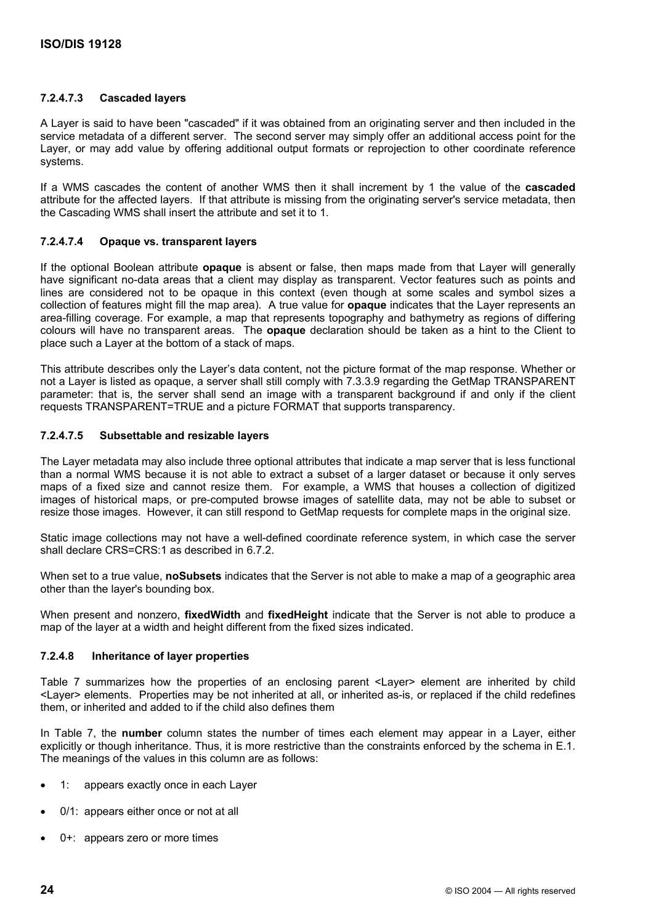# **7.2.4.7.3 Cascaded layers**

A Layer is said to have been "cascaded" if it was obtained from an originating server and then included in the service metadata of a different server. The second server may simply offer an additional access point for the Layer, or may add value by offering additional output formats or reprojection to other coordinate reference systems.

If a WMS cascades the content of another WMS then it shall increment by 1 the value of the **cascaded** attribute for the affected layers. If that attribute is missing from the originating server's service metadata, then the Cascading WMS shall insert the attribute and set it to 1.

# **7.2.4.7.4 Opaque vs. transparent layers**

If the optional Boolean attribute **opaque** is absent or false, then maps made from that Layer will generally have significant no-data areas that a client may display as transparent. Vector features such as points and lines are considered not to be opaque in this context (even though at some scales and symbol sizes a collection of features might fill the map area). A true value for **opaque** indicates that the Layer represents an area-filling coverage. For example, a map that represents topography and bathymetry as regions of differing colours will have no transparent areas. The **opaque** declaration should be taken as a hint to the Client to place such a Layer at the bottom of a stack of maps.

This attribute describes only the Layer's data content, not the picture format of the map response. Whether or not a Layer is listed as opaque, a server shall still comply with 7.3.3.9 regarding the GetMap TRANSPARENT parameter: that is, the server shall send an image with a transparent background if and only if the client requests TRANSPARENT=TRUE and a picture FORMAT that supports transparency.

### **7.2.4.7.5 Subsettable and resizable layers**

The Layer metadata may also include three optional attributes that indicate a map server that is less functional than a normal WMS because it is not able to extract a subset of a larger dataset or because it only serves maps of a fixed size and cannot resize them. For example, a WMS that houses a collection of digitized images of historical maps, or pre-computed browse images of satellite data, may not be able to subset or resize those images. However, it can still respond to GetMap requests for complete maps in the original size.

Static image collections may not have a well-defined coordinate reference system, in which case the server shall declare CRS=CRS:1 as described in 6.7.2.

When set to a true value, **noSubsets** indicates that the Server is not able to make a map of a geographic area other than the layer's bounding box.

When present and nonzero, **fixedWidth** and **fixedHeight** indicate that the Server is not able to produce a map of the layer at a width and height different from the fixed sizes indicated.

#### **7.2.4.8 Inheritance of layer properties**

Table 7 summarizes how the properties of an enclosing parent <Layer> element are inherited by child <Layer> elements. Properties may be not inherited at all, or inherited as-is, or replaced if the child redefines them, or inherited and added to if the child also defines them

In Table 7, the **number** column states the number of times each element may appear in a Layer, either explicitly or though inheritance. Thus, it is more restrictive than the constraints enforced by the schema in E.1. The meanings of the values in this column are as follows:

- 1: appears exactly once in each Layer
- 0/1: appears either once or not at all
- 0+: appears zero or more times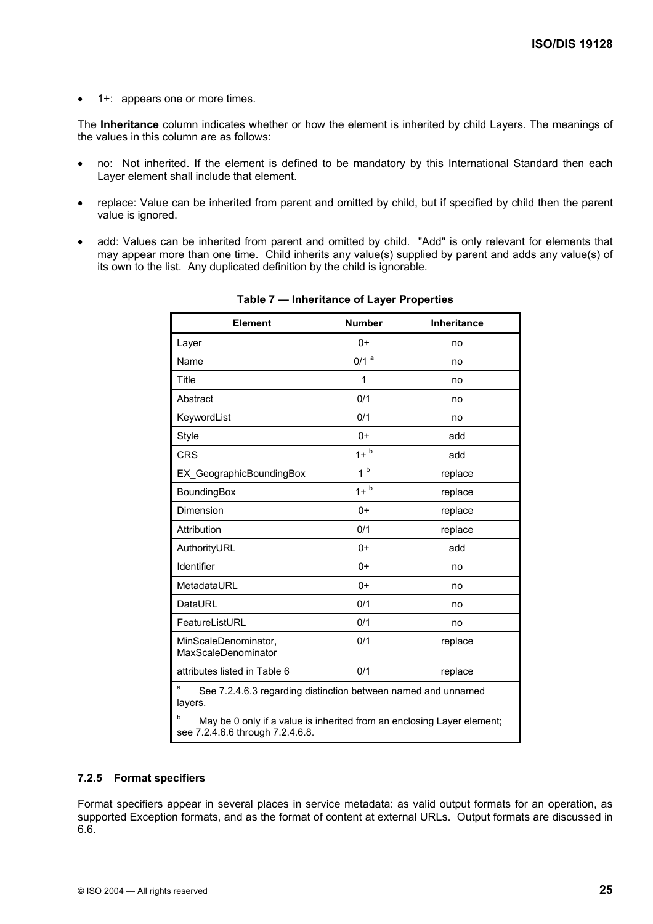• 1+: appears one or more times.

The **Inheritance** column indicates whether or how the element is inherited by child Layers. The meanings of the values in this column are as follows:

- no: Not inherited. If the element is defined to be mandatory by this International Standard then each Layer element shall include that element.
- replace: Value can be inherited from parent and omitted by child, but if specified by child then the parent value is ignored.
- add: Values can be inherited from parent and omitted by child. "Add" is only relevant for elements that may appear more than one time. Child inherits any value(s) supplied by parent and adds any value(s) of its own to the list. Any duplicated definition by the child is ignorable.

| <b>Element</b>                                                                                                                                                                              | <b>Number</b>      | <b>Inheritance</b> |  |
|---------------------------------------------------------------------------------------------------------------------------------------------------------------------------------------------|--------------------|--------------------|--|
| Layer                                                                                                                                                                                       | $0+$               | no                 |  |
| Name                                                                                                                                                                                        | $0/1$ <sup>a</sup> | no                 |  |
| Title                                                                                                                                                                                       | 1                  | no                 |  |
| Abstract                                                                                                                                                                                    | 0/1                | no                 |  |
| KeywordList                                                                                                                                                                                 | 0/1                | no                 |  |
| Style                                                                                                                                                                                       | $0+$               | add                |  |
| <b>CRS</b>                                                                                                                                                                                  | $1+$ <sub>b</sub>  | add                |  |
| EX GeographicBoundingBox                                                                                                                                                                    | 1 <sup>b</sup>     | replace            |  |
| BoundingBox                                                                                                                                                                                 | $1+$ <sup>b</sup>  | replace            |  |
| Dimension                                                                                                                                                                                   | $0+$               | replace            |  |
| Attribution                                                                                                                                                                                 | 0/1                | replace            |  |
| AuthorityURL                                                                                                                                                                                | $0+$               | add                |  |
| Identifier                                                                                                                                                                                  | $0+$               | no                 |  |
| MetadataURL                                                                                                                                                                                 | $0+$               | no                 |  |
| DataURL                                                                                                                                                                                     | 0/1                | no                 |  |
| FeatureListURL                                                                                                                                                                              | 0/1                | no                 |  |
| MinScaleDenominator,<br><b>MaxScaleDenominator</b>                                                                                                                                          | 0/1                | replace            |  |
| attributes listed in Table 6                                                                                                                                                                | 0/1                | replace            |  |
| a<br>See 7.2.4.6.3 regarding distinction between named and unnamed<br>layers.<br>May be 0 only if a value is inherited from an enclosing Layer element;<br>see 7.2.4.6.6 through 7.2.4.6.8. |                    |                    |  |

**Table 7 — Inheritance of Layer Properties** 

#### **7.2.5 Format specifiers**

Format specifiers appear in several places in service metadata: as valid output formats for an operation, as supported Exception formats, and as the format of content at external URLs. Output formats are discussed in 6.6.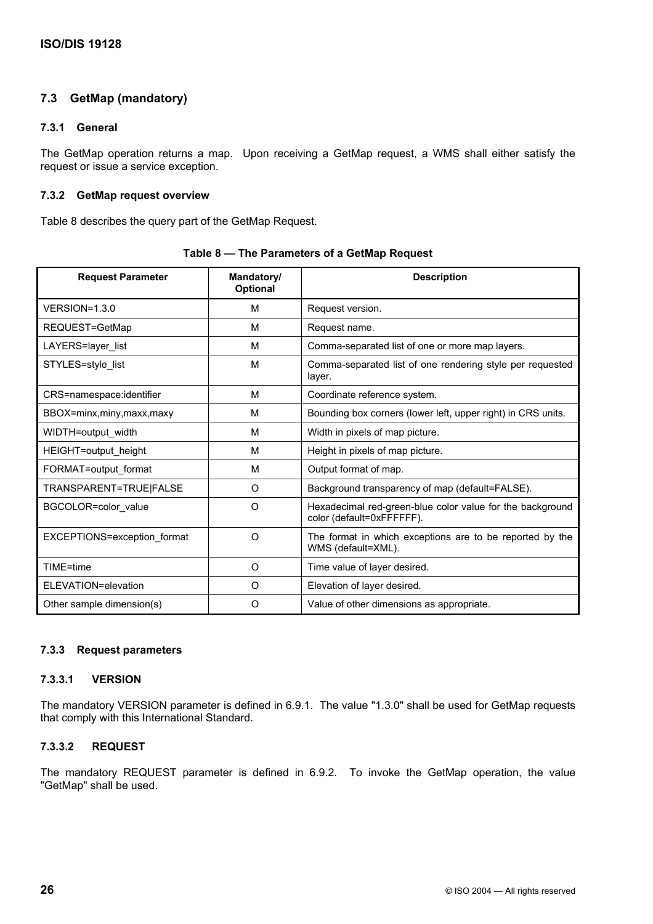# **7.3 GetMap (mandatory)**

# **7.3.1 General**

The GetMap operation returns a map. Upon receiving a GetMap request, a WMS shall either satisfy the request or issue a service exception.

# **7.3.2 GetMap request overview**

Table 8 describes the query part of the GetMap Request.

| <b>Request Parameter</b>    | Mandatory/<br>Optional | <b>Description</b>                                                                     |  |
|-----------------------------|------------------------|----------------------------------------------------------------------------------------|--|
| $VERSION = 1.3.0$           | м                      | Request version.                                                                       |  |
| REQUEST=GetMap              | M                      | Request name.                                                                          |  |
| LAYERS=layer_list           | M                      | Comma-separated list of one or more map layers.                                        |  |
| STYLES=style_list           | M                      | Comma-separated list of one rendering style per requested<br>layer.                    |  |
| CRS=namespace:identifier    | м                      | Coordinate reference system.                                                           |  |
| BBOX=minx,miny,maxx,maxy    | M                      | Bounding box corners (lower left, upper right) in CRS units.                           |  |
| WIDTH=output_width          | M                      | Width in pixels of map picture.                                                        |  |
| HEIGHT=output height        | M                      | Height in pixels of map picture.                                                       |  |
| FORMAT=output format        | M                      | Output format of map.                                                                  |  |
| TRANSPARENT=TRUE FALSE      | $\circ$                | Background transparency of map (default=FALSE).                                        |  |
| BGCOLOR=color_value         | $\circ$                | Hexadecimal red-green-blue color value for the background<br>color (default=0xFFFFFF). |  |
| EXCEPTIONS=exception format | O                      | The format in which exceptions are to be reported by the<br>WMS (default=XML).         |  |
| TIME=time                   | O                      | Time value of layer desired.                                                           |  |
| ELEVATION=elevation         | O                      | Elevation of layer desired.                                                            |  |
| Other sample dimension(s)   | O                      | Value of other dimensions as appropriate.                                              |  |

**Table 8 — The Parameters of a GetMap Request** 

# **7.3.3 Request parameters**

# **7.3.3.1 VERSION**

The mandatory VERSION parameter is defined in 6.9.1. The value "1.3.0" shall be used for GetMap requests that comply with this International Standard.

# **7.3.3.2 REQUEST**

The mandatory REQUEST parameter is defined in 6.9.2. To invoke the GetMap operation, the value "GetMap" shall be used.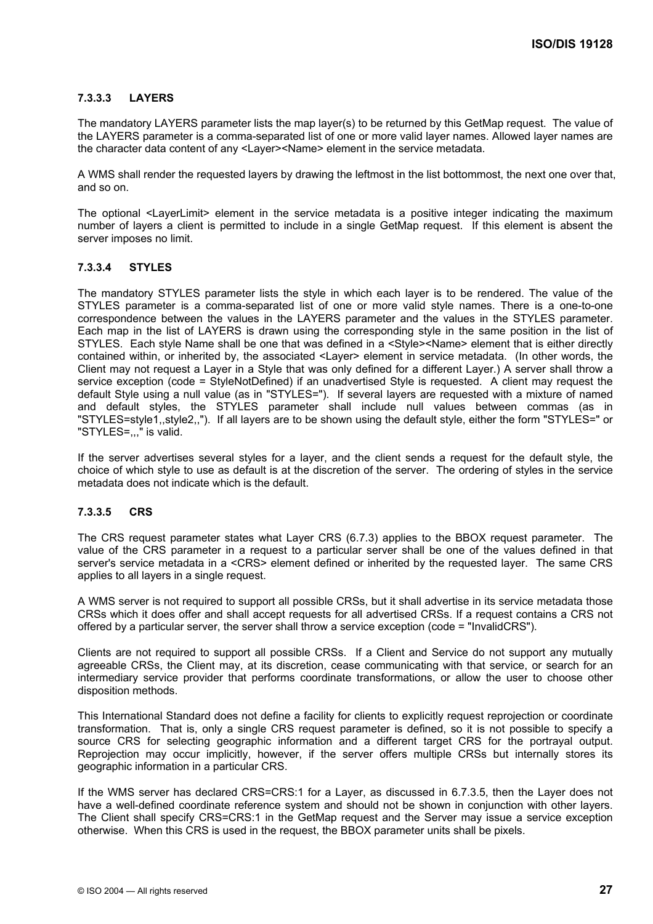# **7.3.3.3 LAYERS**

The mandatory LAYERS parameter lists the map layer(s) to be returned by this GetMap request. The value of the LAYERS parameter is a comma-separated list of one or more valid layer names. Allowed layer names are the character data content of any <Layer><Name> element in the service metadata.

A WMS shall render the requested layers by drawing the leftmost in the list bottommost, the next one over that, and so on.

The optional <LayerLimit> element in the service metadata is a positive integer indicating the maximum number of layers a client is permitted to include in a single GetMap request. If this element is absent the server imposes no limit.

### **7.3.3.4 STYLES**

The mandatory STYLES parameter lists the style in which each layer is to be rendered. The value of the STYLES parameter is a comma-separated list of one or more valid style names. There is a one-to-one correspondence between the values in the LAYERS parameter and the values in the STYLES parameter. Each map in the list of LAYERS is drawn using the corresponding style in the same position in the list of STYLES. Each style Name shall be one that was defined in a <Style><Name> element that is either directly contained within, or inherited by, the associated <Layer> element in service metadata. (In other words, the Client may not request a Layer in a Style that was only defined for a different Layer.) A server shall throw a service exception (code = StyleNotDefined) if an unadvertised Style is requested. A client may request the default Style using a null value (as in "STYLES="). If several layers are requested with a mixture of named and default styles, the STYLES parameter shall include null values between commas (as in "STYLES=style1,,style2,,"). If all layers are to be shown using the default style, either the form "STYLES=" or "STYLES=,,," is valid.

If the server advertises several styles for a layer, and the client sends a request for the default style, the choice of which style to use as default is at the discretion of the server. The ordering of styles in the service metadata does not indicate which is the default.

### **7.3.3.5 CRS**

The CRS request parameter states what Layer CRS (6.7.3) applies to the BBOX request parameter. The value of the CRS parameter in a request to a particular server shall be one of the values defined in that server's service metadata in a <CRS> element defined or inherited by the requested layer. The same CRS applies to all layers in a single request.

A WMS server is not required to support all possible CRSs, but it shall advertise in its service metadata those CRSs which it does offer and shall accept requests for all advertised CRSs. If a request contains a CRS not offered by a particular server, the server shall throw a service exception (code = "InvalidCRS").

Clients are not required to support all possible CRSs. If a Client and Service do not support any mutually agreeable CRSs, the Client may, at its discretion, cease communicating with that service, or search for an intermediary service provider that performs coordinate transformations, or allow the user to choose other disposition methods.

This International Standard does not define a facility for clients to explicitly request reprojection or coordinate transformation. That is, only a single CRS request parameter is defined, so it is not possible to specify a source CRS for selecting geographic information and a different target CRS for the portrayal output. Reprojection may occur implicitly, however, if the server offers multiple CRSs but internally stores its geographic information in a particular CRS.

If the WMS server has declared CRS=CRS:1 for a Layer, as discussed in 6.7.3.5, then the Layer does not have a well-defined coordinate reference system and should not be shown in conjunction with other layers. The Client shall specify CRS=CRS:1 in the GetMap request and the Server may issue a service exception otherwise. When this CRS is used in the request, the BBOX parameter units shall be pixels.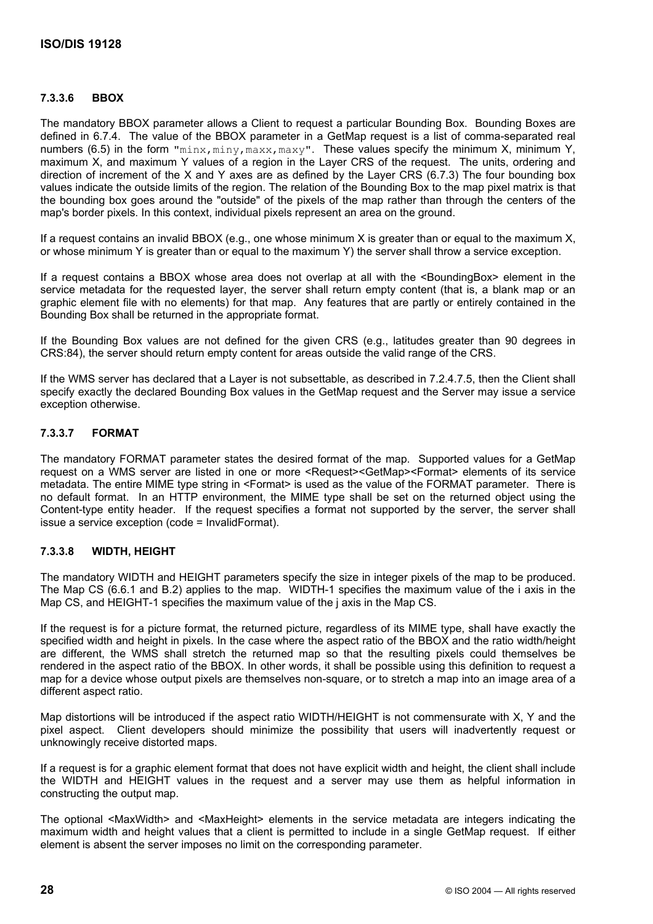# **7.3.3.6 BBOX**

The mandatory BBOX parameter allows a Client to request a particular Bounding Box. Bounding Boxes are defined in 6.7.4. The value of the BBOX parameter in a GetMap request is a list of comma-separated real numbers (6.5) in the form "minx, miny, maxx, maxy". These values specify the minimum X, minimum Y, maximum X, and maximum Y values of a region in the Layer CRS of the request. The units, ordering and direction of increment of the X and Y axes are as defined by the Layer CRS (6.7.3) The four bounding box values indicate the outside limits of the region. The relation of the Bounding Box to the map pixel matrix is that the bounding box goes around the "outside" of the pixels of the map rather than through the centers of the map's border pixels. In this context, individual pixels represent an area on the ground.

If a request contains an invalid BBOX (e.g., one whose minimum X is greater than or equal to the maximum X, or whose minimum Y is greater than or equal to the maximum Y) the server shall throw a service exception.

If a request contains a BBOX whose area does not overlap at all with the <BoundingBox> element in the service metadata for the requested layer, the server shall return empty content (that is, a blank map or an graphic element file with no elements) for that map. Any features that are partly or entirely contained in the Bounding Box shall be returned in the appropriate format.

If the Bounding Box values are not defined for the given CRS (e.g., latitudes greater than 90 degrees in CRS:84), the server should return empty content for areas outside the valid range of the CRS.

If the WMS server has declared that a Layer is not subsettable, as described in 7.2.4.7.5, then the Client shall specify exactly the declared Bounding Box values in the GetMap request and the Server may issue a service exception otherwise.

# **7.3.3.7 FORMAT**

The mandatory FORMAT parameter states the desired format of the map. Supported values for a GetMap request on a WMS server are listed in one or more <Request><GetMap><Format> elements of its service metadata. The entire MIME type string in <Format> is used as the value of the FORMAT parameter. There is no default format. In an HTTP environment, the MIME type shall be set on the returned object using the Content-type entity header. If the request specifies a format not supported by the server, the server shall issue a service exception (code = InvalidFormat).

# **7.3.3.8 WIDTH, HEIGHT**

The mandatory WIDTH and HEIGHT parameters specify the size in integer pixels of the map to be produced. The Map CS (6.6.1 and B.2) applies to the map. WIDTH-1 specifies the maximum value of the i axis in the Map CS, and HEIGHT-1 specifies the maximum value of the j axis in the Map CS.

If the request is for a picture format, the returned picture, regardless of its MIME type, shall have exactly the specified width and height in pixels. In the case where the aspect ratio of the BBOX and the ratio width/height are different, the WMS shall stretch the returned map so that the resulting pixels could themselves be rendered in the aspect ratio of the BBOX. In other words, it shall be possible using this definition to request a map for a device whose output pixels are themselves non-square, or to stretch a map into an image area of a different aspect ratio.

Map distortions will be introduced if the aspect ratio WIDTH/HEIGHT is not commensurate with X, Y and the pixel aspect. Client developers should minimize the possibility that users will inadvertently request or unknowingly receive distorted maps.

If a request is for a graphic element format that does not have explicit width and height, the client shall include the WIDTH and HEIGHT values in the request and a server may use them as helpful information in constructing the output map.

The optional <MaxWidth> and <MaxHeight> elements in the service metadata are integers indicating the maximum width and height values that a client is permitted to include in a single GetMap request. If either element is absent the server imposes no limit on the corresponding parameter.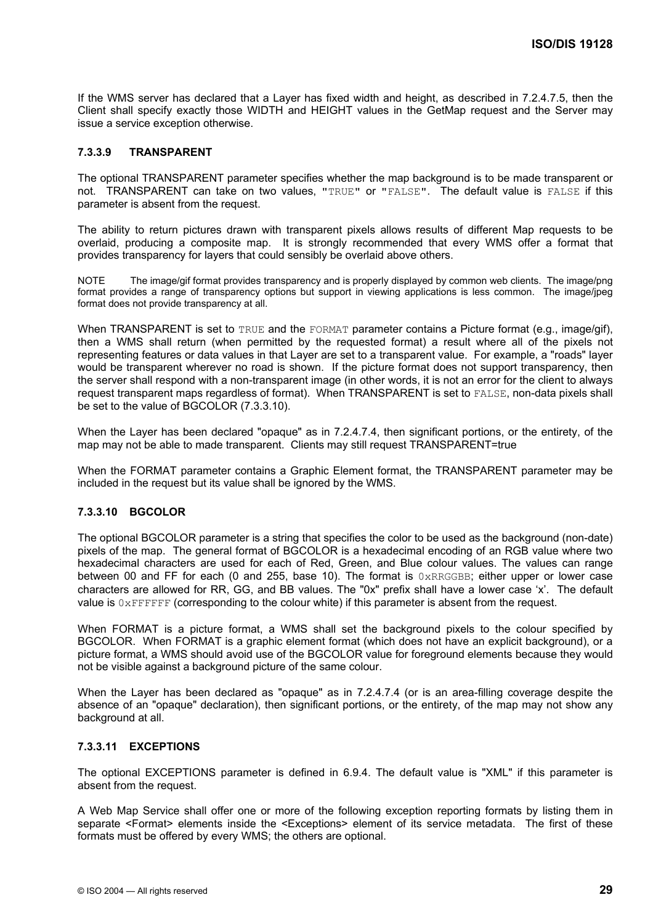If the WMS server has declared that a Layer has fixed width and height, as described in 7.2.4.7.5, then the Client shall specify exactly those WIDTH and HEIGHT values in the GetMap request and the Server may issue a service exception otherwise.

#### **7.3.3.9 TRANSPARENT**

The optional TRANSPARENT parameter specifies whether the map background is to be made transparent or not. TRANSPARENT can take on two values, "TRUE" or "FALSE". The default value is FALSE if this parameter is absent from the request.

The ability to return pictures drawn with transparent pixels allows results of different Map requests to be overlaid, producing a composite map. It is strongly recommended that every WMS offer a format that provides transparency for layers that could sensibly be overlaid above others.

NOTE The image/gif format provides transparency and is properly displayed by common web clients. The image/png format provides a range of transparency options but support in viewing applications is less common. The image/jpeg format does not provide transparency at all.

When TRANSPARENT is set to TRUE and the FORMAT parameter contains a Picture format (e.g., image/gif), then a WMS shall return (when permitted by the requested format) a result where all of the pixels not representing features or data values in that Layer are set to a transparent value. For example, a "roads" layer would be transparent wherever no road is shown. If the picture format does not support transparency, then the server shall respond with a non-transparent image (in other words, it is not an error for the client to always request transparent maps regardless of format). When TRANSPARENT is set to FALSE, non-data pixels shall be set to the value of BGCOLOR (7.3.3.10).

When the Layer has been declared "opaque" as in 7.2.4.7.4, then significant portions, or the entirety, of the map may not be able to made transparent. Clients may still request TRANSPARENT=true

When the FORMAT parameter contains a Graphic Element format, the TRANSPARENT parameter may be included in the request but its value shall be ignored by the WMS.

#### **7.3.3.10 BGCOLOR**

The optional BGCOLOR parameter is a string that specifies the color to be used as the background (non-date) pixels of the map. The general format of BGCOLOR is a hexadecimal encoding of an RGB value where two hexadecimal characters are used for each of Red, Green, and Blue colour values. The values can range between 00 and FF for each (0 and 255, base 10). The format is  $0 \times RRGGBB$ ; either upper or lower case characters are allowed for RR, GG, and BB values. The "0x" prefix shall have a lower case 'x'. The default value is  $0 \times \text{FFF}$  (corresponding to the colour white) if this parameter is absent from the request.

When FORMAT is a picture format, a WMS shall set the background pixels to the colour specified by BGCOLOR. When FORMAT is a graphic element format (which does not have an explicit background), or a picture format, a WMS should avoid use of the BGCOLOR value for foreground elements because they would not be visible against a background picture of the same colour.

When the Layer has been declared as "opaque" as in 7.2.4.7.4 (or is an area-filling coverage despite the absence of an "opaque" declaration), then significant portions, or the entirety, of the map may not show any background at all.

#### **7.3.3.11 EXCEPTIONS**

The optional EXCEPTIONS parameter is defined in 6.9.4. The default value is "XML" if this parameter is absent from the request.

A Web Map Service shall offer one or more of the following exception reporting formats by listing them in separate <Format> elements inside the <Exceptions> element of its service metadata. The first of these formats must be offered by every WMS; the others are optional.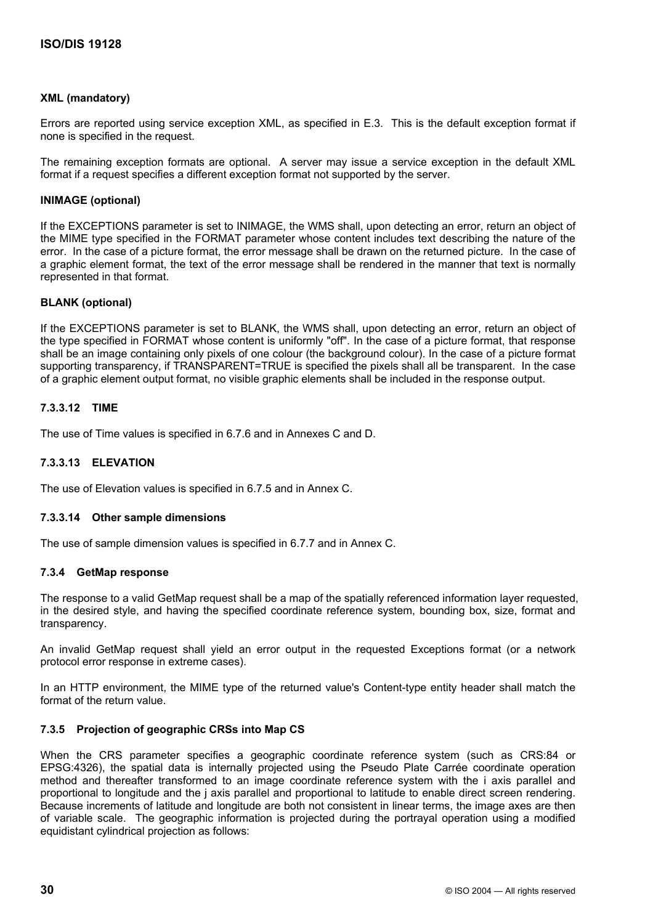#### **XML (mandatory)**

Errors are reported using service exception XML, as specified in E.3. This is the default exception format if none is specified in the request.

The remaining exception formats are optional. A server may issue a service exception in the default XML format if a request specifies a different exception format not supported by the server.

#### **INIMAGE (optional)**

If the EXCEPTIONS parameter is set to INIMAGE, the WMS shall, upon detecting an error, return an object of the MIME type specified in the FORMAT parameter whose content includes text describing the nature of the error. In the case of a picture format, the error message shall be drawn on the returned picture. In the case of a graphic element format, the text of the error message shall be rendered in the manner that text is normally represented in that format.

#### **BLANK (optional)**

If the EXCEPTIONS parameter is set to BLANK, the WMS shall, upon detecting an error, return an object of the type specified in FORMAT whose content is uniformly "off". In the case of a picture format, that response shall be an image containing only pixels of one colour (the background colour). In the case of a picture format supporting transparency, if TRANSPARENT=TRUE is specified the pixels shall all be transparent. In the case of a graphic element output format, no visible graphic elements shall be included in the response output.

#### **7.3.3.12 TIME**

The use of Time values is specified in 6.7.6 and in Annexes C and D.

#### **7.3.3.13 ELEVATION**

The use of Elevation values is specified in 6.7.5 and in Annex C.

#### **7.3.3.14 Other sample dimensions**

The use of sample dimension values is specified in 6.7.7 and in Annex C.

#### **7.3.4 GetMap response**

The response to a valid GetMap request shall be a map of the spatially referenced information layer requested, in the desired style, and having the specified coordinate reference system, bounding box, size, format and transparency.

An invalid GetMap request shall yield an error output in the requested Exceptions format (or a network protocol error response in extreme cases).

In an HTTP environment, the MIME type of the returned value's Content-type entity header shall match the format of the return value.

#### **7.3.5 Projection of geographic CRSs into Map CS**

When the CRS parameter specifies a geographic coordinate reference system (such as CRS:84 or EPSG:4326), the spatial data is internally projected using the Pseudo Plate Carrée coordinate operation method and thereafter transformed to an image coordinate reference system with the i axis parallel and proportional to longitude and the j axis parallel and proportional to latitude to enable direct screen rendering. Because increments of latitude and longitude are both not consistent in linear terms, the image axes are then of variable scale. The geographic information is projected during the portrayal operation using a modified equidistant cylindrical projection as follows: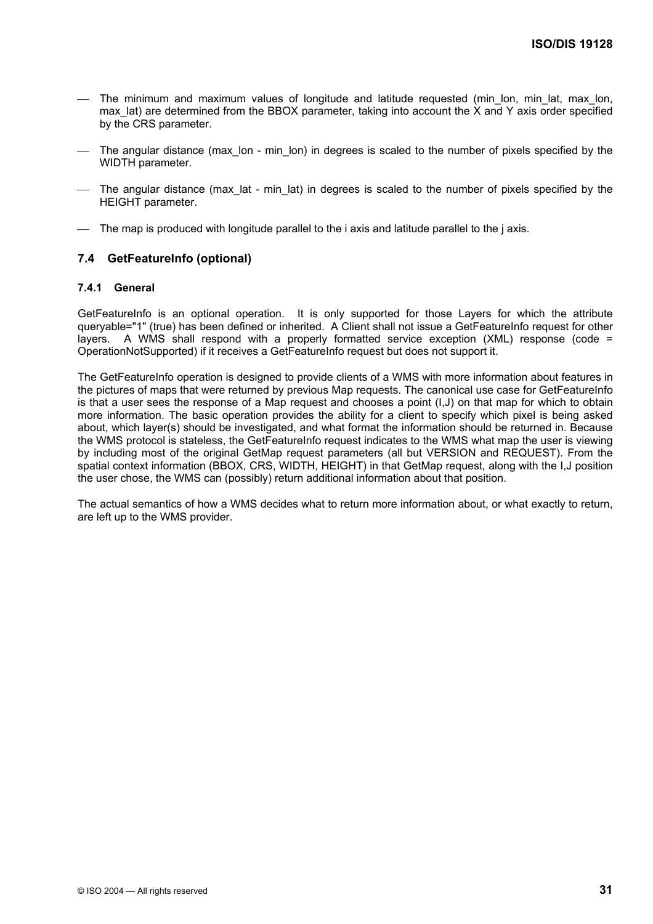- The minimum and maximum values of longitude and latitude requested (min lon, min lat, max lon, max lat) are determined from the BBOX parameter, taking into account the X and Y axis order specified by the CRS parameter.
- The angular distance (max lon min lon) in degrees is scaled to the number of pixels specified by the WIDTH parameter.
- The angular distance (max\_lat min\_lat) in degrees is scaled to the number of pixels specified by the HEIGHT parameter.
- The map is produced with longitude parallel to the i axis and latitude parallel to the j axis.

#### **7.4 GetFeatureInfo (optional)**

#### **7.4.1 General**

GetFeatureInfo is an optional operation. It is only supported for those Layers for which the attribute queryable="1" (true) has been defined or inherited. A Client shall not issue a GetFeatureInfo request for other layers. A WMS shall respond with a properly formatted service exception (XML) response (code = OperationNotSupported) if it receives a GetFeatureInfo request but does not support it.

The GetFeatureInfo operation is designed to provide clients of a WMS with more information about features in the pictures of maps that were returned by previous Map requests. The canonical use case for GetFeatureInfo is that a user sees the response of a Map request and chooses a point (I,J) on that map for which to obtain more information. The basic operation provides the ability for a client to specify which pixel is being asked about, which layer(s) should be investigated, and what format the information should be returned in. Because the WMS protocol is stateless, the GetFeatureInfo request indicates to the WMS what map the user is viewing by including most of the original GetMap request parameters (all but VERSION and REQUEST). From the spatial context information (BBOX, CRS, WIDTH, HEIGHT) in that GetMap request, along with the I,J position the user chose, the WMS can (possibly) return additional information about that position.

The actual semantics of how a WMS decides what to return more information about, or what exactly to return, are left up to the WMS provider.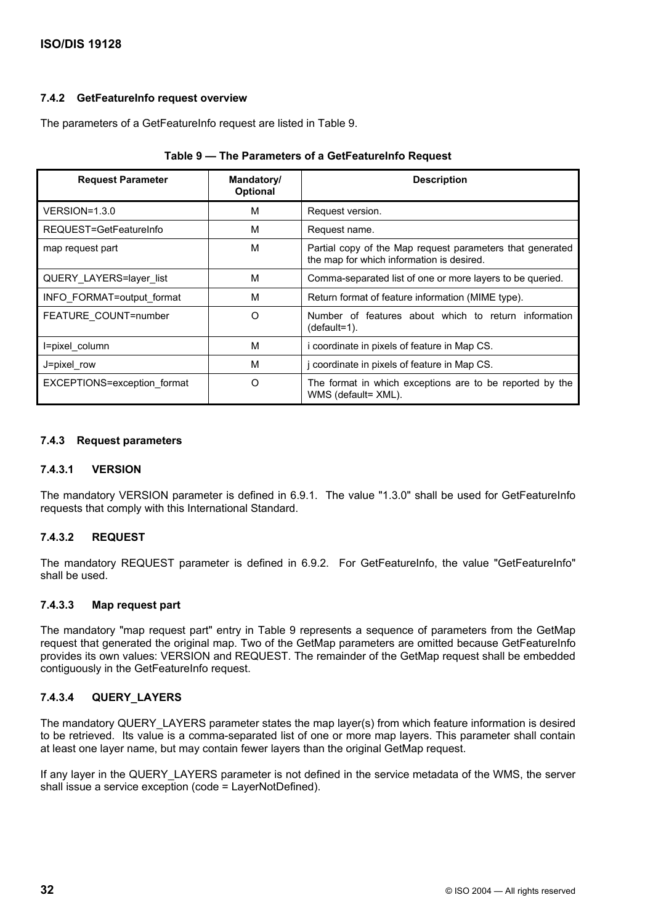#### **7.4.2 GetFeatureInfo request overview**

The parameters of a GetFeatureInfo request are listed in Table 9.

| <b>Request Parameter</b>    | Mandatory/<br><b>Optional</b> | <b>Description</b>                                                                                     |
|-----------------------------|-------------------------------|--------------------------------------------------------------------------------------------------------|
| $VERSION = 1.3.0$           | м                             | Request version.                                                                                       |
| REQUEST=GetFeatureInfo      | м                             | Request name.                                                                                          |
| map request part            | М                             | Partial copy of the Map request parameters that generated<br>the map for which information is desired. |
| QUERY LAYERS=layer list     | M                             | Comma-separated list of one or more layers to be queried.                                              |
| INFO FORMAT=output format   | M                             | Return format of feature information (MIME type).                                                      |
| FEATURE_COUNT=number        | $\Omega$                      | Number of features about which to return information<br>$(default=1)$ .                                |
| I=pixel column              | M                             | i coordinate in pixels of feature in Map CS.                                                           |
| J=pixel row                 | M                             | j coordinate in pixels of feature in Map CS.                                                           |
| EXCEPTIONS=exception format | $\Omega$                      | The format in which exceptions are to be reported by the<br>WMS (default= XML).                        |

|  | Table 9 - The Parameters of a GetFeatureInfo Request |
|--|------------------------------------------------------|
|--|------------------------------------------------------|

#### **7.4.3 Request parameters**

#### **7.4.3.1 VERSION**

The mandatory VERSION parameter is defined in 6.9.1. The value "1.3.0" shall be used for GetFeatureInfo requests that comply with this International Standard.

#### **7.4.3.2 REQUEST**

The mandatory REQUEST parameter is defined in 6.9.2. For GetFeatureInfo, the value "GetFeatureInfo" shall be used.

#### **7.4.3.3 Map request part**

The mandatory "map request part" entry in Table 9 represents a sequence of parameters from the GetMap request that generated the original map. Two of the GetMap parameters are omitted because GetFeatureInfo provides its own values: VERSION and REQUEST. The remainder of the GetMap request shall be embedded contiguously in the GetFeatureInfo request.

#### **7.4.3.4 QUERY\_LAYERS**

The mandatory QUERY\_LAYERS parameter states the map layer(s) from which feature information is desired to be retrieved. Its value is a comma-separated list of one or more map layers. This parameter shall contain at least one layer name, but may contain fewer layers than the original GetMap request.

If any layer in the QUERY\_LAYERS parameter is not defined in the service metadata of the WMS, the server shall issue a service exception (code = LayerNotDefined).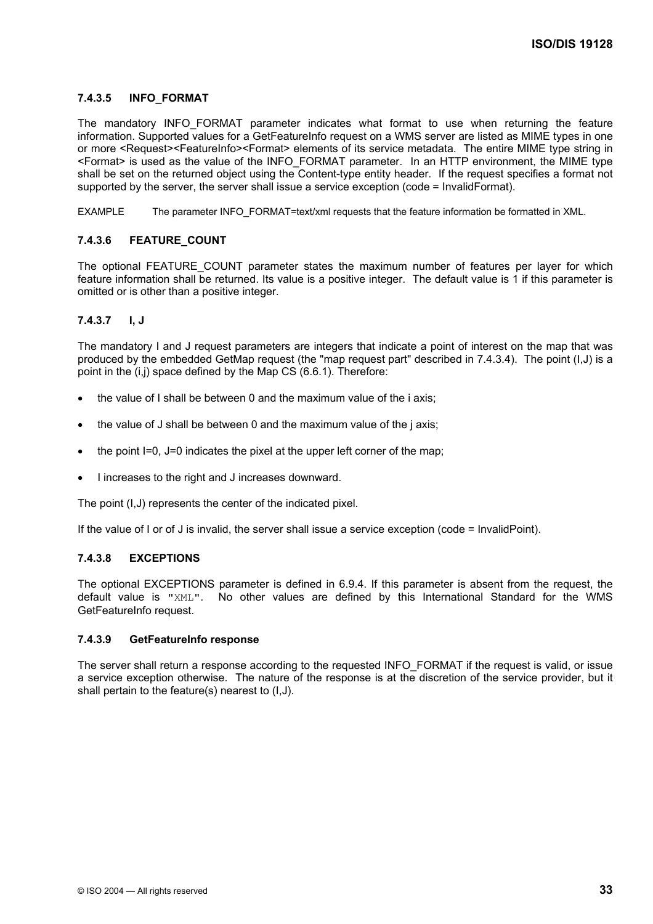### **7.4.3.5 INFO\_FORMAT**

The mandatory INFO\_FORMAT parameter indicates what format to use when returning the feature information. Supported values for a GetFeatureInfo request on a WMS server are listed as MIME types in one or more <Request><FeatureInfo><Format> elements of its service metadata. The entire MIME type string in <Format> is used as the value of the INFO\_FORMAT parameter. In an HTTP environment, the MIME type shall be set on the returned object using the Content-type entity header. If the request specifies a format not supported by the server, the server shall issue a service exception (code = InvalidFormat).

EXAMPLE The parameter INFO\_FORMAT=text/xml requests that the feature information be formatted in XML.

#### **7.4.3.6 FEATURE\_COUNT**

The optional FEATURE COUNT parameter states the maximum number of features per layer for which feature information shall be returned. Its value is a positive integer. The default value is 1 if this parameter is omitted or is other than a positive integer.

#### **7.4.3.7 I, J**

The mandatory I and J request parameters are integers that indicate a point of interest on the map that was produced by the embedded GetMap request (the "map request part" described in 7.4.3.4). The point (I,J) is a point in the (i,j) space defined by the Map CS (6.6.1). Therefore:

- the value of I shall be between 0 and the maximum value of the i axis;
- the value of J shall be between 0 and the maximum value of the j axis;
- the point I=0, J=0 indicates the pixel at the upper left corner of the map;
- I increases to the right and J increases downward.

The point (I,J) represents the center of the indicated pixel.

If the value of I or of J is invalid, the server shall issue a service exception (code = InvalidPoint).

#### **7.4.3.8 EXCEPTIONS**

The optional EXCEPTIONS parameter is defined in 6.9.4. If this parameter is absent from the request, the default value is "XML". No other values are defined by this International Standard for the WMS GetFeatureInfo request.

#### **7.4.3.9 GetFeatureInfo response**

The server shall return a response according to the requested INFO\_FORMAT if the request is valid, or issue a service exception otherwise. The nature of the response is at the discretion of the service provider, but it shall pertain to the feature(s) nearest to (I,J).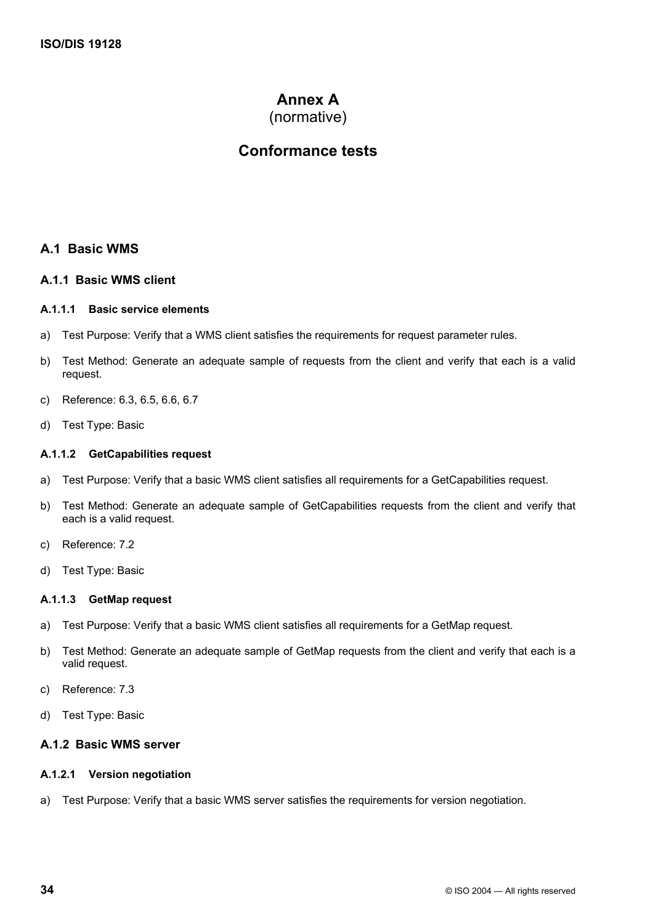# **Annex A**

(normative)

# **Conformance tests**

# **A.1 Basic WMS**

#### **A.1.1 Basic WMS client**

#### **A.1.1.1 Basic service elements**

- a) Test Purpose: Verify that a WMS client satisfies the requirements for request parameter rules.
- b) Test Method: Generate an adequate sample of requests from the client and verify that each is a valid request.
- c) Reference: 6.3, 6.5, 6.6, 6.7
- d) Test Type: Basic

#### **A.1.1.2 GetCapabilities request**

- a) Test Purpose: Verify that a basic WMS client satisfies all requirements for a GetCapabilities request.
- b) Test Method: Generate an adequate sample of GetCapabilities requests from the client and verify that each is a valid request.
- c) Reference: 7.2
- d) Test Type: Basic

#### **A.1.1.3 GetMap request**

- a) Test Purpose: Verify that a basic WMS client satisfies all requirements for a GetMap request.
- b) Test Method: Generate an adequate sample of GetMap requests from the client and verify that each is a valid request.
- c) Reference: 7.3
- d) Test Type: Basic

#### **A.1.2 Basic WMS server**

### **A.1.2.1 Version negotiation**

a) Test Purpose: Verify that a basic WMS server satisfies the requirements for version negotiation.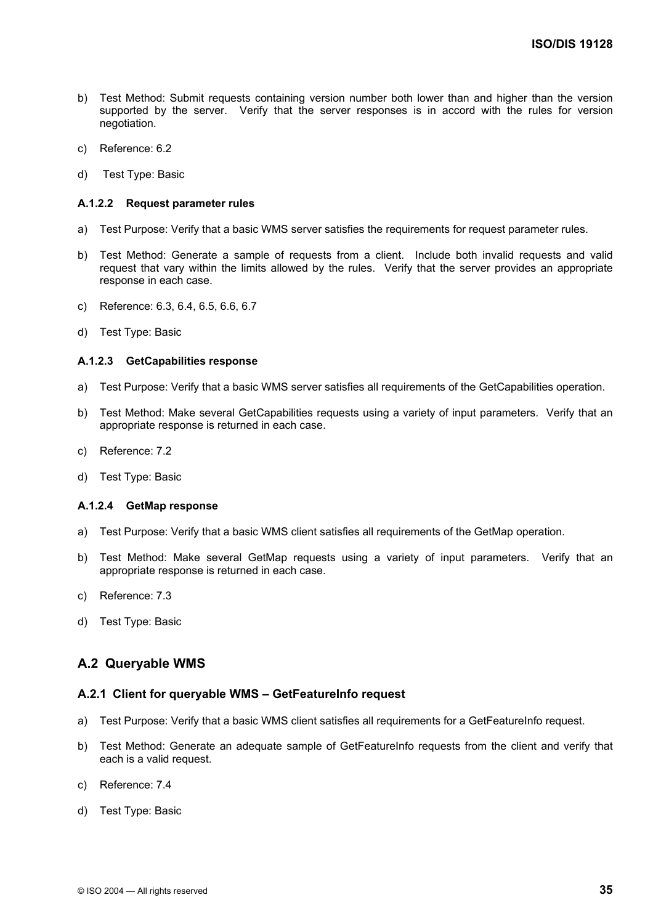- b) Test Method: Submit requests containing version number both lower than and higher than the version supported by the server. Verify that the server responses is in accord with the rules for version negotiation.
- c) Reference: 6.2
- d) Test Type: Basic

#### **A.1.2.2 Request parameter rules**

- a) Test Purpose: Verify that a basic WMS server satisfies the requirements for request parameter rules.
- b) Test Method: Generate a sample of requests from a client. Include both invalid requests and valid request that vary within the limits allowed by the rules. Verify that the server provides an appropriate response in each case.
- c) Reference: 6.3, 6.4, 6.5, 6.6, 6.7
- d) Test Type: Basic

#### **A.1.2.3 GetCapabilities response**

- a) Test Purpose: Verify that a basic WMS server satisfies all requirements of the GetCapabilities operation.
- b) Test Method: Make several GetCapabilities requests using a variety of input parameters. Verify that an appropriate response is returned in each case.
- c) Reference: 7.2
- d) Test Type: Basic

#### **A.1.2.4 GetMap response**

- a) Test Purpose: Verify that a basic WMS client satisfies all requirements of the GetMap operation.
- b) Test Method: Make several GetMap requests using a variety of input parameters. Verify that an appropriate response is returned in each case.
- c) Reference: 7.3
- d) Test Type: Basic

### **A.2 Queryable WMS**

#### **A.2.1 Client for queryable WMS – GetFeatureInfo request**

- a) Test Purpose: Verify that a basic WMS client satisfies all requirements for a GetFeatureInfo request.
- b) Test Method: Generate an adequate sample of GetFeatureInfo requests from the client and verify that each is a valid request.
- c) Reference: 7.4
- d) Test Type: Basic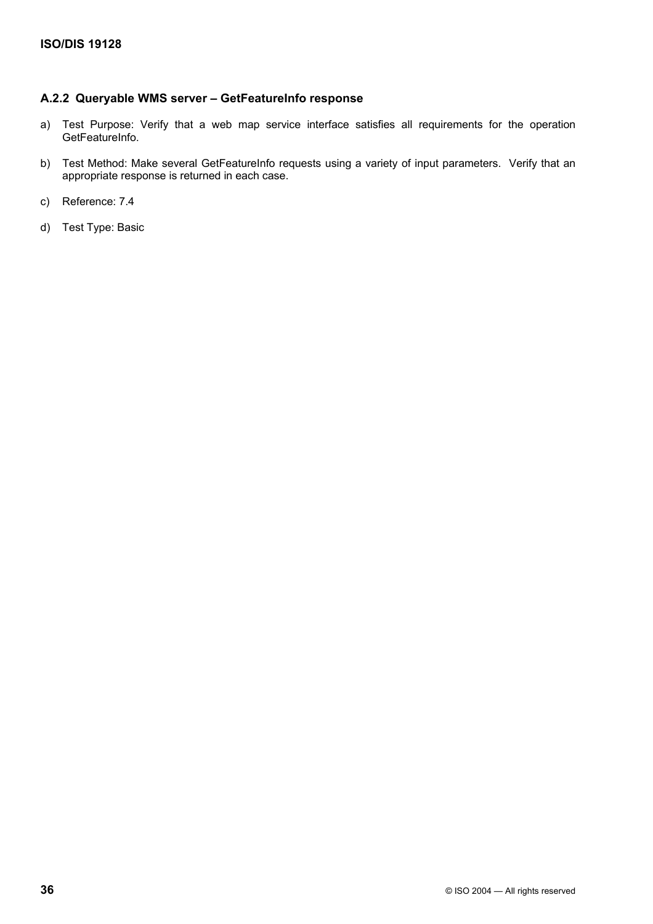# **A.2.2 Queryable WMS server – GetFeatureInfo response**

- a) Test Purpose: Verify that a web map service interface satisfies all requirements for the operation GetFeatureInfo.
- b) Test Method: Make several GetFeatureInfo requests using a variety of input parameters. Verify that an appropriate response is returned in each case.
- c) Reference: 7.4
- d) Test Type: Basic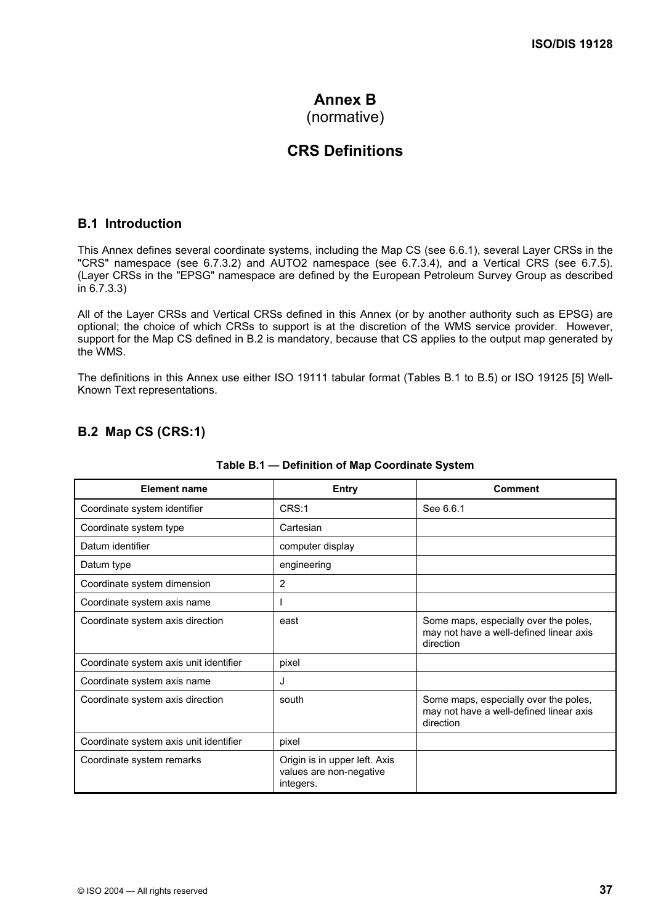# **Annex B**

# (normative)

# **CRS Definitions**

### **B.1 Introduction**

This Annex defines several coordinate systems, including the Map CS (see 6.6.1), several Layer CRSs in the "CRS" namespace (see 6.7.3.2) and AUTO2 namespace (see 6.7.3.4), and a Vertical CRS (see 6.7.5). (Layer CRSs in the "EPSG" namespace are defined by the European Petroleum Survey Group as described in 6.7.3.3)

All of the Layer CRSs and Vertical CRSs defined in this Annex (or by another authority such as EPSG) are optional; the choice of which CRSs to support is at the discretion of the WMS service provider. However, support for the Map CS defined in B.2 is mandatory, because that CS applies to the output map generated by the WMS.

The definitions in this Annex use either ISO 19111 tabular format (Tables B.1 to B.5) or ISO 19125 [5] Well-Known Text representations.

# **B.2 Map CS (CRS:1)**

| <b>Element name</b>                    | Entry                                                                 | <b>Comment</b>                                                                                |
|----------------------------------------|-----------------------------------------------------------------------|-----------------------------------------------------------------------------------------------|
| Coordinate system identifier           | CRS:1                                                                 | See 6.6.1                                                                                     |
| Coordinate system type                 | Cartesian                                                             |                                                                                               |
| Datum identifier                       | computer display                                                      |                                                                                               |
| Datum type                             | engineering                                                           |                                                                                               |
| Coordinate system dimension            | 2                                                                     |                                                                                               |
| Coordinate system axis name            |                                                                       |                                                                                               |
| Coordinate system axis direction       | east                                                                  | Some maps, especially over the poles,<br>may not have a well-defined linear axis<br>direction |
| Coordinate system axis unit identifier | pixel                                                                 |                                                                                               |
| Coordinate system axis name            | J                                                                     |                                                                                               |
| Coordinate system axis direction       | south                                                                 | Some maps, especially over the poles,<br>may not have a well-defined linear axis<br>direction |
| Coordinate system axis unit identifier | pixel                                                                 |                                                                                               |
| Coordinate system remarks              | Origin is in upper left. Axis<br>values are non-negative<br>integers. |                                                                                               |

#### **Table B.1 — Definition of Map Coordinate System**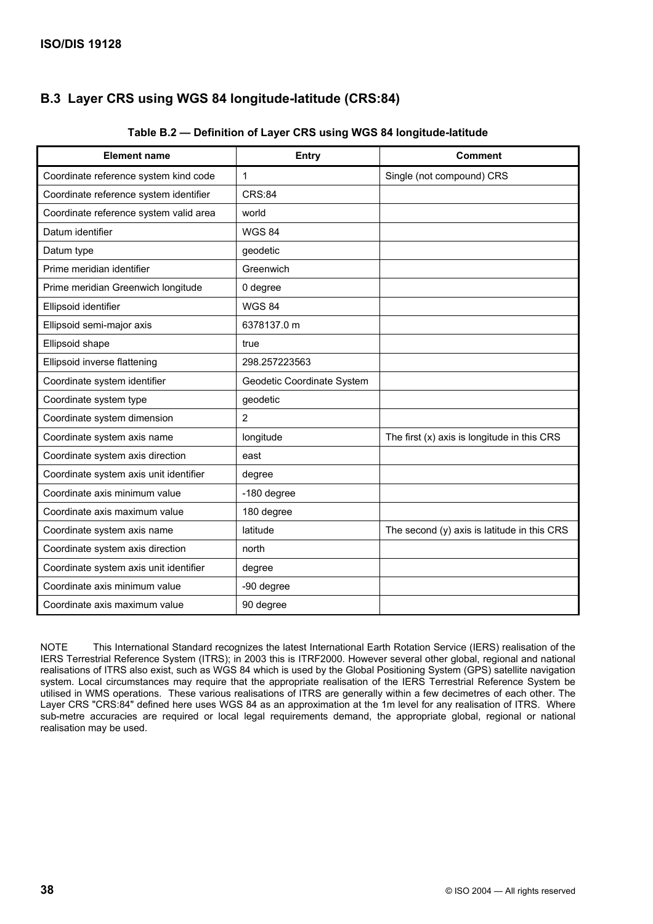# **B.3 Layer CRS using WGS 84 longitude-latitude (CRS:84)**

| <b>Element name</b>                    | <b>Entry</b>               | <b>Comment</b>                                |
|----------------------------------------|----------------------------|-----------------------------------------------|
| Coordinate reference system kind code  | 1                          | Single (not compound) CRS                     |
| Coordinate reference system identifier | <b>CRS:84</b>              |                                               |
| Coordinate reference system valid area | world                      |                                               |
| Datum identifier                       | <b>WGS 84</b>              |                                               |
| Datum type                             | geodetic                   |                                               |
| Prime meridian identifier              | Greenwich                  |                                               |
| Prime meridian Greenwich longitude     | 0 degree                   |                                               |
| Ellipsoid identifier                   | <b>WGS 84</b>              |                                               |
| Ellipsoid semi-major axis              | 6378137.0 m                |                                               |
| Ellipsoid shape                        | true                       |                                               |
| Ellipsoid inverse flattening           | 298.257223563              |                                               |
| Coordinate system identifier           | Geodetic Coordinate System |                                               |
| Coordinate system type                 | geodetic                   |                                               |
| Coordinate system dimension            | 2                          |                                               |
| Coordinate system axis name            | longitude                  | The first $(x)$ axis is longitude in this CRS |
| Coordinate system axis direction       | east                       |                                               |
| Coordinate system axis unit identifier | degree                     |                                               |
| Coordinate axis minimum value          | -180 degree                |                                               |
| Coordinate axis maximum value          | 180 degree                 |                                               |
| Coordinate system axis name            | latitude                   | The second (y) axis is latitude in this CRS   |
| Coordinate system axis direction       | north                      |                                               |
| Coordinate system axis unit identifier | degree                     |                                               |
| Coordinate axis minimum value          | -90 degree                 |                                               |
| Coordinate axis maximum value          | 90 degree                  |                                               |

### **Table B.2 — Definition of Layer CRS using WGS 84 longitude-latitude**

NOTE This International Standard recognizes the latest International Earth Rotation Service (IERS) realisation of the IERS Terrestrial Reference System (ITRS); in 2003 this is ITRF2000. However several other global, regional and national realisations of ITRS also exist, such as WGS 84 which is used by the Global Positioning System (GPS) satellite navigation system. Local circumstances may require that the appropriate realisation of the IERS Terrestrial Reference System be utilised in WMS operations. These various realisations of ITRS are generally within a few decimetres of each other. The Layer CRS "CRS:84" defined here uses WGS 84 as an approximation at the 1m level for any realisation of ITRS. Where sub-metre accuracies are required or local legal requirements demand, the appropriate global, regional or national realisation may be used.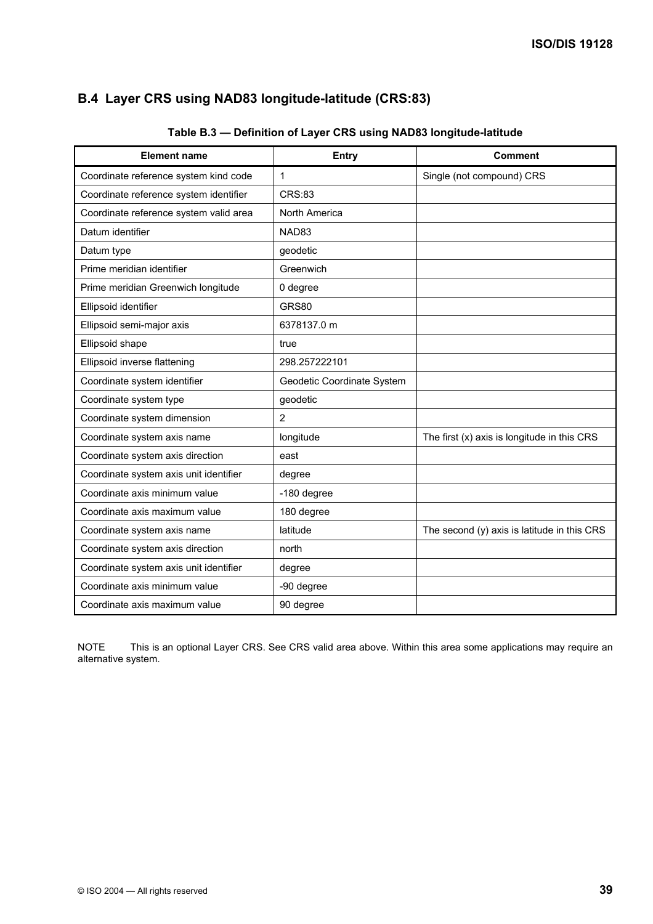# **B.4 Layer CRS using NAD83 longitude-latitude (CRS:83)**

| <b>Element name</b>                    | <b>Entry</b>               | <b>Comment</b>                                |
|----------------------------------------|----------------------------|-----------------------------------------------|
| Coordinate reference system kind code  | $\mathbf{1}$               | Single (not compound) CRS                     |
| Coordinate reference system identifier | <b>CRS:83</b>              |                                               |
| Coordinate reference system valid area | North America              |                                               |
| Datum identifier                       | NAD83                      |                                               |
| Datum type                             | geodetic                   |                                               |
| Prime meridian identifier              | Greenwich                  |                                               |
| Prime meridian Greenwich longitude     | 0 degree                   |                                               |
| Ellipsoid identifier                   | <b>GRS80</b>               |                                               |
| Ellipsoid semi-major axis              | 6378137.0 m                |                                               |
| Ellipsoid shape                        | true                       |                                               |
| Ellipsoid inverse flattening           | 298.257222101              |                                               |
| Coordinate system identifier           | Geodetic Coordinate System |                                               |
| Coordinate system type                 | geodetic                   |                                               |
| Coordinate system dimension            | 2                          |                                               |
| Coordinate system axis name            | longitude                  | The first $(x)$ axis is longitude in this CRS |
| Coordinate system axis direction       | east                       |                                               |
| Coordinate system axis unit identifier | degree                     |                                               |
| Coordinate axis minimum value          | -180 degree                |                                               |
| Coordinate axis maximum value          | 180 degree                 |                                               |
| Coordinate system axis name            | latitude                   | The second (y) axis is latitude in this CRS   |
| Coordinate system axis direction       | north                      |                                               |
| Coordinate system axis unit identifier | degree                     |                                               |
| Coordinate axis minimum value          | -90 degree                 |                                               |
| Coordinate axis maximum value          | 90 degree                  |                                               |

**Table B.3 — Definition of Layer CRS using NAD83 longitude-latitude** 

NOTE This is an optional Layer CRS. See CRS valid area above. Within this area some applications may require an alternative system.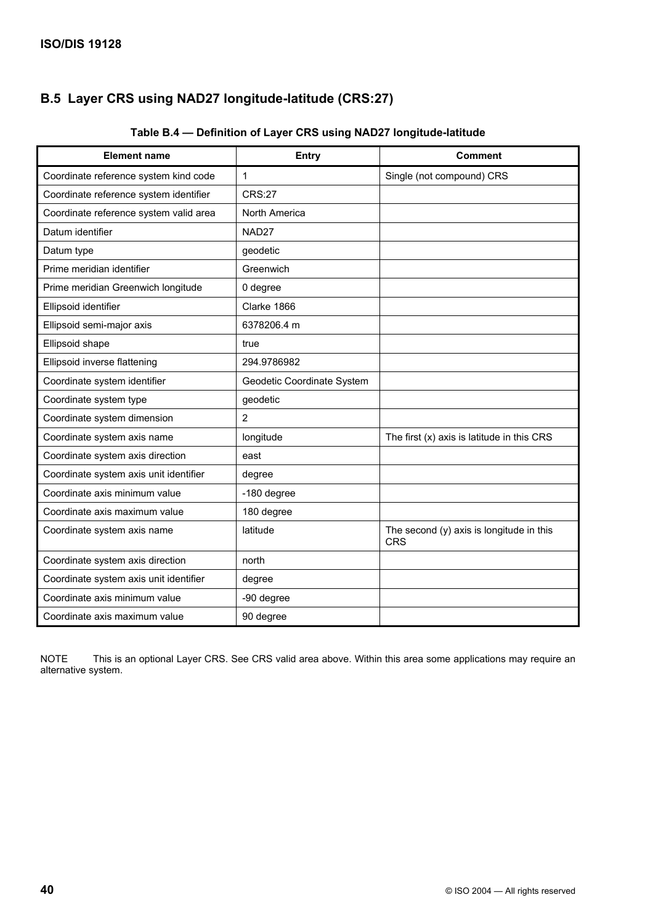# **B.5 Layer CRS using NAD27 longitude-latitude (CRS:27)**

| <b>Element name</b>                    | <b>Entry</b>               | <b>Comment</b>                                         |
|----------------------------------------|----------------------------|--------------------------------------------------------|
| Coordinate reference system kind code  | 1                          | Single (not compound) CRS                              |
| Coordinate reference system identifier | <b>CRS:27</b>              |                                                        |
| Coordinate reference system valid area | North America              |                                                        |
| Datum identifier                       | NAD27                      |                                                        |
| Datum type                             | geodetic                   |                                                        |
| Prime meridian identifier              | Greenwich                  |                                                        |
| Prime meridian Greenwich longitude     | 0 degree                   |                                                        |
| Ellipsoid identifier                   | Clarke 1866                |                                                        |
| Ellipsoid semi-major axis              | 6378206.4 m                |                                                        |
| Ellipsoid shape                        | true                       |                                                        |
| Ellipsoid inverse flattening           | 294.9786982                |                                                        |
| Coordinate system identifier           | Geodetic Coordinate System |                                                        |
| Coordinate system type                 | geodetic                   |                                                        |
| Coordinate system dimension            | 2                          |                                                        |
| Coordinate system axis name            | longitude                  | The first (x) axis is latitude in this CRS             |
| Coordinate system axis direction       | east                       |                                                        |
| Coordinate system axis unit identifier | degree                     |                                                        |
| Coordinate axis minimum value          | -180 degree                |                                                        |
| Coordinate axis maximum value          | 180 degree                 |                                                        |
| Coordinate system axis name            | latitude                   | The second (y) axis is longitude in this<br><b>CRS</b> |
| Coordinate system axis direction       | north                      |                                                        |
| Coordinate system axis unit identifier | degree                     |                                                        |
| Coordinate axis minimum value          | -90 degree                 |                                                        |
| Coordinate axis maximum value          | 90 degree                  |                                                        |

### **Table B.4 — Definition of Layer CRS using NAD27 longitude-latitude**

NOTE This is an optional Layer CRS. See CRS valid area above. Within this area some applications may require an alternative system.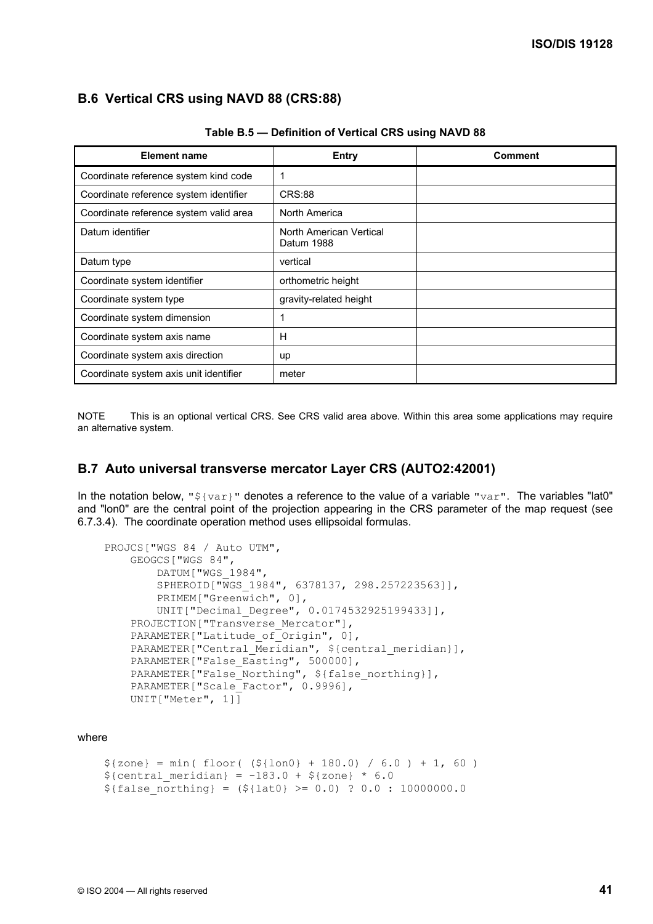## **B.6 Vertical CRS using NAVD 88 (CRS:88)**

| <b>Element name</b>                    | <b>Entry</b>                          | Comment |
|----------------------------------------|---------------------------------------|---------|
| Coordinate reference system kind code  | 1                                     |         |
| Coordinate reference system identifier | <b>CRS:88</b>                         |         |
| Coordinate reference system valid area | North America                         |         |
| Datum identifier                       | North American Vertical<br>Datum 1988 |         |
| Datum type                             | vertical                              |         |
| Coordinate system identifier           | orthometric height                    |         |
| Coordinate system type                 | gravity-related height                |         |
| Coordinate system dimension            | 1                                     |         |
| Coordinate system axis name            | Н                                     |         |
| Coordinate system axis direction       | up                                    |         |
| Coordinate system axis unit identifier | meter                                 |         |

**Table B.5 — Definition of Vertical CRS using NAVD 88** 

NOTE This is an optional vertical CRS. See CRS valid area above. Within this area some applications may require an alternative system.

#### **B.7 Auto universal transverse mercator Layer CRS (AUTO2:42001)**

In the notation below, " $\S$ {var}" denotes a reference to the value of a variable "var". The variables "lat0" and "lon0" are the central point of the projection appearing in the CRS parameter of the map request (see 6.7.3.4). The coordinate operation method uses ellipsoidal formulas.

```
 PROJCS["WGS 84 / Auto UTM", 
     GEOGCS["WGS 84", 
         DATUM["WGS_1984", 
         SPHEROID["WGS_1984", 6378137, 298.257223563]], 
        PRIMEM["Greenwich", 0],
         UNIT["Decimal_Degree", 0.0174532925199433]], 
    PROJECTION["Transverse Mercator"],
    PARAMETER["Latitude of Origin", 0],
    PARAMETER["Central Meridian", ${central_meridian}],
    PARAMETER["False Easting", 500000],
   PARAMETER["False Northing", ${false northing}],
   PARAMETER["Scale_Factor", 0.9996],
    UNIT["Meter", 1]]
```
#### where

```
${zone} = min(floor( (${lon0} + 180.0) / 6.0 ) + 1, 60 )${central meridian} = -183.0 + ${zone} * 6.0${falsenormal = (${lat0} >= 0.0) ? 0.0 : 10000000.0
```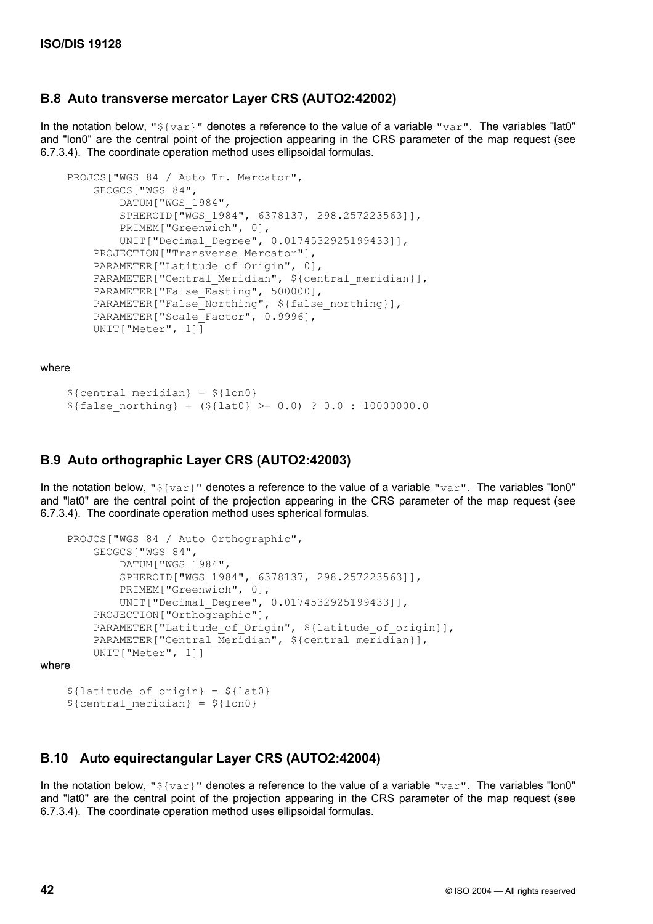### **B.8 Auto transverse mercator Layer CRS (AUTO2:42002)**

In the notation below, " $${var}$ " denotes a reference to the value of a variable "var". The variables "lat0" and "lon0" are the central point of the projection appearing in the CRS parameter of the map request (see 6.7.3.4). The coordinate operation method uses ellipsoidal formulas.

```
 PROJCS["WGS 84 / Auto Tr. Mercator", 
     GEOGCS["WGS 84", 
         DATUM["WGS_1984", 
         SPHEROID["WGS_1984", 6378137, 298.257223563]], 
         PRIMEM["Greenwich", 0], 
         UNIT["Decimal_Degree", 0.0174532925199433]], 
    PROJECTION["Transverse Mercator"],
    PARAMETER["Latitude of Origin", 0],
    PARAMETER["Central Meridian", ${central meridian}],
    PARAMETER["False Easting", 500000],
    PARAMETER["False Northing", ${false northing}],
    PARAMETER["Scale Factor", 0.9996],
     UNIT["Meter", 1]]
```
where

```
${central meridian} = ${lon0}${false northinq} = (${late} > = 0.0) ? 0.0 : 10000000.0
```
#### **B.9 Auto orthographic Layer CRS (AUTO2:42003)**

In the notation below, " $$$ {var}" denotes a reference to the value of a variable "var". The variables "lon0" and "lat0" are the central point of the projection appearing in the CRS parameter of the map request (see 6.7.3.4). The coordinate operation method uses spherical formulas.

```
 PROJCS["WGS 84 / Auto Orthographic", 
         GEOGCS["WGS 84", 
             DATUM["WGS_1984", 
             SPHEROID["WGS_1984", 6378137, 298.257223563]], 
             PRIMEM["Greenwich", 0], 
             UNIT["Decimal_Degree", 0.0174532925199433]], 
         PROJECTION["Orthographic"], 
        PARAMETER["Latitude of Origin", ${latitude of origin}],
        PARAMETER["Central Meridian", ${central meridian}],
         UNIT["Meter", 1]] 
where 
    ${lattice of origin} = ${lato}${central meridian} = ${lon0}
```
#### **B.10 Auto equirectangular Layer CRS (AUTO2:42004)**

In the notation below, " $$$ {var}" denotes a reference to the value of a variable "var". The variables "lon0" and "lat0" are the central point of the projection appearing in the CRS parameter of the map request (see 6.7.3.4). The coordinate operation method uses ellipsoidal formulas.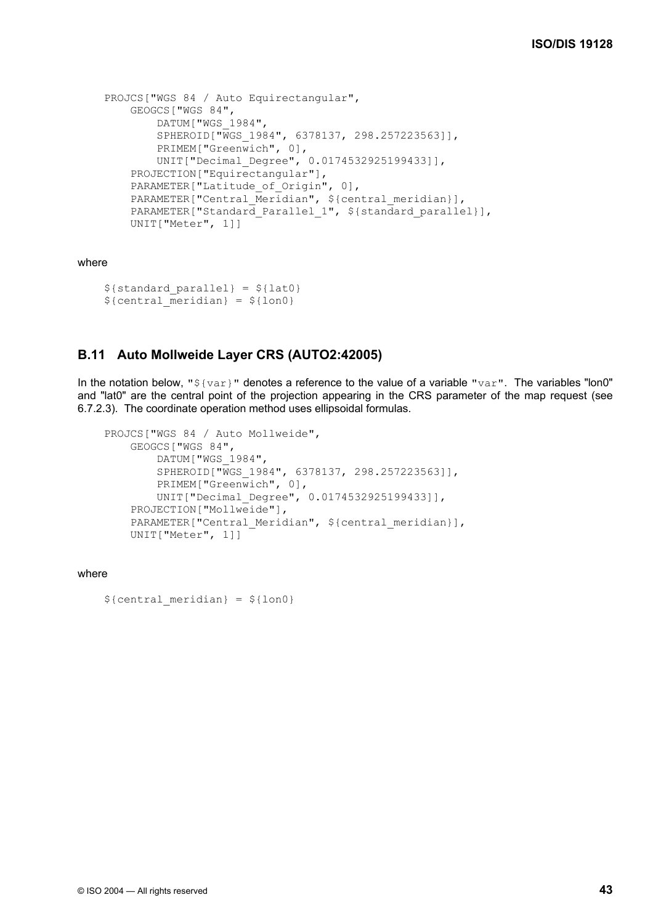```
 PROJCS["WGS 84 / Auto Equirectangular", 
    GEOGCS["WGS 84", 
         DATUM["WGS_1984", 
         SPHEROID["WGS_1984", 6378137, 298.257223563]], 
         PRIMEM["Greenwich", 0], 
         UNIT["Decimal_Degree", 0.0174532925199433]], 
    PROJECTION["Equirectangular"],
    PARAMETER["Latitude of Origin", 0],
   PARAMETER["Central_Meridian", ${central meridian}],
   PARAMETER["Standard Parallel 1", ${standard parallel}],
    UNIT["Meter", 1]]
```
where

```
$ \{ standard\ parallel\} = $ \{ lat0 \}${central meridian} = ${lon0}
```
## **B.11 Auto Mollweide Layer CRS (AUTO2:42005)**

In the notation below, " $${var}$ " denotes a reference to the value of a variable " $var$ ". The variables "lon0" and "lat0" are the central point of the projection appearing in the CRS parameter of the map request (see 6.7.2.3). The coordinate operation method uses ellipsoidal formulas.

```
 PROJCS["WGS 84 / Auto Mollweide", 
     GEOGCS["WGS 84", 
         DATUM["WGS_1984", 
         SPHEROID["WGS_1984", 6378137, 298.257223563]], 
        PRIMEM["Greenwich", 0],
         UNIT["Decimal_Degree", 0.0174532925199433]], 
     PROJECTION["Mollweide"], 
    PARAMETER["Central Meridian", ${central meridian}],
     UNIT["Meter", 1]]
```
where

 $${central meridian} = ${lon0}$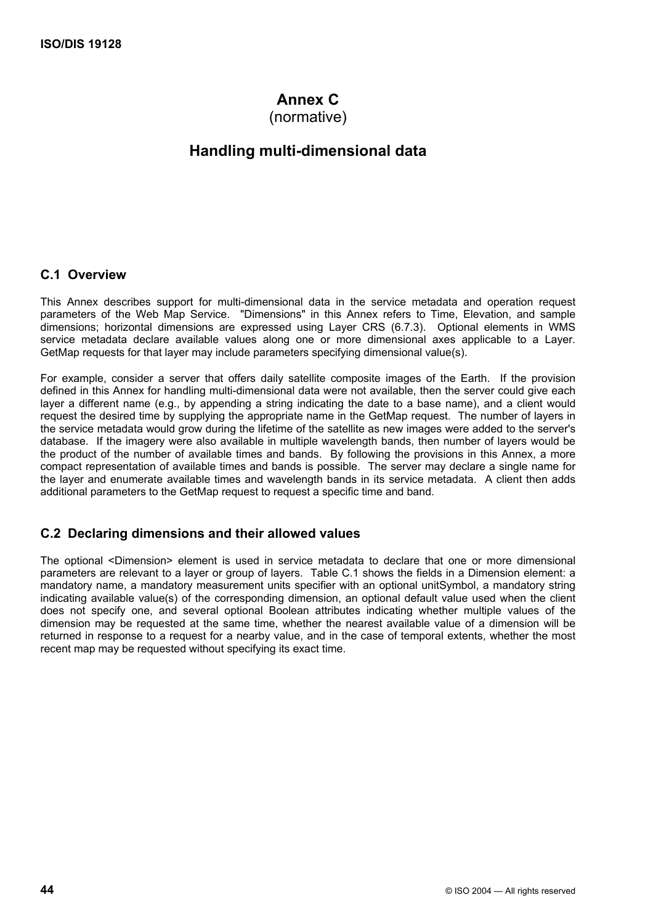# **Annex C**

(normative)

# **Handling multi-dimensional data**

#### **C.1 Overview**

This Annex describes support for multi-dimensional data in the service metadata and operation request parameters of the Web Map Service. "Dimensions" in this Annex refers to Time, Elevation, and sample dimensions; horizontal dimensions are expressed using Layer CRS (6.7.3). Optional elements in WMS service metadata declare available values along one or more dimensional axes applicable to a Layer. GetMap requests for that layer may include parameters specifying dimensional value(s).

For example, consider a server that offers daily satellite composite images of the Earth. If the provision defined in this Annex for handling multi-dimensional data were not available, then the server could give each layer a different name (e.g., by appending a string indicating the date to a base name), and a client would request the desired time by supplying the appropriate name in the GetMap request. The number of layers in the service metadata would grow during the lifetime of the satellite as new images were added to the server's database. If the imagery were also available in multiple wavelength bands, then number of layers would be the product of the number of available times and bands. By following the provisions in this Annex, a more compact representation of available times and bands is possible. The server may declare a single name for the layer and enumerate available times and wavelength bands in its service metadata. A client then adds additional parameters to the GetMap request to request a specific time and band.

### **C.2 Declaring dimensions and their allowed values**

The optional <Dimension> element is used in service metadata to declare that one or more dimensional parameters are relevant to a layer or group of layers. Table C.1 shows the fields in a Dimension element: a mandatory name, a mandatory measurement units specifier with an optional unitSymbol, a mandatory string indicating available value(s) of the corresponding dimension, an optional default value used when the client does not specify one, and several optional Boolean attributes indicating whether multiple values of the dimension may be requested at the same time, whether the nearest available value of a dimension will be returned in response to a request for a nearby value, and in the case of temporal extents, whether the most recent map may be requested without specifying its exact time.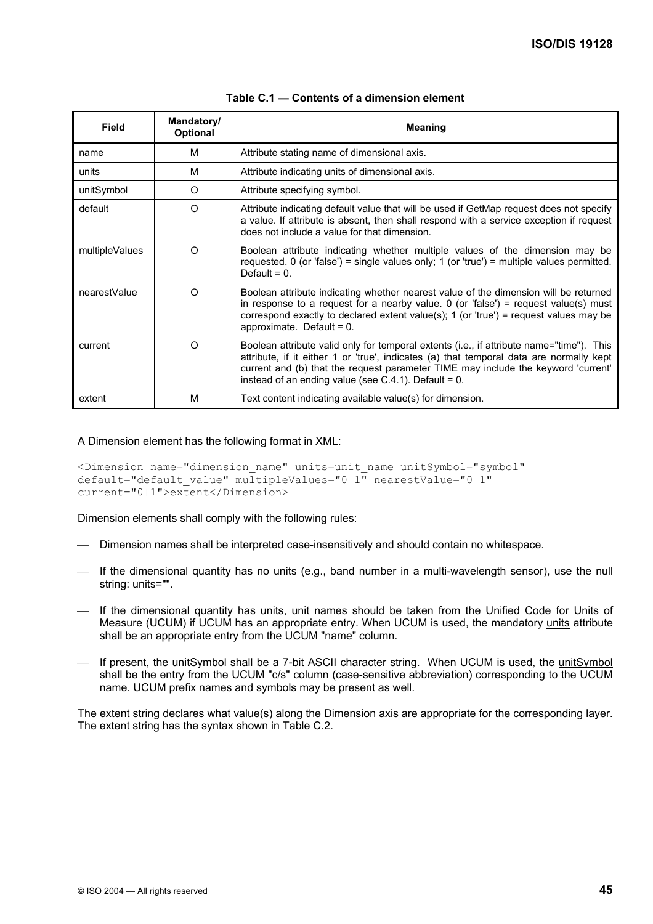| <b>Field</b>   | Mandatory/<br><b>Optional</b> | <b>Meaning</b>                                                                                                                                                                                                                                                                                                                      |
|----------------|-------------------------------|-------------------------------------------------------------------------------------------------------------------------------------------------------------------------------------------------------------------------------------------------------------------------------------------------------------------------------------|
| name           | м                             | Attribute stating name of dimensional axis.                                                                                                                                                                                                                                                                                         |
| units          | М                             | Attribute indicating units of dimensional axis.                                                                                                                                                                                                                                                                                     |
| unitSymbol     | O                             | Attribute specifying symbol.                                                                                                                                                                                                                                                                                                        |
| default        | $\Omega$                      | Attribute indicating default value that will be used if GetMap request does not specify<br>a value. If attribute is absent, then shall respond with a service exception if request<br>does not include a value for that dimension.                                                                                                  |
| multipleValues | $\Omega$                      | Boolean attribute indicating whether multiple values of the dimension may be<br>requested. 0 (or 'false') = single values only; 1 (or 'true') = multiple values permitted.<br>Default = $0$ .                                                                                                                                       |
| nearestValue   | O                             | Boolean attribute indicating whether nearest value of the dimension will be returned<br>in response to a request for a nearby value. 0 (or 'false') = request value(s) must<br>correspond exactly to declared extent value(s); 1 (or 'true') = request values may be<br>approximate. Default = $0$ .                                |
| current        | $\Omega$                      | Boolean attribute valid only for temporal extents (i.e., if attribute name="time"). This<br>attribute, if it either 1 or 'true', indicates (a) that temporal data are normally kept<br>current and (b) that the request parameter TIME may include the keyword 'current'<br>instead of an ending value (see $C.4.1$ ). Default = 0. |
| extent         | м                             | Text content indicating available value(s) for dimension.                                                                                                                                                                                                                                                                           |

#### **Table C.1 — Contents of a dimension element**

#### A Dimension element has the following format in XML:

```
<Dimension name="dimension_name" units=unit_name unitSymbol="symbol" 
default="default_value" multipleValues="0|1" nearestValue="0|1"
current="0|1">extent</Dimension>
```
Dimension elements shall comply with the following rules:

- Dimension names shall be interpreted case-insensitively and should contain no whitespace.
- If the dimensional quantity has no units (e.g., band number in a multi-wavelength sensor), use the null string: units="".
- If the dimensional quantity has units, unit names should be taken from the Unified Code for Units of Measure (UCUM) if UCUM has an appropriate entry. When UCUM is used, the mandatory units attribute shall be an appropriate entry from the UCUM "name" column.
- If present, the unitSymbol shall be a 7-bit ASCII character string. When UCUM is used, the unitSymbol shall be the entry from the UCUM "c/s" column (case-sensitive abbreviation) corresponding to the UCUM name. UCUM prefix names and symbols may be present as well.

The extent string declares what value(s) along the Dimension axis are appropriate for the corresponding layer. The extent string has the syntax shown in Table C.2.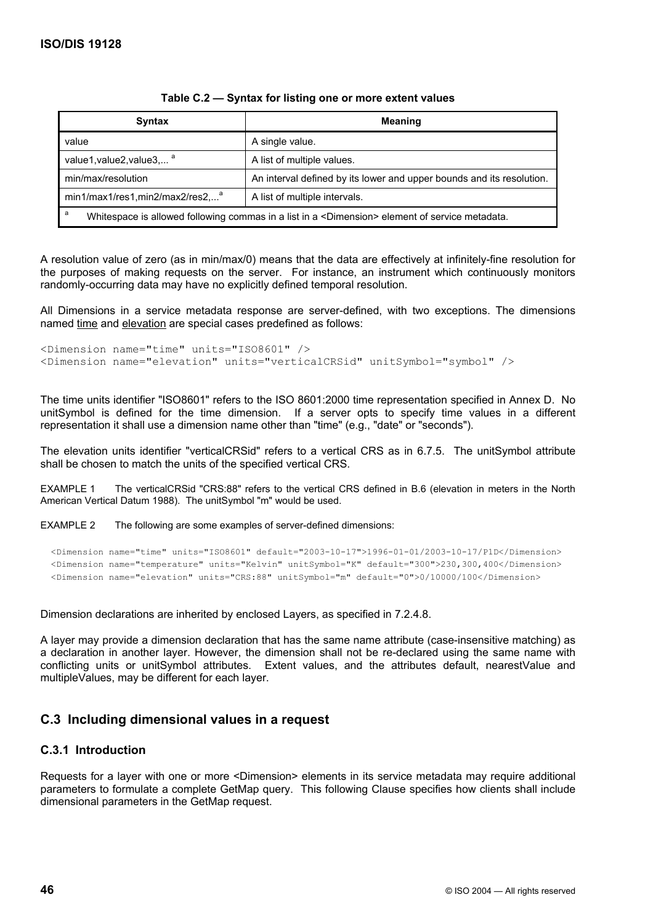| <b>Syntax</b>                                                                                                   | <b>Meaning</b>                                                        |
|-----------------------------------------------------------------------------------------------------------------|-----------------------------------------------------------------------|
| value                                                                                                           | A single value.                                                       |
| value1, value2, value3, <sup>a</sup>                                                                            | A list of multiple values.                                            |
| min/max/resolution                                                                                              | An interval defined by its lower and upper bounds and its resolution. |
| $min1/max1,res1,min2/max2,res2a$<br>A list of multiple intervals.                                               |                                                                       |
| a<br>Whitespace is allowed following commas in a list in a <dimension> element of service metadata.</dimension> |                                                                       |

#### **Table C.2 — Syntax for listing one or more extent values**

A resolution value of zero (as in min/max/0) means that the data are effectively at infinitely-fine resolution for the purposes of making requests on the server. For instance, an instrument which continuously monitors randomly-occurring data may have no explicitly defined temporal resolution.

All Dimensions in a service metadata response are server-defined, with two exceptions. The dimensions named time and elevation are special cases predefined as follows:

```
<Dimension name="time" units="ISO8601" /> 
<Dimension name="elevation" units="verticalCRSid" unitSymbol="symbol" />
```
The time units identifier "ISO8601" refers to the ISO 8601:2000 time representation specified in Annex D. No unitSymbol is defined for the time dimension. If a server opts to specify time values in a different representation it shall use a dimension name other than "time" (e.g., "date" or "seconds").

The elevation units identifier "verticalCRSid" refers to a vertical CRS as in 6.7.5. The unitSymbol attribute shall be chosen to match the units of the specified vertical CRS.

EXAMPLE 1 The verticalCRSid "CRS:88" refers to the vertical CRS defined in B.6 (elevation in meters in the North American Vertical Datum 1988). The unitSymbol "m" would be used.

EXAMPLE 2 The following are some examples of server-defined dimensions:

```
 <Dimension name="time" units="ISO8601" default="2003-10-17">1996-01-01/2003-10-17/P1D</Dimension> 
 <Dimension name="temperature" units="Kelvin" unitSymbol="K" default="300">230,300,400</Dimension> 
 <Dimension name="elevation" units="CRS:88" unitSymbol="m" default="0">0/10000/100</Dimension>
```
Dimension declarations are inherited by enclosed Layers, as specified in 7.2.4.8.

A layer may provide a dimension declaration that has the same name attribute (case-insensitive matching) as a declaration in another layer. However, the dimension shall not be re-declared using the same name with conflicting units or unitSymbol attributes. Extent values, and the attributes default, nearestValue and multipleValues, may be different for each layer.

### **C.3 Including dimensional values in a request**

#### **C.3.1 Introduction**

Requests for a layer with one or more <Dimension> elements in its service metadata may require additional parameters to formulate a complete GetMap query. This following Clause specifies how clients shall include dimensional parameters in the GetMap request.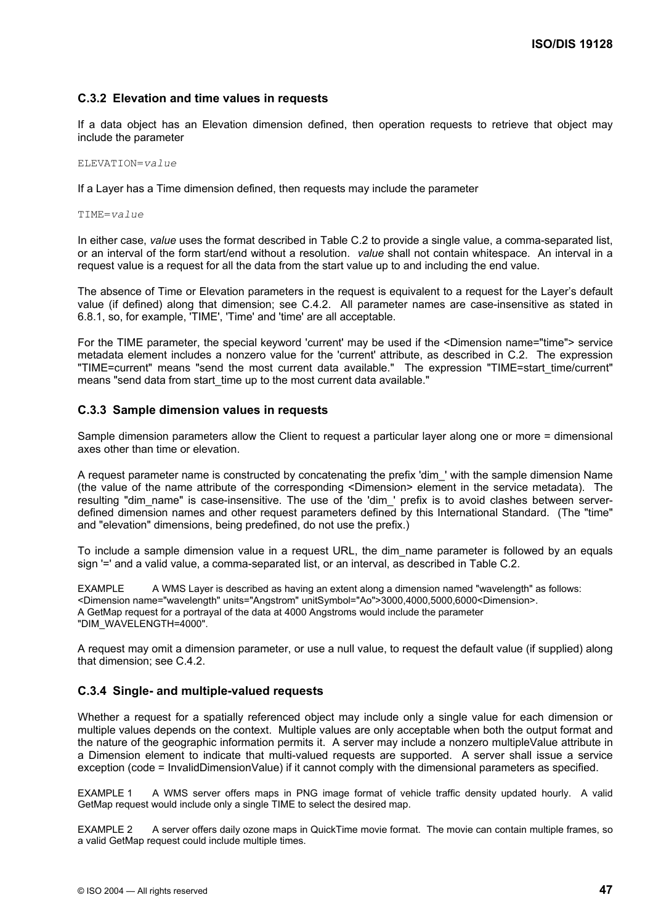#### **C.3.2 Elevation and time values in requests**

If a data object has an Elevation dimension defined, then operation requests to retrieve that object may include the parameter

ELEVATION=*value*

If a Layer has a Time dimension defined, then requests may include the parameter

TIME=*value*

In either case, *value* uses the format described in Table C.2 to provide a single value, a comma-separated list, or an interval of the form start/end without a resolution. *value* shall not contain whitespace. An interval in a request value is a request for all the data from the start value up to and including the end value.

The absence of Time or Elevation parameters in the request is equivalent to a request for the Layer's default value (if defined) along that dimension; see C.4.2. All parameter names are case-insensitive as stated in 6.8.1, so, for example, 'TIME', 'Time' and 'time' are all acceptable.

For the TIME parameter, the special keyword 'current' may be used if the <Dimension name="time"> service metadata element includes a nonzero value for the 'current' attribute, as described in C.2. The expression "TIME=current" means "send the most current data available." The expression "TIME=start\_time/current" means "send data from start time up to the most current data available."

#### **C.3.3 Sample dimension values in requests**

Sample dimension parameters allow the Client to request a particular layer along one or more = dimensional axes other than time or elevation.

A request parameter name is constructed by concatenating the prefix 'dim\_' with the sample dimension Name (the value of the name attribute of the corresponding <Dimension> element in the service metadata). The resulting "dim\_name" is case-insensitive. The use of the 'dim\_' prefix is to avoid clashes between serverdefined dimension names and other request parameters defined by this International Standard. (The "time" and "elevation" dimensions, being predefined, do not use the prefix.)

To include a sample dimension value in a request URL, the dim\_name parameter is followed by an equals sign '=' and a valid value, a comma-separated list, or an interval, as described in Table C.2.

EXAMPLE A WMS Laver is described as having an extent along a dimension named "wavelength" as follows: <Dimension name="wavelength" units="Angstrom" unitSymbol="Ao">3000,4000,5000,6000<Dimension>. A GetMap request for a portrayal of the data at 4000 Angstroms would include the parameter "DIM\_WAVELENGTH=4000".

A request may omit a dimension parameter, or use a null value, to request the default value (if supplied) along that dimension; see C.4.2.

#### **C.3.4 Single- and multiple-valued requests**

Whether a request for a spatially referenced object may include only a single value for each dimension or multiple values depends on the context. Multiple values are only acceptable when both the output format and the nature of the geographic information permits it. A server may include a nonzero multipleValue attribute in a Dimension element to indicate that multi-valued requests are supported. A server shall issue a service exception (code = InvalidDimensionValue) if it cannot comply with the dimensional parameters as specified.

EXAMPLE 1 A WMS server offers maps in PNG image format of vehicle traffic density updated hourly. A valid GetMap request would include only a single TIME to select the desired map.

EXAMPLE 2 A server offers daily ozone maps in QuickTime movie format. The movie can contain multiple frames, so a valid GetMap request could include multiple times.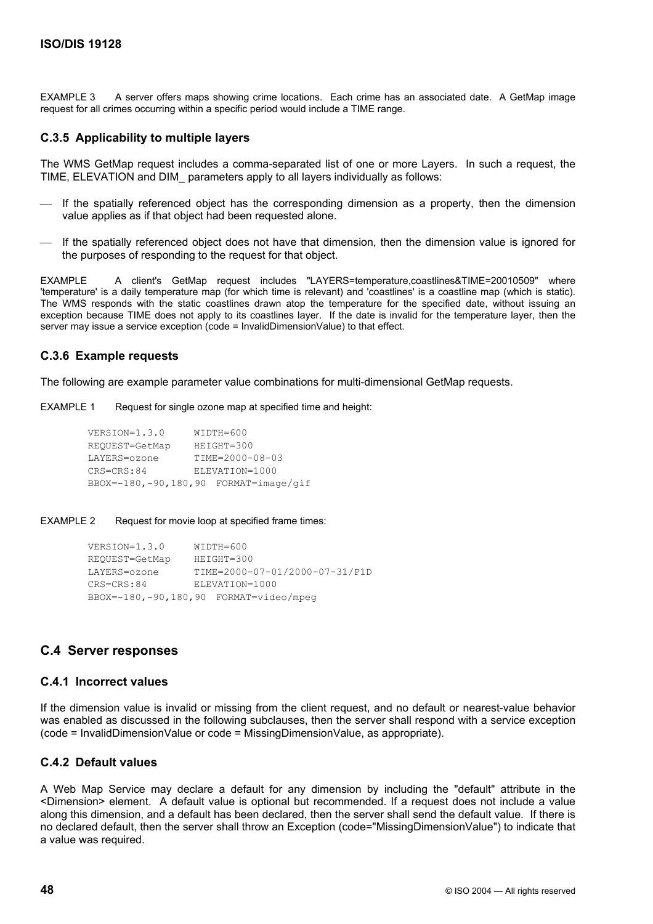EXAMPLE 3 A server offers maps showing crime locations. Each crime has an associated date. A GetMap image request for all crimes occurring within a specific period would include a TIME range.

#### **C.3.5 Applicability to multiple layers**

The WMS GetMap request includes a comma-separated list of one or more Layers. In such a request, the TIME, ELEVATION and DIM\_ parameters apply to all layers individually as follows:

- If the spatially referenced object has the corresponding dimension as a property, then the dimension value applies as if that object had been requested alone.
- If the spatially referenced object does not have that dimension, then the dimension value is ignored for the purposes of responding to the request for that object.

EXAMPLE A client's GetMap request includes "LAYERS=temperature,coastlines&TIME=20010509" where 'temperature' is a daily temperature map (for which time is relevant) and 'coastlines' is a coastline map (which is static). The WMS responds with the static coastlines drawn atop the temperature for the specified date, without issuing an exception because TIME does not apply to its coastlines layer. If the date is invalid for the temperature layer, then the server may issue a service exception (code = InvalidDimensionValue) to that effect.

#### **C.3.6 Example requests**

The following are example parameter value combinations for multi-dimensional GetMap requests.

EXAMPLE 1 Request for single ozone map at specified time and height:

```
 VERSION=1.3.0 WIDTH=600 
       REQUEST=GetMap HEIGHT=300 
 LAYERS=ozone TIME=2000-08-03 
 CRS=CRS:84 ELEVATION=1000 
       BBOX=-180,-90,180,90 FORMAT=image/gif
```
#### EXAMPLE 2 Request for movie loop at specified frame times:

```
VERSION=1.3.0 WIDTH=600<br>REQUEST=GetMap HEIGHT=300
REQUEST=GetMap
 LAYERS=ozone TIME=2000-07-01/2000-07-31/P1D 
CRS=CRS:84 ELEVATION=1000
 BBOX=-180,-90,180,90 FORMAT=video/mpeg
```
### **C.4 Server responses**

#### **C.4.1 Incorrect values**

If the dimension value is invalid or missing from the client request, and no default or nearest-value behavior was enabled as discussed in the following subclauses, then the server shall respond with a service exception (code = InvalidDimensionValue or code = MissingDimensionValue, as appropriate).

#### **C.4.2 Default values**

A Web Map Service may declare a default for any dimension by including the "default" attribute in the <Dimension> element. A default value is optional but recommended. If a request does not include a value along this dimension, and a default has been declared, then the server shall send the default value. If there is no declared default, then the server shall throw an Exception (code="MissingDimensionValue") to indicate that a value was required.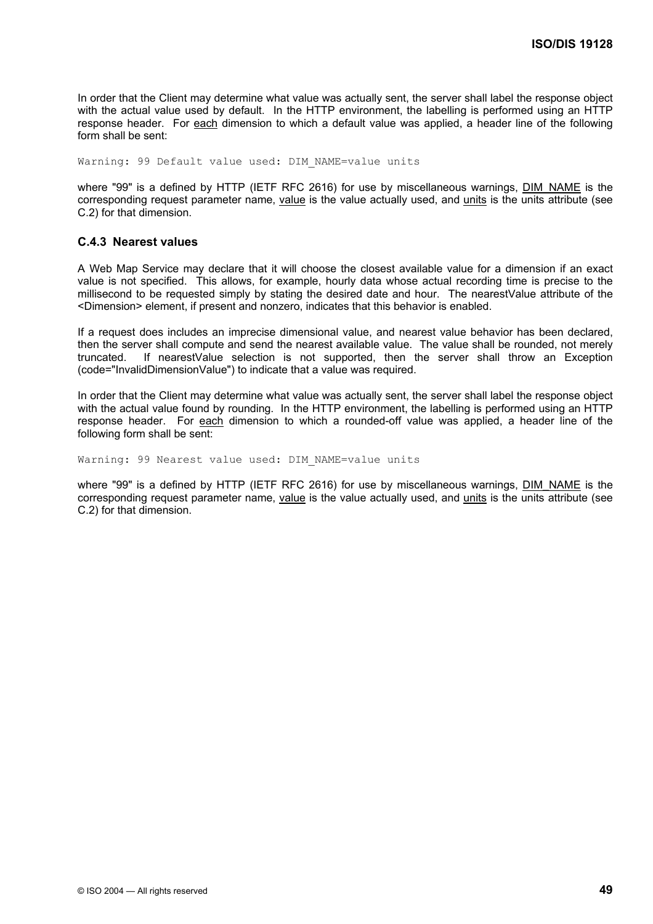In order that the Client may determine what value was actually sent, the server shall label the response object with the actual value used by default. In the HTTP environment, the labelling is performed using an HTTP response header. For each dimension to which a default value was applied, a header line of the following form shall be sent:

Warning: 99 Default value used: DIM NAME=value units

where "99" is a defined by HTTP (IETF RFC 2616) for use by miscellaneous warnings, DIM\_NAME is the corresponding request parameter name, value is the value actually used, and units is the units attribute (see C.2) for that dimension.

#### **C.4.3 Nearest values**

A Web Map Service may declare that it will choose the closest available value for a dimension if an exact value is not specified. This allows, for example, hourly data whose actual recording time is precise to the millisecond to be requested simply by stating the desired date and hour. The nearestValue attribute of the <Dimension> element, if present and nonzero, indicates that this behavior is enabled.

If a request does includes an imprecise dimensional value, and nearest value behavior has been declared, then the server shall compute and send the nearest available value. The value shall be rounded, not merely truncated. If nearestValue selection is not supported, then the server shall throw an Exception (code="InvalidDimensionValue") to indicate that a value was required.

In order that the Client may determine what value was actually sent, the server shall label the response object with the actual value found by rounding. In the HTTP environment, the labelling is performed using an HTTP response header. For each dimension to which a rounded-off value was applied, a header line of the following form shall be sent:

Warning: 99 Nearest value used: DIM NAME=value units

where "99" is a defined by HTTP (IETF RFC 2616) for use by miscellaneous warnings, DIM\_NAME is the corresponding request parameter name, value is the value actually used, and units is the units attribute (see C.2) for that dimension.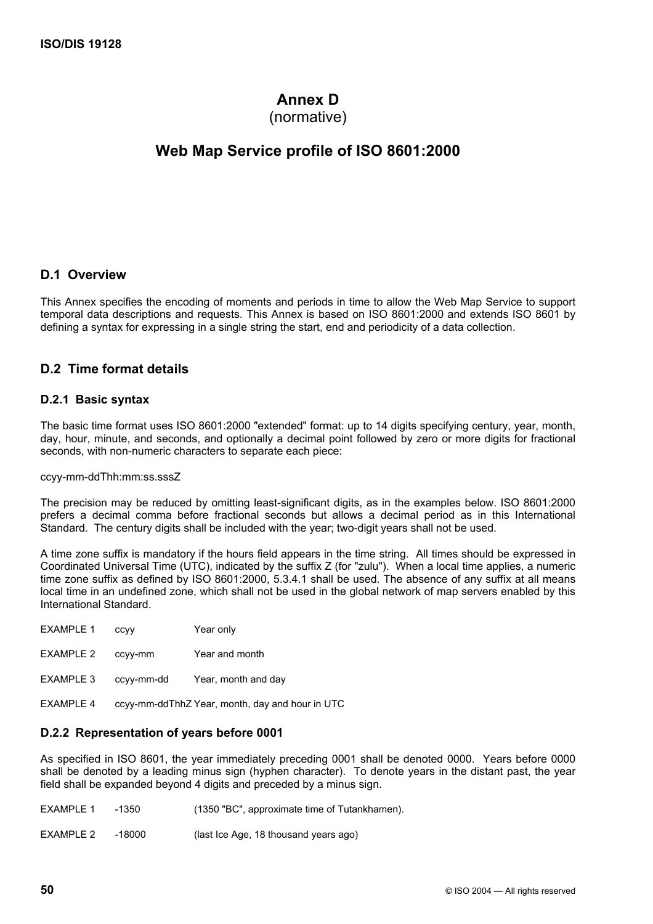# **Annex D**

(normative)

# **Web Map Service profile of ISO 8601:2000**

#### **D.1 Overview**

This Annex specifies the encoding of moments and periods in time to allow the Web Map Service to support temporal data descriptions and requests. This Annex is based on ISO 8601:2000 and extends ISO 8601 by defining a syntax for expressing in a single string the start, end and periodicity of a data collection.

### **D.2 Time format details**

#### **D.2.1 Basic syntax**

The basic time format uses ISO 8601:2000 "extended" format: up to 14 digits specifying century, year, month, day, hour, minute, and seconds, and optionally a decimal point followed by zero or more digits for fractional seconds, with non-numeric characters to separate each piece:

#### ccyy-mm-ddThh:mm:ss.sssZ

The precision may be reduced by omitting least-significant digits, as in the examples below. ISO 8601:2000 prefers a decimal comma before fractional seconds but allows a decimal period as in this International Standard. The century digits shall be included with the year; two-digit years shall not be used.

A time zone suffix is mandatory if the hours field appears in the time string. All times should be expressed in Coordinated Universal Time (UTC), indicated by the suffix Z (for "zulu"). When a local time applies, a numeric time zone suffix as defined by ISO 8601:2000, 5.3.4.1 shall be used. The absence of any suffix at all means local time in an undefined zone, which shall not be used in the global network of map servers enabled by this International Standard.

| <b>EXAMPLE 1</b> | ccyy | Year only |
|------------------|------|-----------|
|------------------|------|-----------|

EXAMPLE 3 ccyy-mm-dd Year, month and day

EXAMPLE 4 ccyy-mm-ddThhZ Year, month, day and hour in UTC

#### **D.2.2 Representation of years before 0001**

As specified in ISO 8601, the year immediately preceding 0001 shall be denoted 0000. Years before 0000 shall be denoted by a leading minus sign (hyphen character). To denote years in the distant past, the year field shall be expanded beyond 4 digits and preceded by a minus sign.

| EXAMPLE 1 | -1350  | (1350 "BC", approximate time of Tutankhamen). |
|-----------|--------|-----------------------------------------------|
| EXAMPLE 2 | -18000 | (last Ice Age, 18 thousand years ago)         |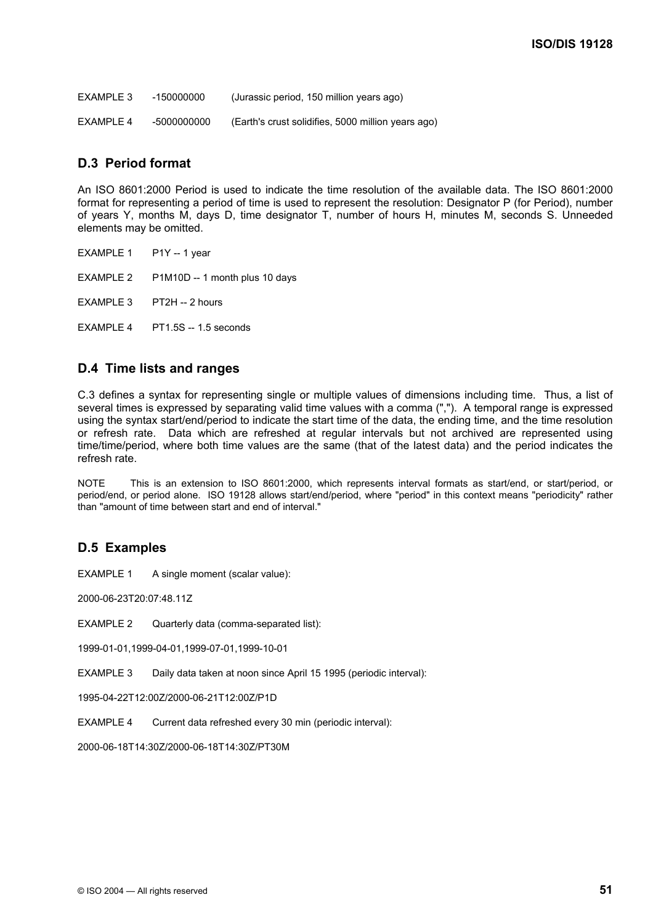| EXAMPLE 3 | -150000000 | (Jurassic period, 150 million years ago) |
|-----------|------------|------------------------------------------|
|           |            |                                          |

EXAMPLE 4 -5000000000 (Earth's crust solidifies, 5000 million years ago)

# **D.3 Period format**

An ISO 8601:2000 Period is used to indicate the time resolution of the available data. The ISO 8601:2000 format for representing a period of time is used to represent the resolution: Designator P (for Period), number of years Y, months M, days D, time designator T, number of hours H, minutes M, seconds S. Unneeded elements may be omitted.

EXAMPLE 1 P1Y -- 1 year

EXAMPLE 2 P1M10D -- 1 month plus 10 days

EXAMPLE 3 PT2H -- 2 hours

EXAMPLE 4 PT1.5S -- 1.5 seconds

# **D.4 Time lists and ranges**

C.3 defines a syntax for representing single or multiple values of dimensions including time. Thus, a list of several times is expressed by separating valid time values with a comma (","). A temporal range is expressed using the syntax start/end/period to indicate the start time of the data, the ending time, and the time resolution or refresh rate. Data which are refreshed at regular intervals but not archived are represented using time/time/period, where both time values are the same (that of the latest data) and the period indicates the refresh rate.

NOTE This is an extension to ISO 8601:2000, which represents interval formats as start/end, or start/period, or period/end, or period alone. ISO 19128 allows start/end/period, where "period" in this context means "periodicity" rather than "amount of time between start and end of interval."

# **D.5 Examples**

EXAMPLE 1 A single moment (scalar value):

2000-06-23T20:07:48.11Z

EXAMPLE 2 Quarterly data (comma-separated list):

1999-01-01,1999-04-01,1999-07-01,1999-10-01

EXAMPLE 3 Daily data taken at noon since April 15 1995 (periodic interval):

1995-04-22T12:00Z/2000-06-21T12:00Z/P1D

EXAMPLE 4 Current data refreshed every 30 min (periodic interval):

2000-06-18T14:30Z/2000-06-18T14:30Z/PT30M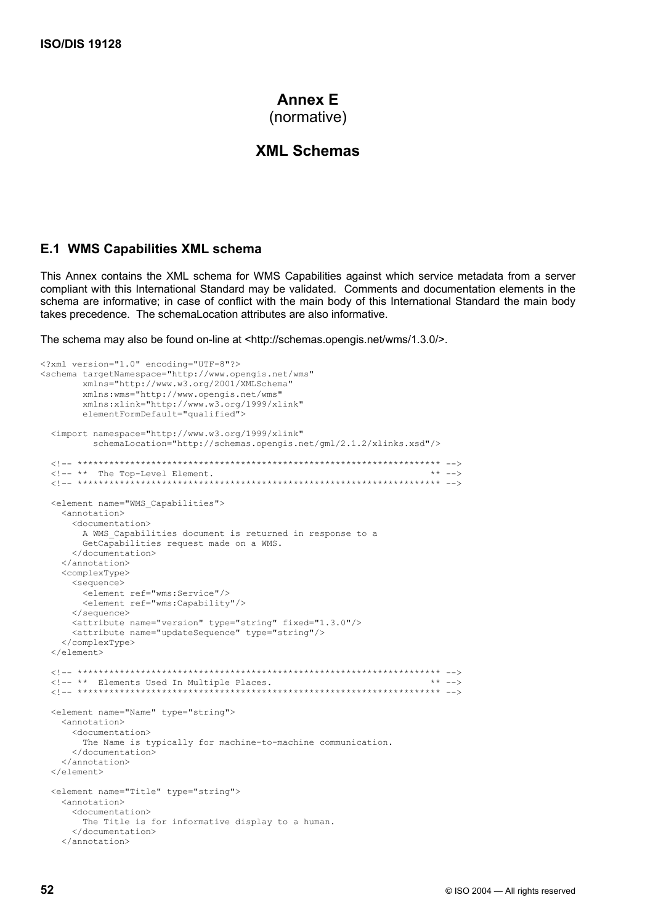# **Annex E** (normative)

# **XML Schemas**

#### **E.1 WMS Capabilities XML schema**

This Annex contains the XML schema for WMS Capabilities against which service metadata from a server compliant with this International Standard may be validated. Comments and documentation elements in the schema are informative; in case of conflict with the main body of this International Standard the main body takes precedence. The schemaLocation attributes are also informative.

The schema may also be found on-line at <http://schemas.opengis.net/wms/1.3.0/>.

```
<?xml version="1.0" encoding="UTF-8"?> 
<schema targetNamespace="http://www.opengis.net/wms" 
        xmlns="http://www.w3.org/2001/XMLSchema" 
         xmlns:wms="http://www.opengis.net/wms" 
        xmlns:xlink="http://www.w3.org/1999/xlink" 
       elementFormDefault="qualified">
  <import namespace="http://www.w3.org/1999/xlink" 
          schemaLocation="http://schemas.opengis.net/gml/2.1.2/xlinks.xsd"/> 
  <!-- ********************************************************************* --> 
\langle!-- ** The Top-Level Element.
 <!-- ********************************************************************* --> 
  <element name="WMS_Capabilities"> 
     <annotation> 
       <documentation> 
       A WMS Capabilities document is returned in response to a
        GetCapabilities request made on a WMS. 
      </documentation> 
     </annotation> 
     <complexType> 
       <sequence> 
         <element ref="wms:Service"/> 
         <element ref="wms:Capability"/> 
       </sequence> 
       <attribute name="version" type="string" fixed="1.3.0"/> 
       <attribute name="updateSequence" type="string"/> 
     </complexType> 
 \langle/element>
  <!-- ********************************************************************* --> 
 <!-- ** Elements Used In Multiple Places.
  <!-- ********************************************************************* --> 
  <element name="Name" type="string"> 
     <annotation> 
       <documentation> 
        The Name is typically for machine-to-machine communication. 
       </documentation> 
     </annotation> 
  </element> 
  <element name="Title" type="string"> 
     <annotation> 
       <documentation> 
        The Title is for informative display to a human. 
       </documentation> 
     </annotation>
```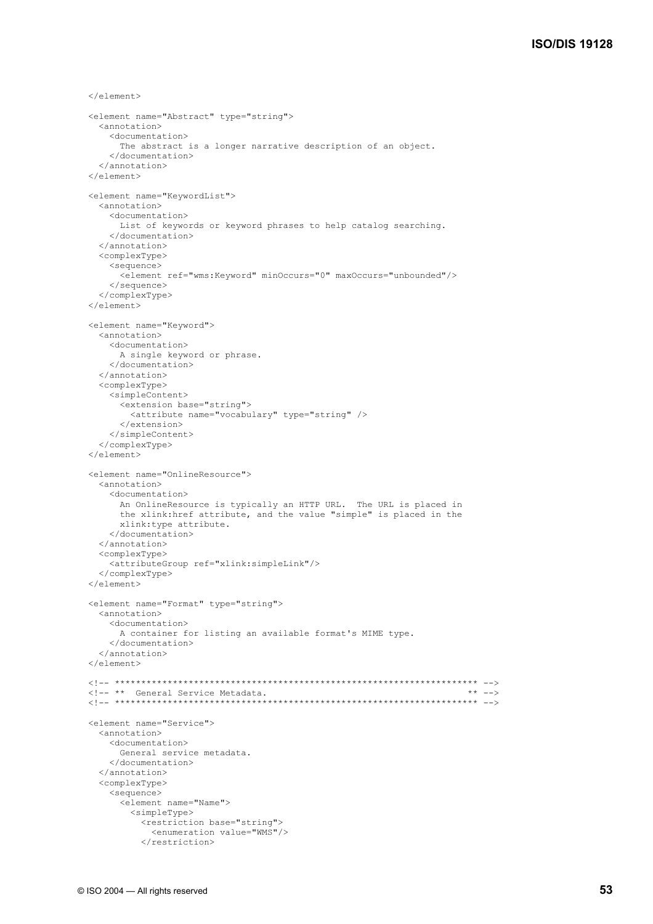```
\langle/element>
 <element name="Abstract" type="string"> 
   <annotation> 
     <documentation> 
       The abstract is a longer narrative description of an object. 
     </documentation> 
   </annotation> 
 </element> 
 <element name="KeywordList"> 
   <annotation> 
     <documentation> 
       List of keywords or keyword phrases to help catalog searching. 
     </documentation> 
   </annotation> 
   <complexType> 
     <sequence> 
       <element ref="wms:Keyword" minOccurs="0" maxOccurs="unbounded"/> 
     </sequence> 
   </complexType> 
 </element> 
 <element name="Keyword"> 
   <annotation> 
     <documentation> 
       A single keyword or phrase. 
     </documentation> 
   </annotation> 
   <complexType> 
     <simpleContent> 
       <extension base="string"> 
          <attribute name="vocabulary" type="string" /> 
       </extension> 
     </simpleContent> 
   </complexType> 
 </element> 
 <element name="OnlineResource"> 
   <annotation> 
     <documentation> 
       An OnlineResource is typically an HTTP URL. The URL is placed in 
        the xlink:href attribute, and the value "simple" is placed in the 
       xlink:type attribute. 
     </documentation> 
   </annotation> 
   <complexType> 
     <attributeGroup ref="xlink:simpleLink"/> 
   </complexType> 
 </element> 
 <element name="Format" type="string"> 
   <annotation> 
     <documentation> 
       A container for listing an available format's MIME type. 
     </documentation> 
   </annotation> 
 </element> 
 <!-- ********************************************************************* --> 
<!-- ** General Service Metadata.<br><!-- ******************************
                                     <!-- ********************************************************************* --> 
 <element name="Service"> 
   <annotation> 
     <documentation> 
       General service metadata. 
     </documentation> 
   </annotation> 
   <complexType> 
     <sequence> 
        <element name="Name"> 
          <simpleType> 
            <restriction base="string"> 
              <enumeration value="WMS"/> 
            </restriction>
```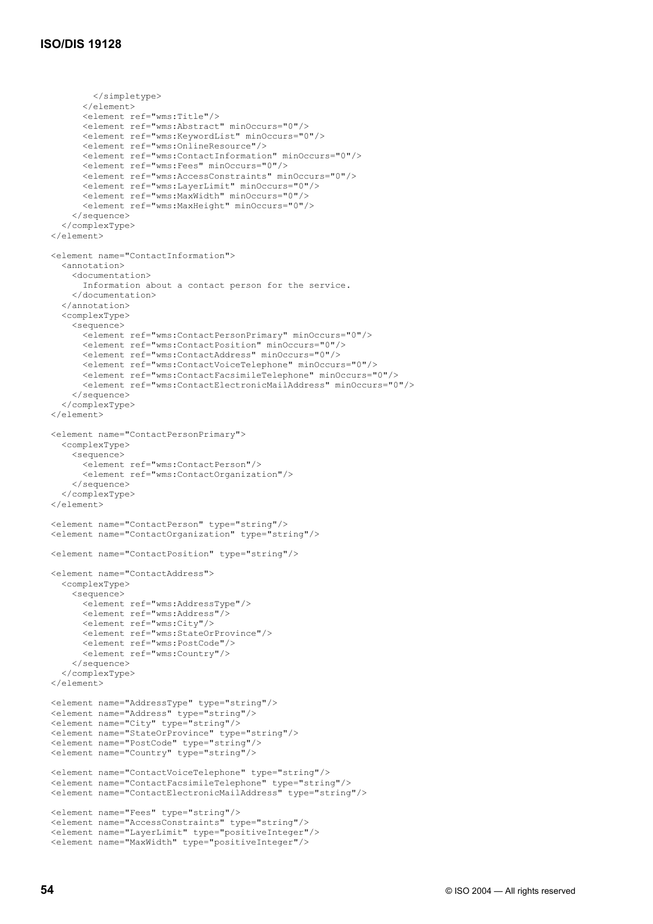```
 </simpletype> 
         </element> 
         <element ref="wms:Title"/> 
         <element ref="wms:Abstract" minOccurs="0"/> 
         <element ref="wms:KeywordList" minOccurs="0"/> 
         <element ref="wms:OnlineResource"/> 
         <element ref="wms:ContactInformation" minOccurs="0"/> 
         <element ref="wms:Fees" minOccurs="0"/> 
         <element ref="wms:AccessConstraints" minOccurs="0"/> 
         <element ref="wms:LayerLimit" minOccurs="0"/> 
         <element ref="wms:MaxWidth" minOccurs="0"/> 
         <element ref="wms:MaxHeight" minOccurs="0"/> 
       </sequence> 
     </complexType> 
  </element> 
  <element name="ContactInformation"> 
     <annotation> 
       <documentation> 
         Information about a contact person for the service. 
       </documentation> 
     </annotation> 
     <complexType> 
       <sequence> 
         <element ref="wms:ContactPersonPrimary" minOccurs="0"/> 
         <element ref="wms:ContactPosition" minOccurs="0"/> 
         <element ref="wms:ContactAddress" minOccurs="0"/> 
         <element ref="wms:ContactVoiceTelephone" minOccurs="0"/> 
         <element ref="wms:ContactFacsimileTelephone" minOccurs="0"/> 
         <element ref="wms:ContactElectronicMailAddress" minOccurs="0"/> 
       </sequence> 
     </complexType> 
 \langle/element>
  <element name="ContactPersonPrimary"> 
     <complexType> 
       <sequence> 
         <element ref="wms:ContactPerson"/> 
         <element ref="wms:ContactOrganization"/> 
       </sequence> 
     </complexType> 
  </element> 
  <element name="ContactPerson" type="string"/> 
  <element name="ContactOrganization" type="string"/> 
  <element name="ContactPosition" type="string"/> 
  <element name="ContactAddress"> 
     <complexType> 
       <sequence> 
         <element ref="wms:AddressType"/> 
         <element ref="wms:Address"/> 
         <element ref="wms:City"/> 
         <element ref="wms:StateOrProvince"/> 
         <element ref="wms:PostCode"/> 
         <element ref="wms:Country"/> 
       </sequence> 
     </complexType> 
  </element> 
 <element name="AddressType" type="string"/> 
 <element name="Address" type="string"/> 
  <element name="City" type="string"/> 
  <element name="StateOrProvince" type="string"/> 
  <element name="PostCode" type="string"/> 
  <element name="Country" type="string"/> 
  <element name="ContactVoiceTelephone" type="string"/> 
  <element name="ContactFacsimileTelephone" type="string"/> 
  <element name="ContactElectronicMailAddress" type="string"/> 
  <element name="Fees" type="string"/> 
  <element name="AccessConstraints" type="string"/> 
  <element name="LayerLimit" type="positiveInteger"/> 
  <element name="MaxWidth" type="positiveInteger"/>
```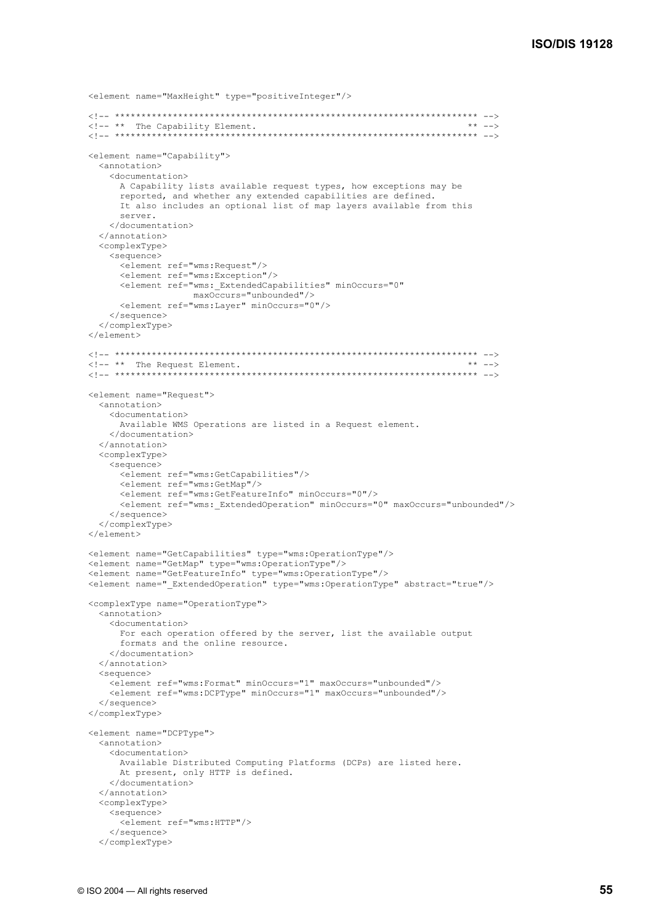```
 <element name="MaxHeight" type="positiveInteger"/> 
  <!-- ********************************************************************* --> 
 \langle!-- ** The Capability Element.<br>\langle!-- ****************************
                            <!-- ********************************************************************* --> 
  <element name="Capability"> 
     <annotation> 
       <documentation> 
         A Capability lists available request types, how exceptions may be 
         reported, and whether any extended capabilities are defined. 
         It also includes an optional list of map layers available from this 
         server. 
       </documentation> 
     </annotation> 
     <complexType> 
       <sequence> 
         <element ref="wms:Request"/> 
         <element ref="wms:Exception"/> 
         <element ref="wms:_ExtendedCapabilities" minOccurs="0" 
 maxOccurs="unbounded"/> 
 <element ref="wms:Layer" minOccurs="0"/> 
       </sequence> 
    </complexType> 
  </element> 
  <!-- ********************************************************************* --> 
 \leq - \rightarrow \star The Request Element.
  <!-- ********************************************************************* --> 
  <element name="Request"> 
    <annotation> 
       <documentation> 
         Available WMS Operations are listed in a Request element. 
       </documentation> 
     </annotation> 
     <complexType> 
       <sequence> 
         <element ref="wms:GetCapabilities"/> 
         <element ref="wms:GetMap"/> 
         <element ref="wms:GetFeatureInfo" minOccurs="0"/> 
         <element ref="wms:_ExtendedOperation" minOccurs="0" maxOccurs="unbounded"/> 
       </sequence> 
     </complexType> 
  </element> 
  <element name="GetCapabilities" type="wms:OperationType"/> 
  <element name="GetMap" type="wms:OperationType"/> 
 <element name="GetFeatureInfo" type="wms:OperationType"/> 
 <element name="_ExtendedOperation" type="wms:OperationType" abstract="true"/> 
  <complexType name="OperationType"> 
    <annotation> 
       <documentation> 
         For each operation offered by the server, list the available output 
         formats and the online resource. 
       </documentation> 
     </annotation> 
     <sequence> 
       <element ref="wms:Format" minOccurs="1" maxOccurs="unbounded"/> 
       <element ref="wms:DCPType" minOccurs="1" maxOccurs="unbounded"/> 
     </sequence> 
  </complexType> 
  <element name="DCPType"> 
    <annotation> 
       <documentation> 
         Available Distributed Computing Platforms (DCPs) are listed here. 
         At present, only HTTP is defined. 
       </documentation> 
     </annotation> 
     <complexType> 
       <sequence> 
         <element ref="wms:HTTP"/> 
       </sequence> 
     </complexType>
```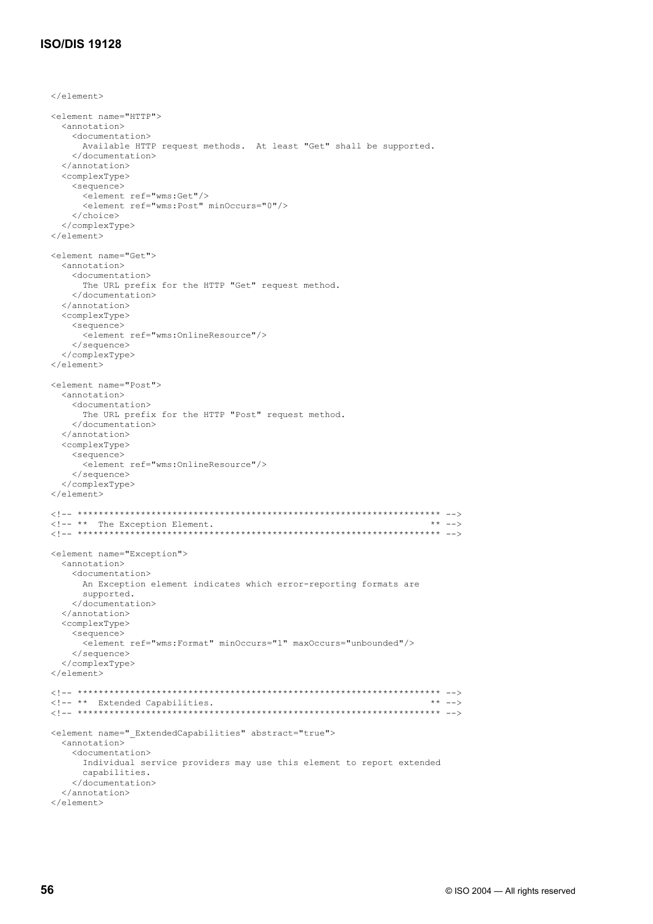### **ISO/DIS 19128**

```
\langle/element>
 <element name="HTTP"> 
   <annotation> 
     <documentation> 
       Available HTTP request methods. At least "Get" shall be supported. 
     </documentation> 
   </annotation> 
   <complexType> 
     <sequence> 
       <element ref="wms:Get"/> 
       <element ref="wms:Post" minOccurs="0"/> 
     </choice> 
   </complexType> 
 </element> 
 <element name="Get"> 
   <annotation> 
     <documentation> 
       The URL prefix for the HTTP "Get" request method. 
    </documentation> 
   </annotation> 
   <complexType> 
     <sequence> 
       <element ref="wms:OnlineResource"/> 
     </sequence> 
   </complexType> 
 </element> 
 <element name="Post"> 
   <annotation> 
    <documentation> 
       The URL prefix for the HTTP "Post" request method. 
     </documentation> 
   </annotation> 
   <complexType> 
    <sequence> 
       <element ref="wms:OnlineResource"/> 
     </sequence> 
   </complexType> 
 </element> 
 <!-- ********************************************************************* --> 
\leq - \cdots The Exception Element.
 <!-- ********************************************************************* --> 
 <element name="Exception"> 
  <annotation> 
     <documentation> 
      An Exception element indicates which error-reporting formats are 
       supported. 
     </documentation> 
   </annotation> 
   <complexType> 
     <sequence> 
       <element ref="wms:Format" minOccurs="1" maxOccurs="unbounded"/> 
     </sequence> 
   </complexType> 
 </element> 
 <!-- ********************************************************************* --> 
 <!-- ** Extended Capabilities. ** --> 
 <!-- ********************************************************************* --> 
 <element name="_ExtendedCapabilities" abstract="true"> 
   <annotation> 
     <documentation> 
       Individual service providers may use this element to report extended 
       capabilities. 
     </documentation> 
   </annotation> 
 </element>
```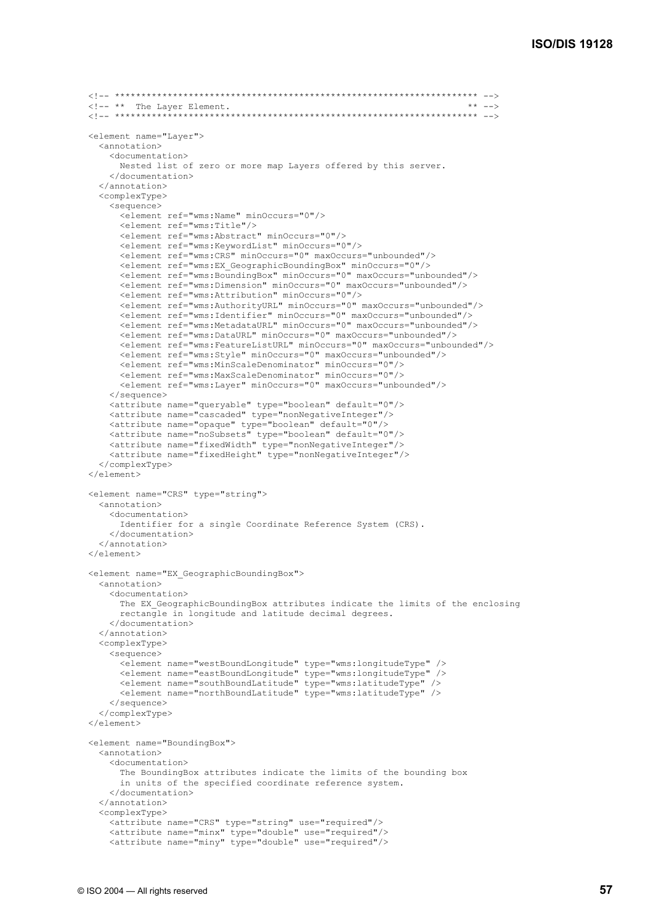```
 <!-- ********************************************************************* --> 
 \langle!-- ** The Layer Element.
  <!-- ********************************************************************* --> 
  <element name="Layer"> 
    <annotation> 
       <documentation> 
         Nested list of zero or more map Layers offered by this server. 
       </documentation> 
     </annotation> 
     <complexType> 
       <sequence> 
         <element ref="wms:Name" minOccurs="0"/> 
         <element ref="wms:Title"/> 
         <element ref="wms:Abstract" minOccurs="0"/> 
         <element ref="wms:KeywordList" minOccurs="0"/> 
         <element ref="wms:CRS" minOccurs="0" maxOccurs="unbounded"/> 
         <element ref="wms:EX_GeographicBoundingBox" minOccurs="0"/> 
         <element ref="wms:BoundingBox" minOccurs="0" maxOccurs="unbounded"/> 
         <element ref="wms:Dimension" minOccurs="0" maxOccurs="unbounded"/> 
         <element ref="wms:Attribution" minOccurs="0"/> 
         <element ref="wms:AuthorityURL" minOccurs="0" maxOccurs="unbounded"/> 
         <element ref="wms:Identifier" minOccurs="0" maxOccurs="unbounded"/> 
         <element ref="wms:MetadataURL" minOccurs="0" maxOccurs="unbounded"/> 
         <element ref="wms:DataURL" minOccurs="0" maxOccurs="unbounded"/> 
         <element ref="wms:FeatureListURL" minOccurs="0" maxOccurs="unbounded"/> 
         <element ref="wms:Style" minOccurs="0" maxOccurs="unbounded"/> 
         <element ref="wms:MinScaleDenominator" minOccurs="0"/> 
         <element ref="wms:MaxScaleDenominator" minOccurs="0"/> 
         <element ref="wms:Layer" minOccurs="0" maxOccurs="unbounded"/> 
       </sequence> 
       <attribute name="queryable" type="boolean" default="0"/> 
       <attribute name="cascaded" type="nonNegativeInteger"/> 
       <attribute name="opaque" type="boolean" default="0"/> 
       <attribute name="noSubsets" type="boolean" default="0"/> 
 <attribute name="fixedWidth" type="nonNegativeInteger"/> 
 <attribute name="fixedHeight" type="nonNegativeInteger"/> 
     </complexType> 
   </element> 
  <element name="CRS" type="string"> 
     <annotation> 
       <documentation> 
         Identifier for a single Coordinate Reference System (CRS). 
       </documentation> 
     </annotation> 
   </element> 
  <element name="EX_GeographicBoundingBox"> 
     <annotation> 
       <documentation> 
       The EX GeographicBoundingBox attributes indicate the limits of the enclosing
         rectangle in longitude and latitude decimal degrees. 
       </documentation> 
    </annotation> 
    <complexType> 
       <sequence> 
         <element name="westBoundLongitude" type="wms:longitudeType" /> 
         <element name="eastBoundLongitude" type="wms:longitudeType" /> 
         <element name="southBoundLatitude" type="wms:latitudeType" /> 
         <element name="northBoundLatitude" type="wms:latitudeType" /> 
       </sequence> 
     </complexType> 
  </element> 
  <element name="BoundingBox"> 
     <annotation> 
       <documentation> 
         The BoundingBox attributes indicate the limits of the bounding box 
         in units of the specified coordinate reference system. 
       </documentation> 
     </annotation> 
     <complexType> 
       <attribute name="CRS" type="string" use="required"/> 
       <attribute name="minx" type="double" use="required"/> 
       <attribute name="miny" type="double" use="required"/>
```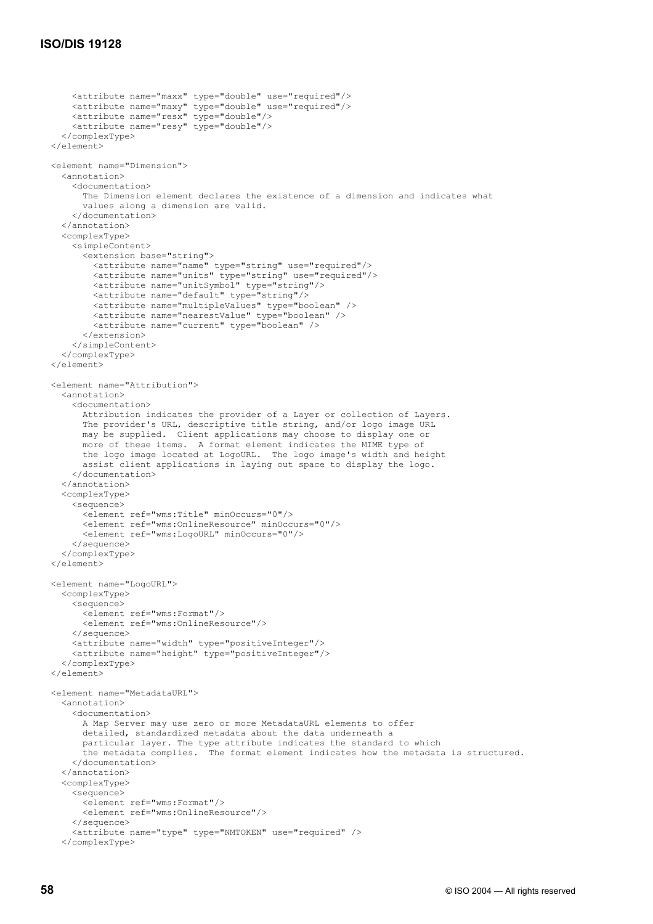```
 <attribute name="maxx" type="double" use="required"/> 
       <attribute name="maxy" type="double" use="required"/> 
       <attribute name="resx" type="double"/> 
       <attribute name="resy" type="double"/> 
     </complexType> 
 \langle/element>
  <element name="Dimension"> 
     <annotation> 
       <documentation> 
         The Dimension element declares the existence of a dimension and indicates what 
         values along a dimension are valid. 
       </documentation> 
    </annotation> 
     <complexType> 
       <simpleContent> 
         <extension base="string"> 
 <attribute name="name" type="string" use="required"/> 
 <attribute name="units" type="string" use="required"/> 
           <attribute name="unitSymbol" type="string"/> 
           <attribute name="default" type="string"/> 
           <attribute name="multipleValues" type="boolean" /> 
           <attribute name="nearestValue" type="boolean" /> 
           <attribute name="current" type="boolean" /> 
         </extension> 
       </simpleContent> 
    </complexType> 
  </element> 
  <element name="Attribution"> 
     <annotation> 
       <documentation> 
         Attribution indicates the provider of a Layer or collection of Layers. 
         The provider's URL, descriptive title string, and/or logo image URL 
         may be supplied. Client applications may choose to display one or 
         more of these items. A format element indicates the MIME type of 
         the logo image located at LogoURL. The logo image's width and height 
         assist client applications in laying out space to display the logo. 
       </documentation> 
    </annotation> 
    <complexType> 
       <sequence> 
         <element ref="wms:Title" minOccurs="0"/> 
         <element ref="wms:OnlineResource" minOccurs="0"/> 
         <element ref="wms:LogoURL" minOccurs="0"/> 
       </sequence> 
     </complexType> 
  </element> 
  <element name="LogoURL"> 
    <complexType> 
       <sequence> 
        <element ref="wms:Format"/> 
         <element ref="wms:OnlineResource"/> 
       </sequence> 
       <attribute name="width" type="positiveInteger"/> 
       <attribute name="height" type="positiveInteger"/> 
     </complexType> 
  </element> 
  <element name="MetadataURL"> 
     <annotation> 
       <documentation> 
         A Map Server may use zero or more MetadataURL elements to offer 
         detailed, standardized metadata about the data underneath a 
         particular layer. The type attribute indicates the standard to which 
         the metadata complies. The format element indicates how the metadata is structured. 
       </documentation> 
    </annotation> 
     <complexType> 
       <sequence> 
         <element ref="wms:Format"/> 
         <element ref="wms:OnlineResource"/> 
       </sequence> 
       <attribute name="type" type="NMTOKEN" use="required" /> 
    </complexType>
```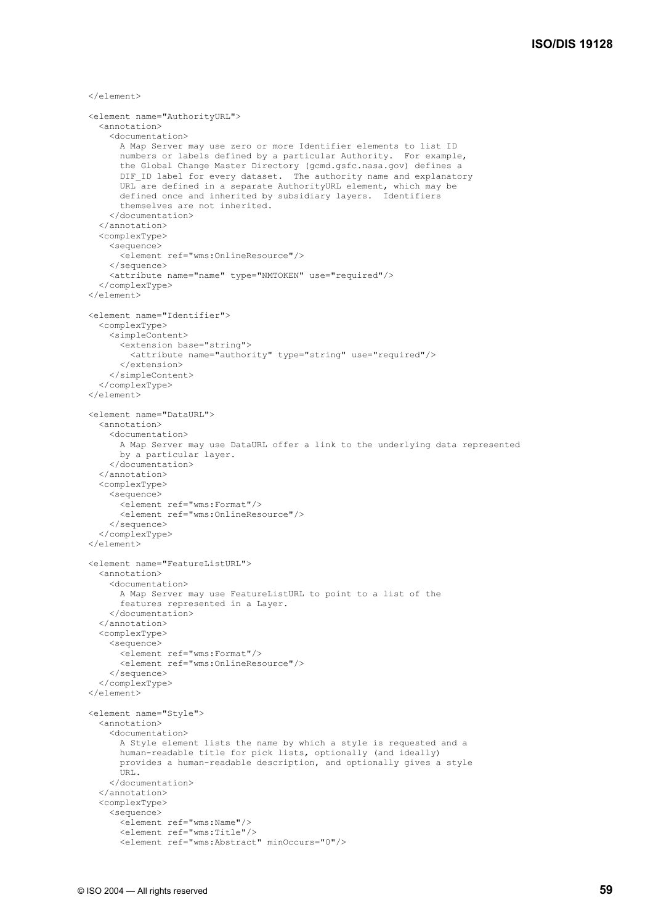```
\langle/element>
 <element name="AuthorityURL"> 
   <annotation> 
     <documentation> 
       A Map Server may use zero or more Identifier elements to list ID 
       numbers or labels defined by a particular Authority. For example, 
       the Global Change Master Directory (gcmd.gsfc.nasa.gov) defines a 
      DIF ID label for every dataset. The authority name and explanatory
       URL are defined in a separate AuthorityURL element, which may be 
       defined once and inherited by subsidiary layers. Identifiers 
       themselves are not inherited. 
     </documentation> 
   </annotation> 
   <complexType> 
     <sequence> 
       <element ref="wms:OnlineResource"/> 
     </sequence> 
     <attribute name="name" type="NMTOKEN" use="required"/> 
   </complexType> 
 </element> 
 <element name="Identifier"> 
   <complexType> 
     <simpleContent> 
       <extension base="string"> 
         <attribute name="authority" type="string" use="required"/> 
       </extension> 
     </simpleContent> 
   </complexType> 
 </element> 
 <element name="DataURL"> 
   <annotation> 
     <documentation> 
       A Map Server may use DataURL offer a link to the underlying data represented 
       by a particular layer. 
     </documentation> 
   </annotation> 
   <complexType> 
     <sequence> 
       <element ref="wms:Format"/> 
       <element ref="wms:OnlineResource"/> 
     </sequence> 
   </complexType> 
 </element> 
 <element name="FeatureListURL"> 
   <annotation> 
     <documentation> 
       A Map Server may use FeatureListURL to point to a list of the 
       features represented in a Layer. 
     </documentation> 
   </annotation> 
   <complexType> 
     <sequence> 
       <element ref="wms:Format"/> 
       <element ref="wms:OnlineResource"/> 
     </sequence> 
   </complexType> 
 </element> 
 <element name="Style"> 
   <annotation> 
     <documentation> 
       A Style element lists the name by which a style is requested and a 
       human-readable title for pick lists, optionally (and ideally) 
       provides a human-readable description, and optionally gives a style 
       URL. 
     </documentation> 
   </annotation> 
   <complexType> 
     <sequence> 
       <element ref="wms:Name"/> 
       <element ref="wms:Title"/> 
       <element ref="wms:Abstract" minOccurs="0"/>
```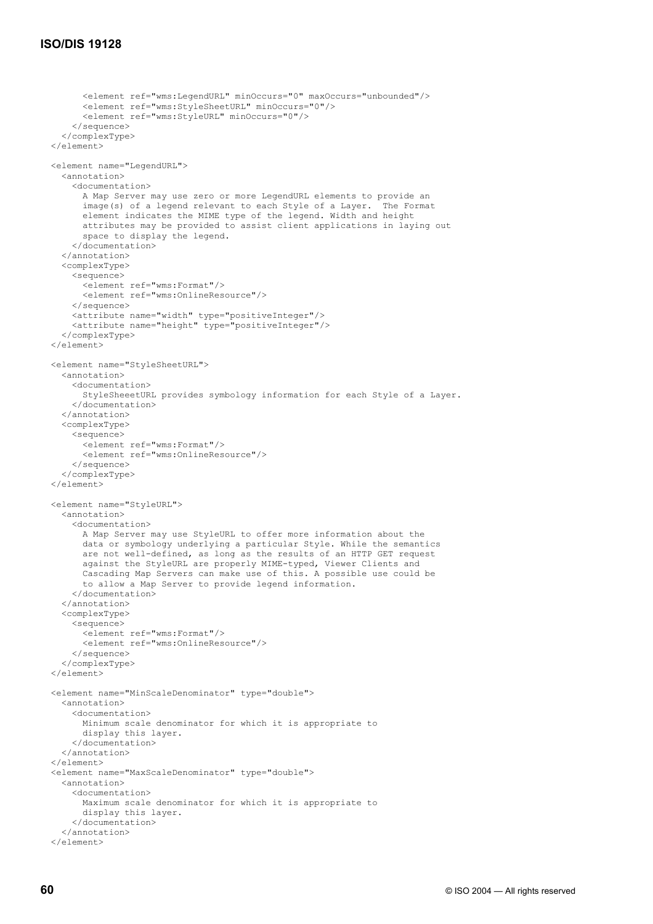```
 <element ref="wms:LegendURL" minOccurs="0" maxOccurs="unbounded"/> 
       <element ref="wms:StyleSheetURL" minOccurs="0"/> 
       <element ref="wms:StyleURL" minOccurs="0"/> 
     </sequence> 
   </complexType> 
\langle/element>
 <element name="LegendURL"> 
   <annotation> 
     <documentation> 
       A Map Server may use zero or more LegendURL elements to provide an 
       image(s) of a legend relevant to each Style of a Layer. The Format 
       element indicates the MIME type of the legend. Width and height 
       attributes may be provided to assist client applications in laying out 
       space to display the legend. 
     </documentation> 
   </annotation> 
   <complexType> 
     <sequence> 
       <element ref="wms:Format"/> 
       <element ref="wms:OnlineResource"/> 
     </sequence> 
     <attribute name="width" type="positiveInteger"/> 
     <attribute name="height" type="positiveInteger"/> 
   </complexType> 
 </element> 
 <element name="StyleSheetURL"> 
   <annotation> 
     <documentation> 
       StyleSheeetURL provides symbology information for each Style of a Layer. 
     </documentation> 
   </annotation> 
   <complexType> 
     <sequence> 
       <element ref="wms:Format"/> 
       <element ref="wms:OnlineResource"/> 
     </sequence> 
   </complexType> 
 </element> 
 <element name="StyleURL"> 
   <annotation> 
     <documentation> 
       A Map Server may use StyleURL to offer more information about the 
       data or symbology underlying a particular Style. While the semantics 
       are not well-defined, as long as the results of an HTTP GET request 
       against the StyleURL are properly MIME-typed, Viewer Clients and 
       Cascading Map Servers can make use of this. A possible use could be 
       to allow a Map Server to provide legend information. 
     </documentation> 
   </annotation> 
   <complexType> 
     <sequence> 
       <element ref="wms:Format"/> 
       <element ref="wms:OnlineResource"/> 
     </sequence> 
   </complexType> 
 </element> 
 <element name="MinScaleDenominator" type="double"> 
   <annotation> 
     <documentation> 
       Minimum scale denominator for which it is appropriate to 
       display this layer. 
     </documentation> 
   </annotation> 
\langle/element>
 <element name="MaxScaleDenominator" type="double"> 
   <annotation> 
     <documentation> 
       Maximum scale denominator for which it is appropriate to 
       display this layer. 
     </documentation> 
   </annotation> 
\langle/element>
```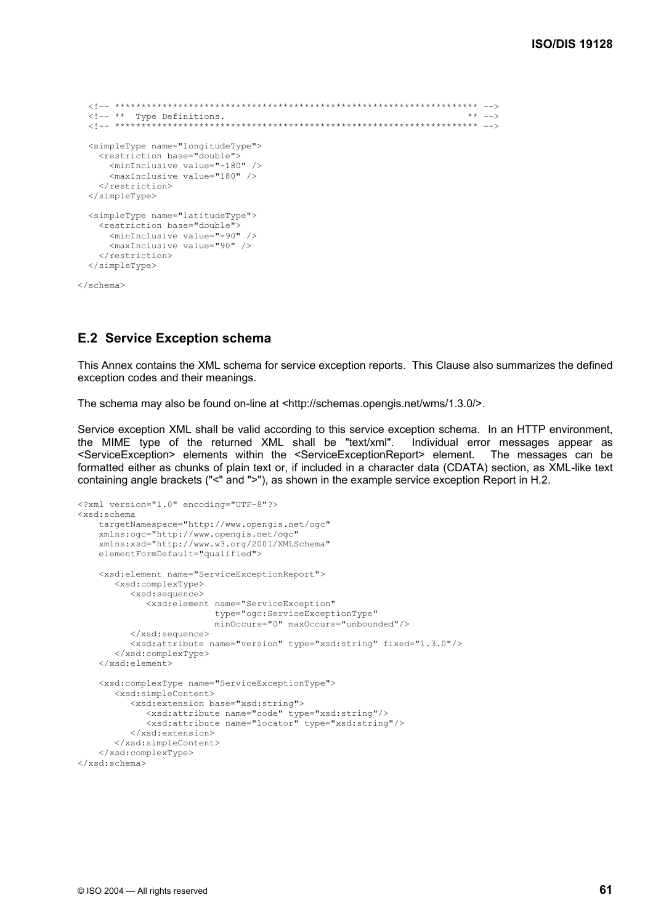```
 <!-- ********************************************************************* --> 
  \langle !-- ** Type Definitions.
   <!-- ********************************************************************* --> 
   <simpleType name="longitudeType"> 
     <restriction base="double"> 
       <minInclusive value="-180" /> 
       <maxInclusive value="180" /> 
     </restriction> 
   </simpleType> 
   <simpleType name="latitudeType"> 
     <restriction base="double"> 
       <minInclusive value="-90" /> 
       <maxInclusive value="90" /> 
     </restriction> 
   </simpleType> 
</schema>
```
#### **E.2 Service Exception schema**

This Annex contains the XML schema for service exception reports. This Clause also summarizes the defined exception codes and their meanings.

The schema may also be found on-line at <http://schemas.opengis.net/wms/1.3.0/>.

Service exception XML shall be valid according to this service exception schema. In an HTTP environment, the MIME type of the returned XML shall be "text/xml". Individual error messages appear as <ServiceException> elements within the <ServiceExceptionReport> element. The messages can be formatted either as chunks of plain text or, if included in a character data (CDATA) section, as XML-like text containing angle brackets ("<" and ">"), as shown in the example service exception Report in H.2.

```
<?xml version="1.0" encoding="UTF-8"?> 
<xsd:schema 
     targetNamespace="http://www.opengis.net/ogc" 
     xmlns:ogc="http://www.opengis.net/ogc" 
     xmlns:xsd="http://www.w3.org/2001/XMLSchema" 
     elementFormDefault="qualified"> 
     <xsd:element name="ServiceExceptionReport"> 
        <xsd:complexType> 
           <xsd:sequence> 
              <xsd:element name="ServiceException" 
                            type="ogc:ServiceExceptionType" 
                            minOccurs="0" maxOccurs="unbounded"/> 
           </xsd:sequence> 
           <xsd:attribute name="version" type="xsd:string" fixed="1.3.0"/> 
        </xsd:complexType> 
     </xsd:element> 
     <xsd:complexType name="ServiceExceptionType"> 
        <xsd:simpleContent> 
           <xsd:extension base="xsd:string"> 
              <xsd:attribute name="code" type="xsd:string"/> 
              <xsd:attribute name="locator" type="xsd:string"/> 
           </xsd:extension> 
        </xsd:simpleContent> 
     </xsd:complexType> 
</xsd:schema>
```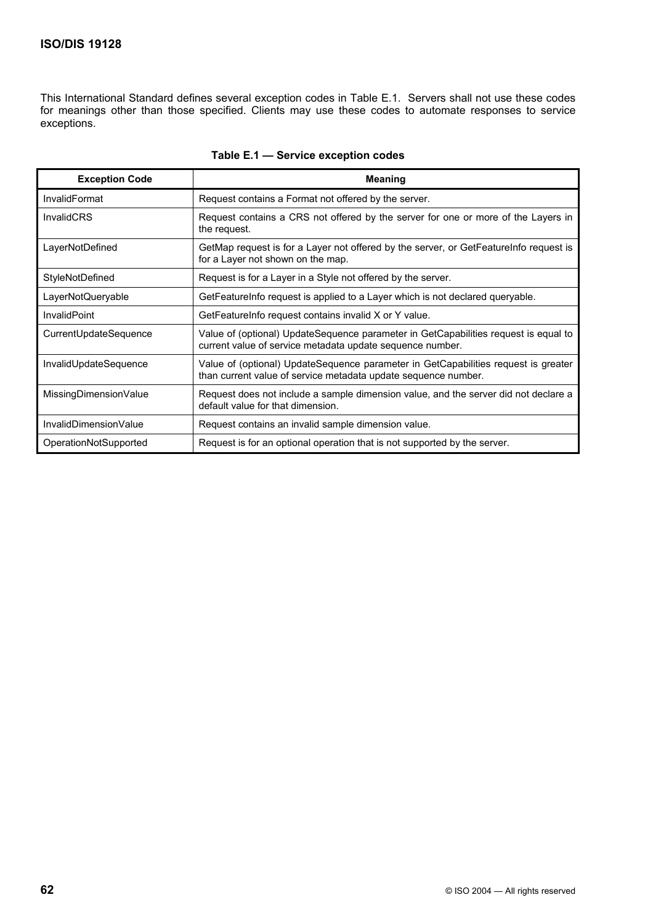# **ISO/DIS 19128**

This International Standard defines several exception codes in Table E.1. Servers shall not use these codes for meanings other than those specified. Clients may use these codes to automate responses to service exceptions.

| <b>Exception Code</b> | <b>Meaning</b>                                                                                                                                       |
|-----------------------|------------------------------------------------------------------------------------------------------------------------------------------------------|
| <b>InvalidFormat</b>  | Request contains a Format not offered by the server.                                                                                                 |
| <b>InvalidCRS</b>     | Request contains a CRS not offered by the server for one or more of the Layers in<br>the request.                                                    |
| LayerNotDefined       | GetMap request is for a Layer not offered by the server, or GetFeatureInfo request is<br>for a Layer not shown on the map.                           |
| StyleNotDefined       | Request is for a Layer in a Style not offered by the server.                                                                                         |
| LayerNotQueryable     | GetFeatureInfo request is applied to a Layer which is not declared queryable.                                                                        |
| <b>InvalidPoint</b>   | GetFeatureInfo request contains invalid X or Y value.                                                                                                |
| CurrentUpdateSequence | Value of (optional) UpdateSequence parameter in GetCapabilities request is equal to<br>current value of service metadata update sequence number.     |
| InvalidUpdateSequence | Value of (optional) UpdateSequence parameter in GetCapabilities request is greater<br>than current value of service metadata update sequence number. |
| MissingDimensionValue | Request does not include a sample dimension value, and the server did not declare a<br>default value for that dimension.                             |
| InvalidDimensionValue | Request contains an invalid sample dimension value.                                                                                                  |
| OperationNotSupported | Request is for an optional operation that is not supported by the server.                                                                            |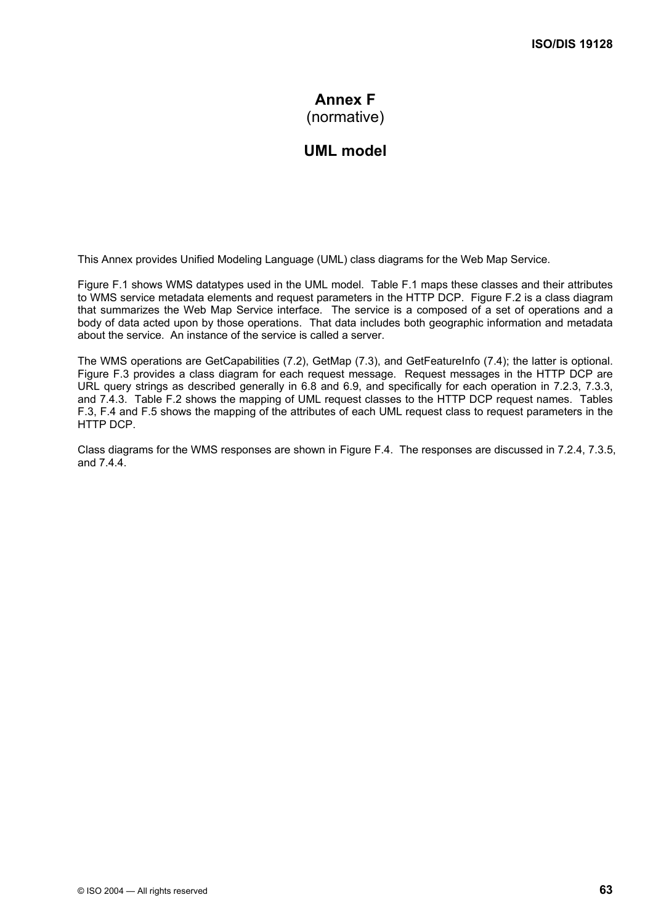# **Annex F** (normative)

# **UML model**

This Annex provides Unified Modeling Language (UML) class diagrams for the Web Map Service.

Figure F.1 shows WMS datatypes used in the UML model. Table F.1 maps these classes and their attributes to WMS service metadata elements and request parameters in the HTTP DCP. Figure F.2 is a class diagram that summarizes the Web Map Service interface. The service is a composed of a set of operations and a body of data acted upon by those operations. That data includes both geographic information and metadata about the service. An instance of the service is called a server.

The WMS operations are GetCapabilities (7.2), GetMap (7.3), and GetFeatureInfo (7.4); the latter is optional. Figure F.3 provides a class diagram for each request message. Request messages in the HTTP DCP are URL query strings as described generally in 6.8 and 6.9, and specifically for each operation in 7.2.3, 7.3.3, and 7.4.3. Table F.2 shows the mapping of UML request classes to the HTTP DCP request names. Tables F.3, F.4 and F.5 shows the mapping of the attributes of each UML request class to request parameters in the HTTP DCP.

Class diagrams for the WMS responses are shown in Figure F.4. The responses are discussed in 7.2.4, 7.3.5, and 7.4.4.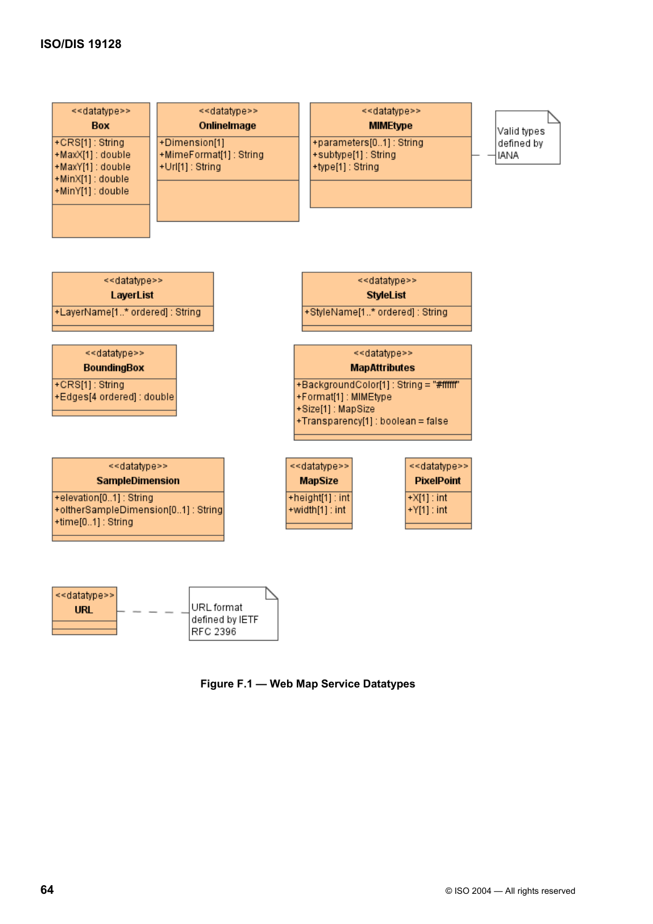



RFC 2396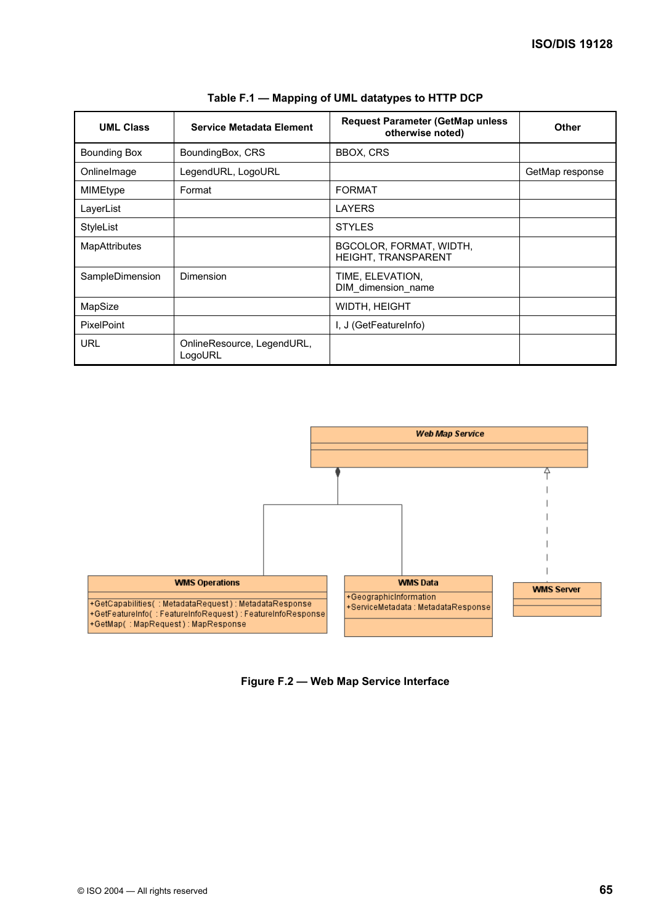| <b>UML Class</b>     | <b>Service Metadata Element</b>       | <b>Request Parameter (GetMap unless</b><br>otherwise noted) | <b>Other</b>    |
|----------------------|---------------------------------------|-------------------------------------------------------------|-----------------|
| <b>Bounding Box</b>  | BoundingBox, CRS                      | <b>BBOX, CRS</b>                                            |                 |
| Onlinelmage          | LegendURL, LogoURL                    |                                                             | GetMap response |
| MIMEtype             | Format                                | <b>FORMAT</b>                                               |                 |
| LayerList            |                                       | <b>LAYERS</b>                                               |                 |
| StyleList            |                                       | <b>STYLES</b>                                               |                 |
| <b>MapAttributes</b> |                                       | BGCOLOR, FORMAT, WIDTH,<br><b>HEIGHT, TRANSPARENT</b>       |                 |
| SampleDimension      | Dimension                             | TIME, ELEVATION,<br>DIM_dimension_name                      |                 |
| MapSize              |                                       | WIDTH, HEIGHT                                               |                 |
| <b>PixelPoint</b>    |                                       | I, J (GetFeatureInfo)                                       |                 |
| URL                  | OnlineResource, LegendURL,<br>LogoURL |                                                             |                 |

| Table F.1 — Mapping of UML datatypes to HTTP DCP |  |
|--------------------------------------------------|--|
|--------------------------------------------------|--|



### **Figure F.2 — Web Map Service Interface**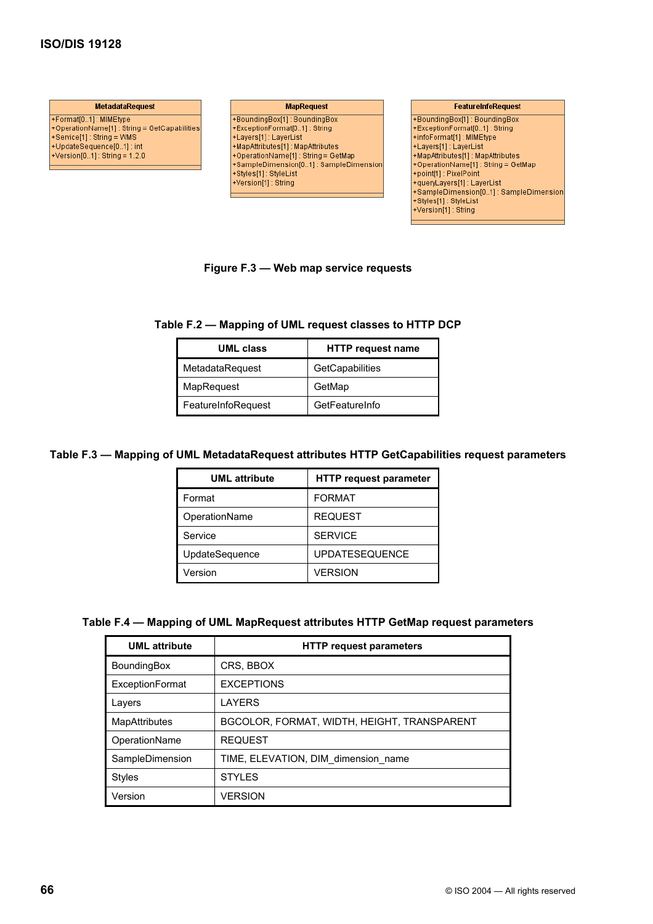## **ISO/DIS 19128**

**MetadataRequest** +Format[0..1] : MIMEtype ++ ornatio..1) : mimestrype<br>+Service[1] : String = GetCapabilities<br>+Service[1] : String = WMS<br>+UpdateSequence[0..1] : int<br>+Version[0..1] : String = 1.2.0

**MapRequest** +BoundingBox(1): BoundingBox<br>+ExceptionFormat(0..1): String<br>+Layers(1): LayerList<br>+MapAttributes(1): MapAttributes<br>+OperationName(1): String = GetMap<br>+SampleDimension(0..1): SampleDimension - Styles[1] : StyleList<br>+Styles[1] : StyleList<br>+Version[1] : String

#### **FeatureInfoRequest**

FBoundingBox(1): BoundingBox<br>
+ExceptionFormat[0..1] : String<br>
+infoFormat[1] : MIMEtype<br>
+Layers(1] : LayerList<br>
+MapAttributes(1] : MapAttributes<br>
+OperationName[1] : String = GetMap<br>
-cient(1) : Ning = GetMap +point[1] : PixelPoint -queryLayers[1] : LayerList +SampleDimension[0..1] : SampleDimension +Styles[1]: StyleList +Version[1] : String

#### **Figure F.3 — Web map service requests**

### **Table F.2 — Mapping of UML request classes to HTTP DCP**

| <b>UML class</b>   | <b>HTTP request name</b> |
|--------------------|--------------------------|
| MetadataRequest    | GetCapabilities          |
| MapRequest         | GetMap                   |
| FeatureInfoRequest | GetFeatureInfo           |

#### **Table F.3 — Mapping of UML MetadataRequest attributes HTTP GetCapabilities request parameters**

| <b>UML</b> attribute | <b>HTTP request parameter</b> |
|----------------------|-------------------------------|
| Format               | <b>FORMAT</b>                 |
| OperationName        | <b>REQUEST</b>                |
| Service              | <b>SERVICE</b>                |
| UpdateSequence       | <b>UPDATESEQUENCE</b>         |
| Version              | <b>VERSION</b>                |

#### **Table F.4 — Mapping of UML MapRequest attributes HTTP GetMap request parameters**

| <b>UML</b> attribute   | <b>HTTP request parameters</b>              |
|------------------------|---------------------------------------------|
| <b>BoundingBox</b>     | CRS, BBOX                                   |
| <b>ExceptionFormat</b> | <b>EXCEPTIONS</b>                           |
| Lavers                 | LAYERS                                      |
| <b>MapAttributes</b>   | BGCOLOR, FORMAT, WIDTH, HEIGHT, TRANSPARENT |
| OperationName          | <b>REQUEST</b>                              |
| SampleDimension        | TIME, ELEVATION, DIM dimension name         |
| <b>Styles</b>          | <b>STYLES</b>                               |
| Version                | <b>VERSION</b>                              |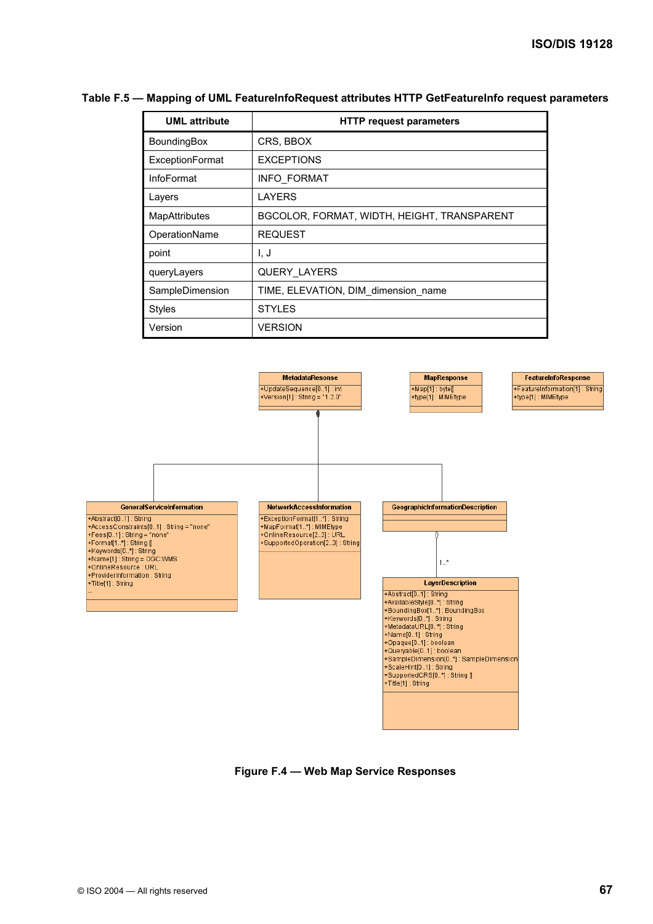# Table F.5 - Mapping of UML FeatureInfoRequest attributes HTTP GetFeatureInfo request parameters

| <b>UML</b> attribute   | <b>HTTP request parameters</b>              |
|------------------------|---------------------------------------------|
| BoundingBox            | CRS, BBOX                                   |
| <b>ExceptionFormat</b> | <b>EXCEPTIONS</b>                           |
| <b>InfoFormat</b>      | <b>INFO FORMAT</b>                          |
| Layers                 | <b>LAYERS</b>                               |
| <b>MapAttributes</b>   | BGCOLOR, FORMAT, WIDTH, HEIGHT, TRANSPARENT |
| OperationName          | <b>REQUEST</b>                              |
| point                  | I. J                                        |
| queryLayers            | <b>QUERY LAYERS</b>                         |
| SampleDimension        | TIME, ELEVATION, DIM_dimension_name         |
| <b>Styles</b>          | <b>STYLES</b>                               |
| Version                | <b>VERSION</b>                              |



**Figure F.4 — Web Map Service Responses**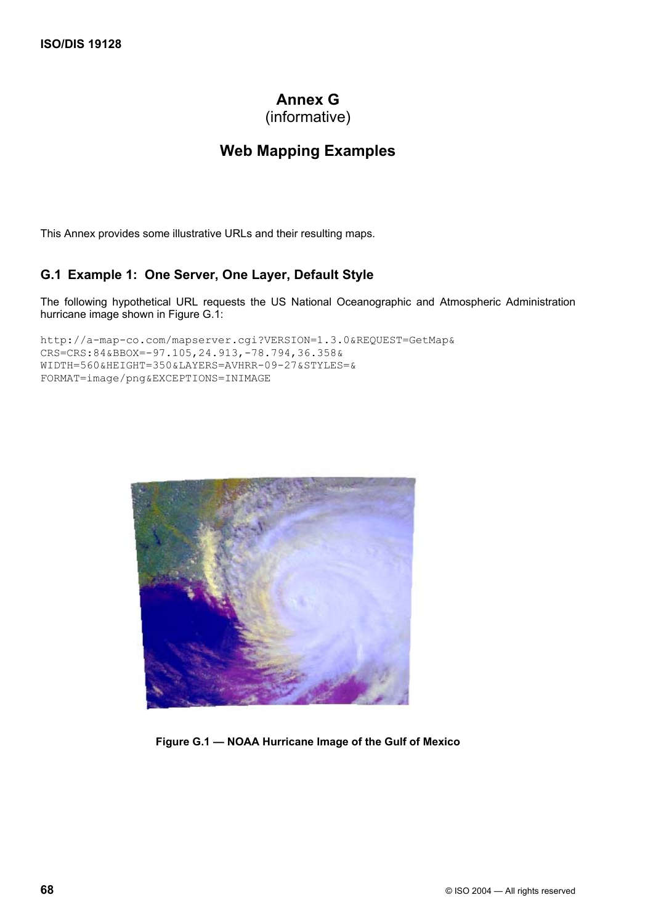# **Annex G**

(informative)

# **Web Mapping Examples**

This Annex provides some illustrative URLs and their resulting maps.

# **G.1 Example 1: One Server, One Layer, Default Style**

The following hypothetical URL requests the US National Oceanographic and Atmospheric Administration hurricane image shown in Figure G.1:

```
http://a-map-co.com/mapserver.cgi?VERSION=1.3.0&REQUEST=GetMap& 
CRS=CRS:84&BBOX=-97.105,24.913,-78.794,36.358& 
WIDTH=560&HEIGHT=350&LAYERS=AVHRR-09-27&STYLES=& 
FORMAT=image/png&EXCEPTIONS=INIMAGE
```


**Figure G.1 — NOAA Hurricane Image of the Gulf of Mexico**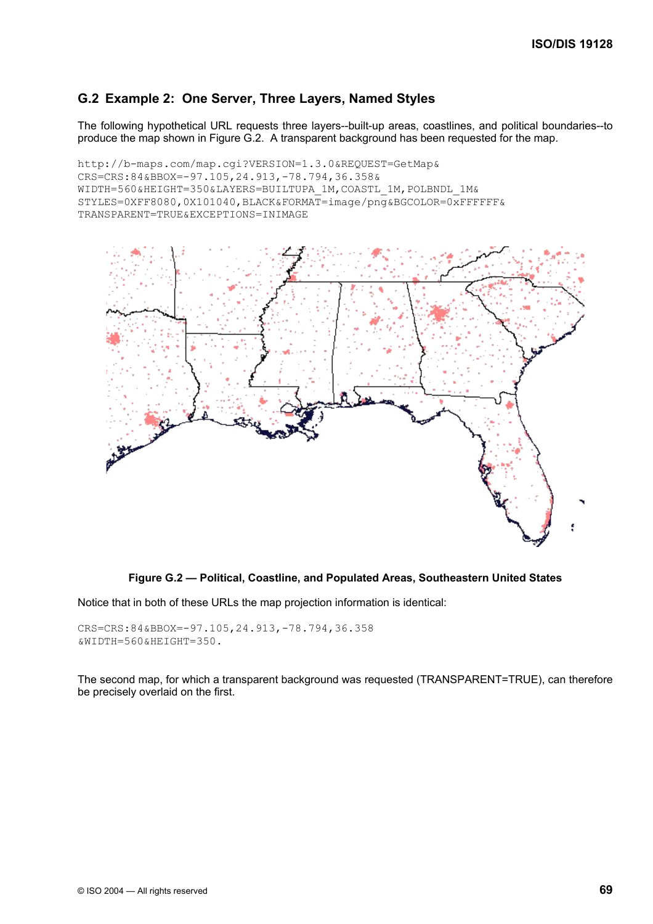# **G.2 Example 2: One Server, Three Layers, Named Styles**

The following hypothetical URL requests three layers--built-up areas, coastlines, and political boundaries--to produce the map shown in Figure G.2. A transparent background has been requested for the map.

```
http://b-maps.com/map.cgi?VERSION=1.3.0&REQUEST=GetMap& 
CRS=CRS:84&BBOX=-97.105,24.913,-78.794,36.358& 
WIDTH=560&HEIGHT=350&LAYERS=BUILTUPA 1M, COASTL 1M, POLBNDL 1M&
STYLES=0XFF8080,0X101040,BLACK&FORMAT=image/png&BGCOLOR=0xFFFFFF& 
TRANSPARENT=TRUE&EXCEPTIONS=INIMAGE
```


### **Figure G.2 — Political, Coastline, and Populated Areas, Southeastern United States**

Notice that in both of these URLs the map projection information is identical:

```
CRS=CRS:84&BBOX=-97.105,24.913,-78.794,36.358 
&WIDTH=560&HEIGHT=350.
```
The second map, for which a transparent background was requested (TRANSPARENT=TRUE), can therefore be precisely overlaid on the first.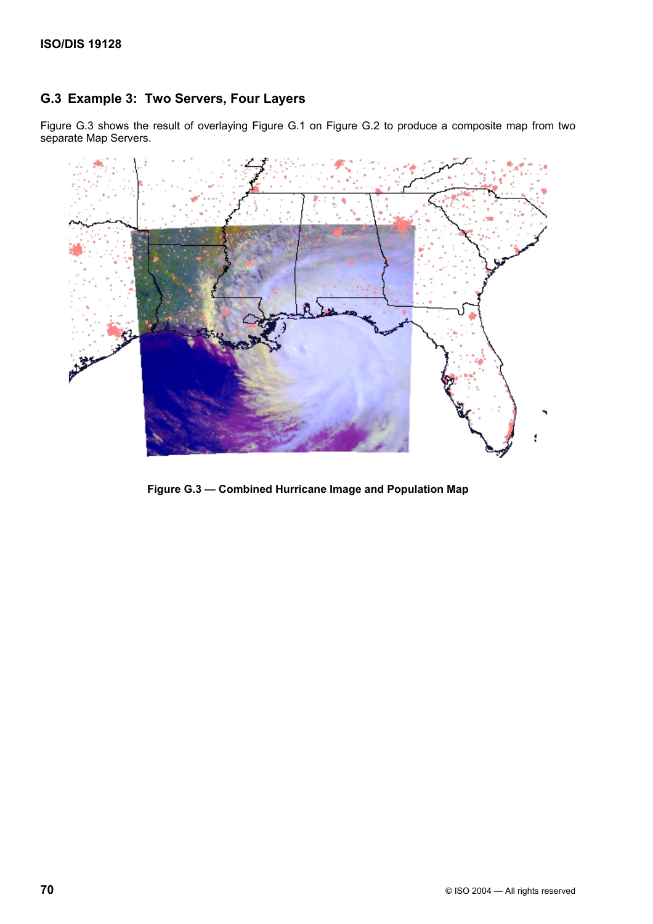# **G.3 Example 3: Two Servers, Four Layers**

Figure G.3 shows the result of overlaying Figure G.1 on Figure G.2 to produce a composite map from two separate Map Servers.



**Figure G.3 — Combined Hurricane Image and Population Map**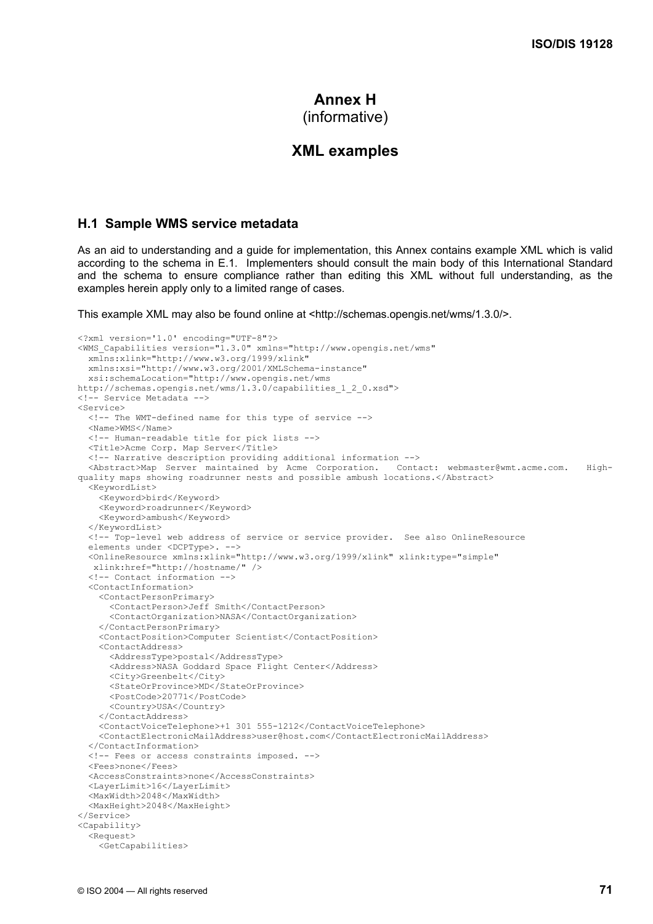# **Annex H** (informative)

# **XML examples**

## **H.1 Sample WMS service metadata**

As an aid to understanding and a guide for implementation, this Annex contains example XML which is valid according to the schema in E.1. Implementers should consult the main body of this International Standard and the schema to ensure compliance rather than editing this XML without full understanding, as the examples herein apply only to a limited range of cases.

This example XML may also be found online at <http://schemas.opengis.net/wms/1.3.0/>.

```
<?xml version='1.0' encoding="UTF-8"?> 
<WMS_Capabilities version="1.3.0" xmlns="http://www.opengis.net/wms" 
   xmlns:xlink="http://www.w3.org/1999/xlink" 
   xmlns:xsi="http://www.w3.org/2001/XMLSchema-instance" 
   xsi:schemaLocation="http://www.opengis.net/wms 
http://schemas.opengis.net/wms/1.3.0/capabilities_1_2_0.xsd"> 
<!-- Service Metadata --> 
<Service> 
   <!-- The WMT-defined name for this type of service --> 
   <Name>WMS</Name> 
   <!-- Human-readable title for pick lists --> 
   <Title>Acme Corp. Map Server</Title> 
   <!-- Narrative description providing additional information --> 
   <Abstract>Map Server maintained by Acme Corporation. Contact: webmaster@wmt.acme.com. High-
quality maps showing roadrunner nests and possible ambush locations.</Abstract> 
   <KeywordList> 
     <Keyword>bird</Keyword> 
     <Keyword>roadrunner</Keyword> 
     <Keyword>ambush</Keyword> 
   </KeywordList> 
   <!-- Top-level web address of service or service provider. See also OnlineResource 
   elements under <DCPType>. --> 
   <OnlineResource xmlns:xlink="http://www.w3.org/1999/xlink" xlink:type="simple" 
   xlink:href="http://hostname/" /> 
   <!-- Contact information --> 
   <ContactInformation> 
     <ContactPersonPrimary> 
       <ContactPerson>Jeff Smith</ContactPerson> 
       <ContactOrganization>NASA</ContactOrganization> 
     </ContactPersonPrimary> 
     <ContactPosition>Computer Scientist</ContactPosition> 
     <ContactAddress> 
       <AddressType>postal</AddressType> 
       <Address>NASA Goddard Space Flight Center</Address> 
       <City>Greenbelt</City> 
       <StateOrProvince>MD</StateOrProvince> 
       <PostCode>20771</PostCode> 
       <Country>USA</Country> 
     </ContactAddress> 
     <ContactVoiceTelephone>+1 301 555-1212</ContactVoiceTelephone> 
     <ContactElectronicMailAddress>user@host.com</ContactElectronicMailAddress> 
   </ContactInformation> 
   <!-- Fees or access constraints imposed. --> 
   <Fees>none</Fees> 
   <AccessConstraints>none</AccessConstraints> 
   <LayerLimit>16</LayerLimit> 
   <MaxWidth>2048</MaxWidth> 
   <MaxHeight>2048</MaxHeight> 
</Service> 
<Capability> 
   <Request> 
     <GetCapabilities>
```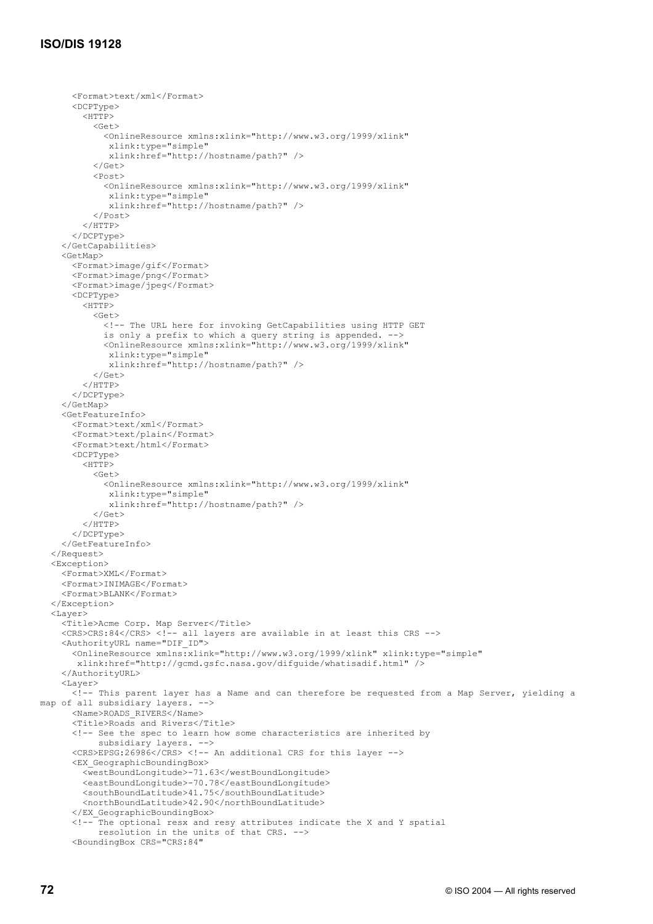# **ISO/DIS 19128**

<Format>text/xml</Format>

```
 <DCPType> 
          <HTTP> 
            <Get> 
              <OnlineResource xmlns:xlink="http://www.w3.org/1999/xlink" 
               xlink:type="simple" 
               xlink:href="http://hostname/path?" /> 
           \langle/Get> <Post> 
              <OnlineResource xmlns:xlink="http://www.w3.org/1999/xlink" 
               xlink:type="simple" 
               xlink:href="http://hostname/path?" /> 
            </Post> 
          </HTTP> 
       </DCPType> 
     </GetCapabilities> 
     <GetMap> 
       <Format>image/gif</Format> 
       <Format>image/png</Format> 
       <Format>image/jpeg</Format> 
       <DCPType> 
         <HTTP> 
            <Get> 
              <!-- The URL here for invoking GetCapabilities using HTTP GET 
              is only a prefix to which a query string is appended. --> 
              <OnlineResource xmlns:xlink="http://www.w3.org/1999/xlink" 
              xlink:type="simple" 
               xlink:href="http://hostname/path?" /> 
          \langle/Get\rangle </HTTP> 
       </DCPType> 
     </GetMap> 
     <GetFeatureInfo> 
       <Format>text/xml</Format> 
       <Format>text/plain</Format> 
       <Format>text/html</Format> 
       <DCPType> 
         <HTTP> 
            <Get> 
              <OnlineResource xmlns:xlink="http://www.w3.org/1999/xlink" 
              xlink:type="simple" 
               xlink:href="http://hostname/path?" /> 
            </Get> 
          </HTTP> 
       </DCPType> 
     </GetFeatureInfo> 
   </Request> 
   <Exception> 
     <Format>XML</Format> 
     <Format>INIMAGE</Format> 
     <Format>BLANK</Format> 
   </Exception> 
  <Layer>
     <Title>Acme Corp. Map Server</Title> 
    <CRS>CRS:84</CRS> <!-- all layers are available in at least this CRS -->
     <AuthorityURL name="DIF_ID"> 
       <OnlineResource xmlns:xlink="http://www.w3.org/1999/xlink" xlink:type="simple" 
        xlink:href="http://gcmd.gsfc.nasa.gov/difguide/whatisadif.html" /> 
     </AuthorityURL> 
     <Layer> 
       <!-- This parent layer has a Name and can therefore be requested from a Map Server, yielding a 
map of all subsidiary layers. --> 
       <Name>ROADS_RIVERS</Name> 
       <Title>Roads and Rivers</Title> 
       <!-- See the spec to learn how some characteristics are inherited by 
             subsidiary layers. --> 
       <CRS>EPSG:26986</CRS> <!-- An additional CRS for this layer --> 
       <EX_GeographicBoundingBox> 
          <westBoundLongitude>-71.63</westBoundLongitude> 
          <eastBoundLongitude>-70.78</eastBoundLongitude> 
          <southBoundLatitude>41.75</southBoundLatitude> 
          <northBoundLatitude>42.90</northBoundLatitude> 
       </EX_GeographicBoundingBox> 
       <!-- The optional resx and resy attributes indicate the X and Y spatial 
             resolution in the units of that CRS. --> 
       <BoundingBox CRS="CRS:84"
```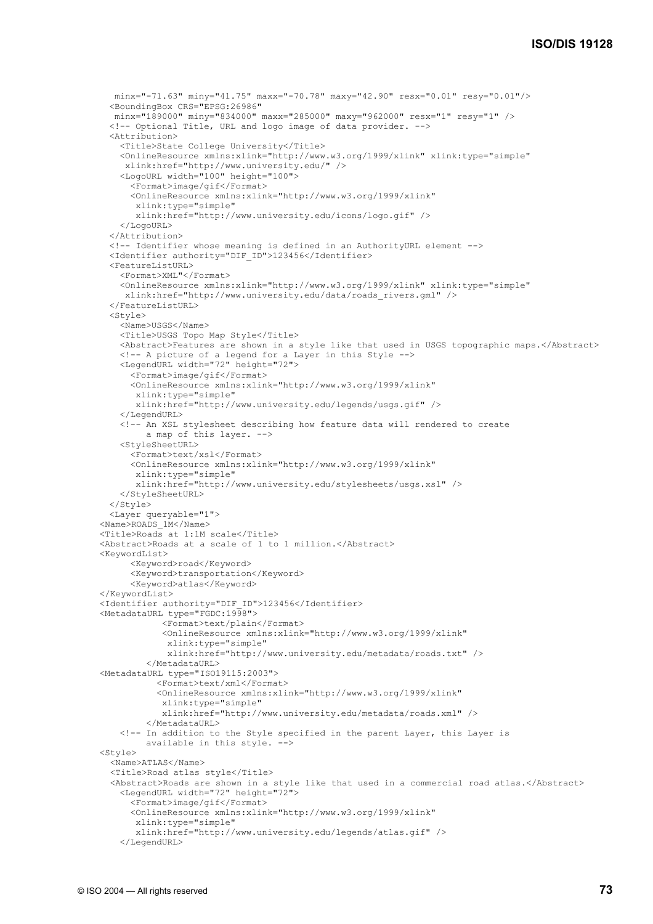```
 minx="-71.63" miny="41.75" maxx="-70.78" maxy="42.90" resx="0.01" resy="0.01"/> 
   <BoundingBox CRS="EPSG:26986" 
   minx="189000" miny="834000" maxx="285000" maxy="962000" resx="1" resy="1" /> 
   <!-- Optional Title, URL and logo image of data provider. --> 
   <Attribution> 
     <Title>State College University</Title> 
     <OnlineResource xmlns:xlink="http://www.w3.org/1999/xlink" xlink:type="simple" 
      xlink:href="http://www.university.edu/" /> 
     <LogoURL width="100" height="100"> 
       <Format>image/gif</Format> 
       <OnlineResource xmlns:xlink="http://www.w3.org/1999/xlink" 
        xlink:type="simple" 
        xlink:href="http://www.university.edu/icons/logo.gif" /> 
     </LogoURL> 
   </Attribution> 
   <!-- Identifier whose meaning is defined in an AuthorityURL element --> 
   <Identifier authority="DIF_ID">123456</Identifier> 
   <FeatureListURL> 
     <Format>XML"</Format> 
     <OnlineResource xmlns:xlink="http://www.w3.org/1999/xlink" xlink:type="simple" 
      xlink:href="http://www.university.edu/data/roads_rivers.gml" /> 
   </FeatureListURL> 
   <Style> 
     <Name>USGS</Name> 
     <Title>USGS Topo Map Style</Title> 
     <Abstract>Features are shown in a style like that used in USGS topographic maps.</Abstract> 
     <!-- A picture of a legend for a Layer in this Style --> 
     <LegendURL width="72" height="72"> 
       <Format>image/gif</Format> 
       <OnlineResource xmlns:xlink="http://www.w3.org/1999/xlink" 
        xlink:type="simple" 
        xlink:href="http://www.university.edu/legends/usgs.gif" /> 
     </LegendURL> 
     <!-- An XSL stylesheet describing how feature data will rendered to create 
          a map of this layer. --> 
     <StyleSheetURL> 
       <Format>text/xsl</Format> 
       <OnlineResource xmlns:xlink="http://www.w3.org/1999/xlink" 
        xlink:type="simple" 
        xlink:href="http://www.university.edu/stylesheets/usgs.xsl" /> 
     </StyleSheetURL> 
   </Style> 
   <Layer queryable="1"> 
 <Name>ROADS_1M</Name> 
 <Title>Roads at 1:1M scale</Title> 
 <Abstract>Roads at a scale of 1 to 1 million.</Abstract> 
 <KeywordList> 
       <Keyword>road</Keyword> 
       <Keyword>transportation</Keyword> 
       <Keyword>atlas</Keyword> 
 </KeywordList> 
 <Identifier authority="DIF_ID">123456</Identifier> 
<MetadataURL type="FGDC:1998">
             <Format>text/plain</Format> 
             <OnlineResource xmlns:xlink="http://www.w3.org/1999/xlink" 
              xlink:type="simple" 
              xlink:href="http://www.university.edu/metadata/roads.txt" /> 
          </MetadataURL> 
 <MetadataURL type="ISO19115:2003"> 
            <Format>text/xml</Format> 
            <OnlineResource xmlns:xlink="http://www.w3.org/1999/xlink" 
             xlink:type="simple" 
             xlink:href="http://www.university.edu/metadata/roads.xml" /> 
          </MetadataURL> 
     <!-- In addition to the Style specified in the parent Layer, this Layer is 
          available in this style. --> 
<Style> <Name>ATLAS</Name> 
   <Title>Road atlas style</Title> 
   <Abstract>Roads are shown in a style like that used in a commercial road atlas.</Abstract> 
     <LegendURL width="72" height="72"> 
       <Format>image/gif</Format> 
       <OnlineResource xmlns:xlink="http://www.w3.org/1999/xlink" 
        xlink:type="simple" 
        xlink:href="http://www.university.edu/legends/atlas.gif" /> 
     </LegendURL>
```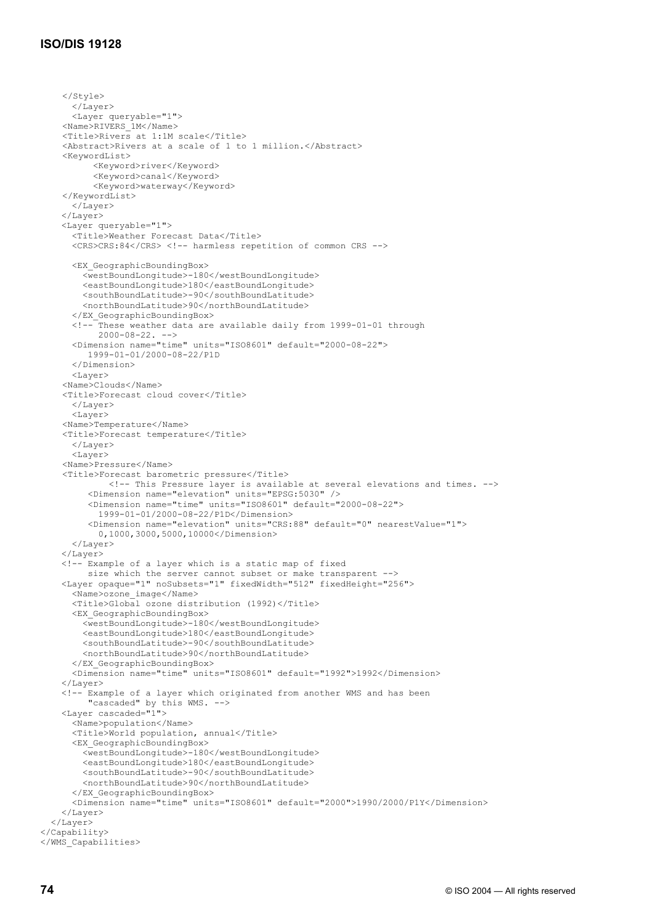# **ISO/DIS 19128**

```
 </Style> 
       </Layer> 
       <Layer queryable="1"> 
     <Name>RIVERS_1M</Name> 
     <Title>Rivers at 1:1M scale</Title> 
     <Abstract>Rivers at a scale of 1 to 1 million.</Abstract> 
     <KeywordList> 
           <Keyword>river</Keyword> 
           <Keyword>canal</Keyword> 
           <Keyword>waterway</Keyword> 
     </KeywordList> 
       </Layer> 
     </Layer> 
     <Layer queryable="1"> 
       <Title>Weather Forecast Data</Title> 
       <CRS>CRS:84</CRS> <!-- harmless repetition of common CRS --> 
       <EX_GeographicBoundingBox> 
         <westBoundLongitude>-180</westBoundLongitude> 
         <eastBoundLongitude>180</eastBoundLongitude> 
         <southBoundLatitude>-90</southBoundLatitude> 
         <northBoundLatitude>90</northBoundLatitude> 
       </EX_GeographicBoundingBox> 
       <!-- These weather data are available daily from 1999-01-01 through 
            2000-08-22. --> 
       <Dimension name="time" units="ISO8601" default="2000-08-22"> 
          1999-01-01/2000-08-22/P1D 
       </Dimension> 
       <Layer> 
     <Name>Clouds</Name> 
     <Title>Forecast cloud cover</Title> 
      \langle/Layer>
       <Layer> 
     <Name>Temperature</Name> 
     <Title>Forecast temperature</Title> 
       </Layer> 
       <Layer> 
     <Name>Pressure</Name> 
     <Title>Forecast barometric pressure</Title> 
              <!-- This Pressure layer is available at several elevations and times. --> 
          <Dimension name="elevation" units="EPSG:5030" /> 
          <Dimension name="time" units="ISO8601" default="2000-08-22"> 
            1999-01-01/2000-08-22/P1D</Dimension> 
          <Dimension name="elevation" units="CRS:88" default="0" nearestValue="1"> 
            0,1000,3000,5000,10000</Dimension> 
       </Layer> 
     </Layer> 
     <!-- Example of a layer which is a static map of fixed 
 size which the server cannot subset or make transparent --> 
 <Layer opaque="1" noSubsets="1" fixedWidth="512" fixedHeight="256"> 
       <Name>ozone_image</Name> 
       <Title>Global ozone distribution (1992)</Title> 
       <EX_GeographicBoundingBox> 
         <westBoundLongitude>-180</westBoundLongitude> 
         <eastBoundLongitude>180</eastBoundLongitude> 
         <southBoundLatitude>-90</southBoundLatitude> 
         <northBoundLatitude>90</northBoundLatitude> 
       </EX_GeographicBoundingBox> 
       <Dimension name="time" units="ISO8601" default="1992">1992</Dimension> 
     </Layer> 
     <!-- Example of a layer which originated from another WMS and has been 
          "cascaded" by this WMS. --> 
     <Layer cascaded="1"> 
       <Name>population</Name> 
       <Title>World population, annual</Title> 
       <EX_GeographicBoundingBox> 
         <westBoundLongitude>-180</westBoundLongitude> 
         <eastBoundLongitude>180</eastBoundLongitude> 
         <southBoundLatitude>-90</southBoundLatitude> 
         <northBoundLatitude>90</northBoundLatitude> 
       </EX_GeographicBoundingBox> 
       <Dimension name="time" units="ISO8601" default="2000">1990/2000/P1Y</Dimension> 
     </Layer> 
   </Layer> 
</Capability> 
</WMS_Capabilities>
```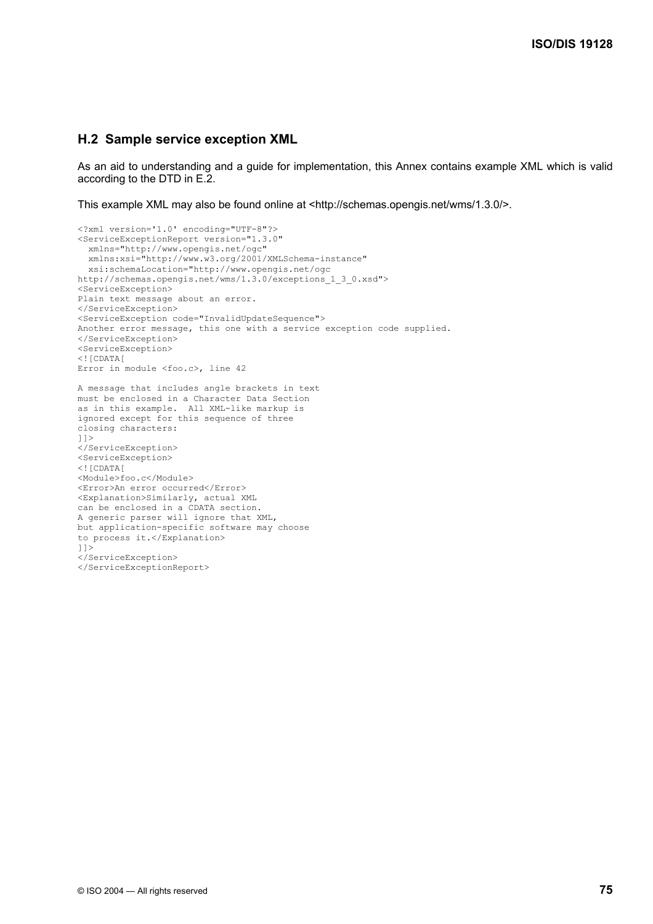## **H.2 Sample service exception XML**

As an aid to understanding and a guide for implementation, this Annex contains example XML which is valid according to the DTD in E.2.

This example XML may also be found online at <http://schemas.opengis.net/wms/1.3.0/>.

```
<?xml version='1.0' encoding="UTF-8"?> 
<ServiceExceptionReport version="1.3.0" 
   xmlns="http://www.opengis.net/ogc" 
   xmlns:xsi="http://www.w3.org/2001/XMLSchema-instance" 
  xsi:schemaLocation="http://www.opengis.net/ogc 
http://schemas.opengis.net/wms/1.3.0/exceptions_1_3_0.xsd"> 
<ServiceException> 
Plain text message about an error. 
</ServiceException> 
<ServiceException code="InvalidUpdateSequence"> 
Another error message, this one with a service exception code supplied. 
</ServiceException> 
<ServiceException> 
<![CDATA[ 
Error in module <foo.c>, line 42 
A message that includes angle brackets in text 
must be enclosed in a Character Data Section 
as in this example. All XML-like markup is 
ignored except for this sequence of three 
closing characters: 
|] |</ServiceException> 
<ServiceException> 
\leq ! [CDATA [
<Module>foo.c</Module> 
<Error>An error occurred</Error> 
<Explanation>Similarly, actual XML 
can be enclosed in a CDATA section. 
A generic parser will ignore that XML, 
but application-specific software may choose 
to process it.</Explanation> 
]]> 
</ServiceException> 
</ServiceExceptionReport>
```